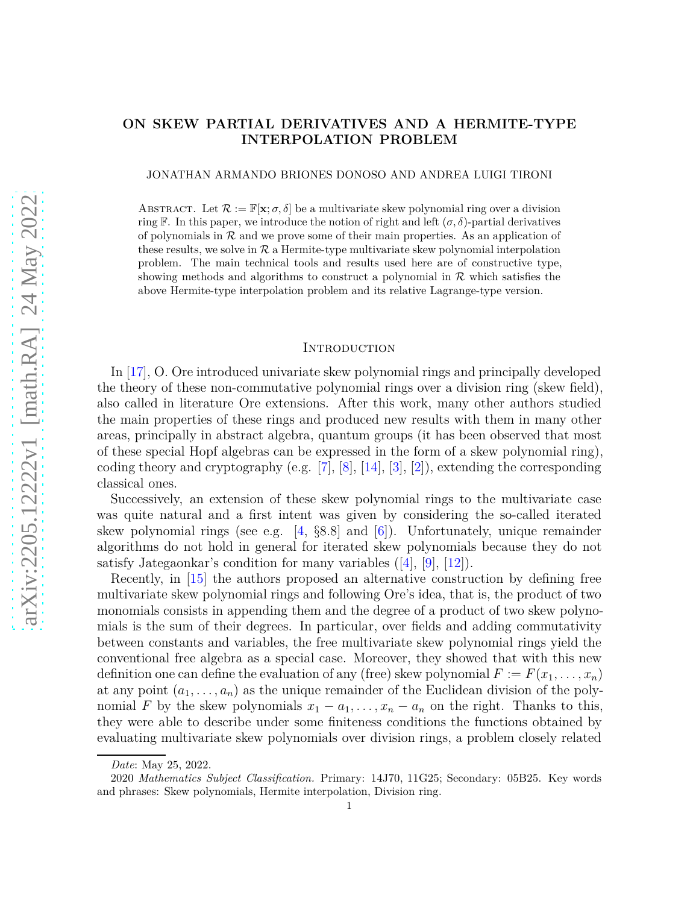# **ON SKEW PARTIAL DERIVATIVES AND A HERMITE-TYPE INTERPOLATION PROBLEM**

JONATHAN ARMANDO BRIONES DONOSO AND ANDREA LUIGI TIRONI

ABSTRACT. Let  $\mathcal{R} := \mathbb{F}[\mathbf{x}; \sigma, \delta]$  be a multivariate skew polynomial ring over a division ring F. In this paper, we introduce the notion of right and left  $(\sigma, \delta)$ -partial derivatives of polynomials in  $R$  and we prove some of their main properties. As an application of these results, we solve in  $\mathcal R$  a Hermite-type multivariate skew polynomial interpolation problem. The main technical tools and results used here are of constructive type, showing methods and algorithms to construct a polynomial in  $R$  which satisfies the above Hermite-type interpolation problem and its relative Lagrange-type version.

### **INTRODUCTION**

In [\[17\]](#page-30-0), O. Ore introduced univariate skew polynomial rings and principally developed the theory of these non-commutative polynomial rings over a division ring (skew field), also called in literature Ore extensions. After this work, many other authors studied the main properties of these rings and produced new results with them in many other areas, principally in abstract algebra, quantum groups (it has been observed that most of these special Hopf algebras can be expressed in the form of a skew polynomial ring), coding theory and cryptography (e.g. [\[7\]](#page-30-1), [\[8\]](#page-30-2), [\[14\]](#page-30-3), [\[3\]](#page-30-4), [\[2\]](#page-30-5)), extending the corresponding classical ones.

Successively, an extension of these skew polynomial rings to the multivariate case was quite natural and a first intent was given by considering the so-called iterated skew polynomial rings (see e.g. [\[4,](#page-30-6) §8*.*8] and [\[6\]](#page-30-7)). Unfortunately, unique remainder algorithms do not hold in general for iterated skew polynomials because they do not satisfy Jategaonkar's condition for many variables  $([4], [9], [12])$  $([4], [9], [12])$  $([4], [9], [12])$  $([4], [9], [12])$  $([4], [9], [12])$  $([4], [9], [12])$  $([4], [9], [12])$ .

Recently, in [\[15\]](#page-30-10) the authors proposed an alternative construction by defining free multivariate skew polynomial rings and following Ore's idea, that is, the product of two monomials consists in appending them and the degree of a product of two skew polynomials is the sum of their degrees. In particular, over fields and adding commutativity between constants and variables, the free multivariate skew polynomial rings yield the conventional free algebra as a special case. Moreover, they showed that with this new definition one can define the evaluation of any (free) skew polynomial  $F := F(x_1, \ldots, x_n)$ at any point  $(a_1, \ldots, a_n)$  as the unique remainder of the Euclidean division of the polynomial *F* by the skew polynomials  $x_1 - a_1, \ldots, x_n - a_n$  on the right. Thanks to this, they were able to describe under some finiteness conditions the functions obtained by evaluating multivariate skew polynomials over division rings, a problem closely related

*Date*: May 25, 2022.

<sup>2020</sup> *Mathematics Subject Classification.* Primary: 14J70, 11G25; Secondary: 05B25. Key words and phrases: Skew polynomials, Hermite interpolation, Division ring.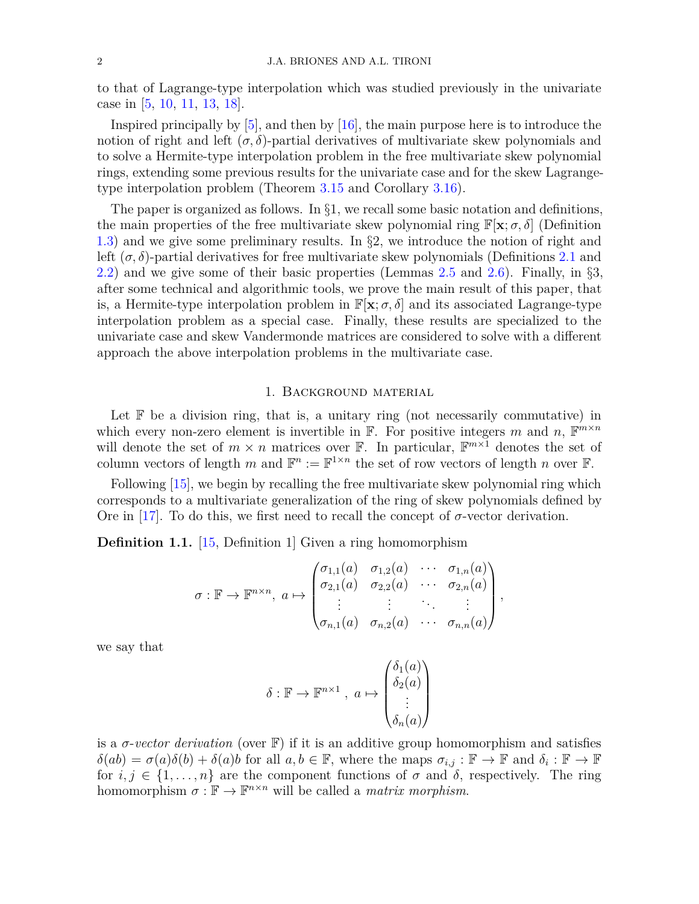to that of Lagrange-type interpolation which was studied previously in the univariate case in [\[5,](#page-30-11) [10,](#page-30-12) [11,](#page-30-13) [13,](#page-30-14) [18\]](#page-30-15).

Inspired principally by [\[5\]](#page-30-11), and then by [\[16\]](#page-30-16), the main purpose here is to introduce the notion of right and left  $(\sigma, \delta)$ -partial derivatives of multivariate skew polynomials and to solve a Hermite-type interpolation problem in the free multivariate skew polynomial rings, extending some previous results for the univariate case and for the skew Lagrangetype interpolation problem (Theorem [3.15](#page-20-0) and Corollary [3.16\)](#page-22-0).

The paper is organized as follows. In  $\S1$ , we recall some basic notation and definitions, the main properties of the free multivariate skew polynomial ring  $\mathbb{F}[\mathbf{x}; \sigma, \delta]$  (Definition [1.3\)](#page-2-0) and we give some preliminary results. In §2, we introduce the notion of right and left  $(\sigma, \delta)$ -partial derivatives for free multivariate skew polynomials (Definitions [2.1](#page-7-0) and [2.2\)](#page-7-1) and we give some of their basic properties (Lemmas [2.5](#page-9-0) and [2.6\)](#page-9-1). Finally, in  $\S3$ , after some technical and algorithmic tools, we prove the main result of this paper, that is, a Hermite-type interpolation problem in  $\mathbb{F}[\mathbf{x}; \sigma, \delta]$  and its associated Lagrange-type interpolation problem as a special case. Finally, these results are specialized to the univariate case and skew Vandermonde matrices are considered to solve with a different approach the above interpolation problems in the multivariate case.

## 1. Background material

Let  $F$  be a division ring, that is, a unitary ring (not necessarily commutative) in which every non-zero element is invertible in  $\mathbb{F}$ . For positive integers *m* and *n*,  $\mathbb{F}^{m \times n}$ will denote the set of  $m \times n$  matrices over **F**. In particular,  $\mathbb{F}^{m \times 1}$  denotes the set of column vectors of length *m* and  $\mathbb{F}^n := \mathbb{F}^{1 \times n}$  the set of row vectors of length *n* over  $\mathbb{F}$ .

Following [\[15\]](#page-30-10), we begin by recalling the free multivariate skew polynomial ring which corresponds to a multivariate generalization of the ring of skew polynomials defined by Ore in [\[17\]](#page-30-0). To do this, we first need to recall the concept of  $\sigma$ -vector derivation.

**Definition 1.1.** [\[15,](#page-30-10) Definition 1] Given a ring homomorphism

$$
\sigma: \mathbb{F} \to \mathbb{F}^{n \times n}, \ a \mapsto \begin{pmatrix} \sigma_{1,1}(a) & \sigma_{1,2}(a) & \cdots & \sigma_{1,n}(a) \\ \sigma_{2,1}(a) & \sigma_{2,2}(a) & \cdots & \sigma_{2,n}(a) \\ \vdots & \vdots & \ddots & \vdots \\ \sigma_{n,1}(a) & \sigma_{n,2}(a) & \cdots & \sigma_{n,n}(a) \end{pmatrix},
$$

we say that

$$
\delta : \mathbb{F} \to \mathbb{F}^{n \times 1} , a \mapsto \begin{pmatrix} \delta_1(a) \\ \delta_2(a) \\ \vdots \\ \delta_n(a) \end{pmatrix}
$$

is a  $\sigma$ -vector derivation (over  $\mathbb{F}$ ) if it is an additive group homomorphism and satisfies  $\delta(ab) = \sigma(a)\delta(b) + \delta(a)b$  for all  $a, b \in \mathbb{F}$ , where the maps  $\sigma_{i,j} : \mathbb{F} \to \mathbb{F}$  and  $\delta_i : \mathbb{F} \to \mathbb{F}$ for  $i, j \in \{1, \ldots, n\}$  are the component functions of  $\sigma$  and  $\delta$ , respectively. The ring homomorphism  $\sigma : \mathbb{F} \to \mathbb{F}^{n \times n}$  will be called a *matrix morphism*.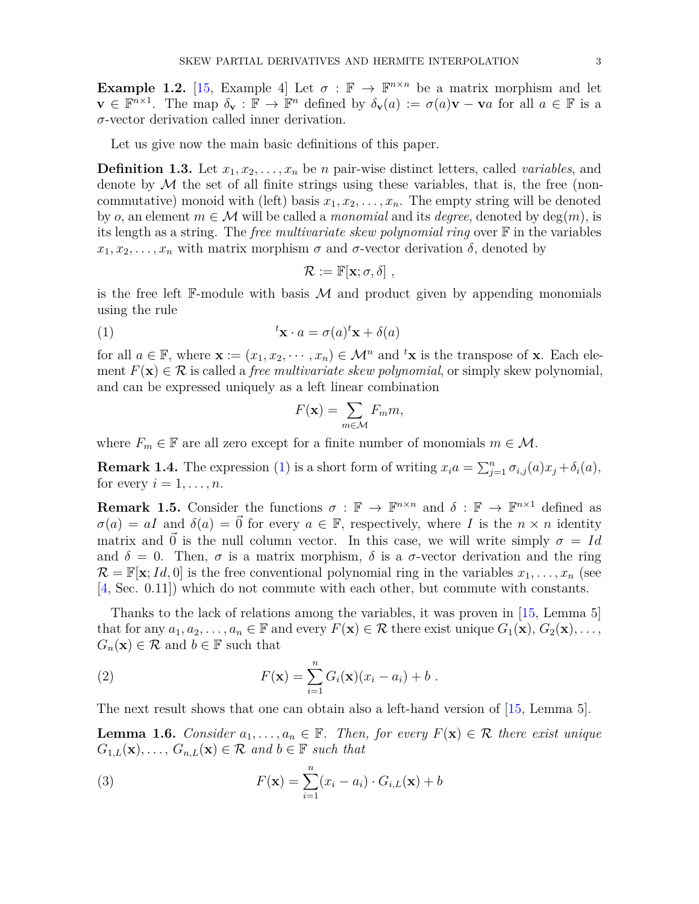**Example 1.2.** [\[15,](#page-30-10) Example 4] Let  $\sigma : \mathbb{F} \to \mathbb{F}^{n \times n}$  be a matrix morphism and let **v** ∈  $\mathbb{F}^{n\times1}$ . The map  $\delta_{\mathbf{v}}$  :  $\mathbb{F}$  →  $\mathbb{F}^n$  defined by  $\delta_{\mathbf{v}}(a) := \sigma(a)\mathbf{v} - \mathbf{v}a$  for all  $a \in \mathbb{F}$  is a *σ*-vector derivation called inner derivation.

Let us give now the main basic definitions of this paper.

<span id="page-2-0"></span>**Definition 1.3.** Let  $x_1, x_2, \ldots, x_n$  be *n* pair-wise distinct letters, called *variables*, and denote by  $\mathcal M$  the set of all finite strings using these variables, that is, the free (noncommutative) monoid with (left) basis  $x_1, x_2, \ldots, x_n$ . The empty string will be denoted by *o*, an element  $m \in \mathcal{M}$  will be called a *monomial* and its *degree*, denoted by  $\deg(m)$ , is its length as a string. The *free multivariate skew polynomial ring* over F in the variables  $x_1, x_2, \ldots, x_n$  with matrix morphism  $\sigma$  and  $\sigma$ -vector derivation  $\delta$ , denoted by

<span id="page-2-1"></span>
$$
\mathcal{R}:=\mathbb{F}[\mathbf{x}; \sigma, \delta] \;,
$$

is the free left  $\mathbb{F}\text{-module with basis }\mathcal{M}$  and product given by appending monomials using the rule

(1) 
$$
{}^{t}\mathbf{x} \cdot a = \sigma(a)^{t}\mathbf{x} + \delta(a)
$$

for all  $a \in \mathbb{F}$ , where  $\mathbf{x} := (x_1, x_2, \dots, x_n) \in \mathcal{M}^n$  and  $^t\mathbf{x}$  is the transpose of **x**. Each element  $F(\mathbf{x}) \in \mathcal{R}$  is called a *free multivariate skew polynomial*, or simply skew polynomial, and can be expressed uniquely as a left linear combination

$$
F(\mathbf{x}) = \sum_{m \in \mathcal{M}} F_m m,
$$

where  $F_m \in \mathbb{F}$  are all zero except for a finite number of monomials  $m \in \mathcal{M}$ .

**Remark 1.4.** The expression [\(1\)](#page-2-1) is a short form of writing  $x_i a = \sum_{j=1}^n \sigma_{i,j}(a) x_j + \delta_i(a)$ , for every  $i = 1, \ldots, n$ .

**Remark 1.5.** Consider the functions  $\sigma : \mathbb{F} \to \mathbb{F}^{n \times n}$  and  $\delta : \mathbb{F} \to \mathbb{F}^{n \times 1}$  defined as  $\sigma(a) = aI$  and  $\delta(a) = \vec{0}$  for every  $a \in \mathbb{F}$ , respectively, where *I* is the  $n \times n$  identity matrix and  $\vec{0}$  is the null column vector. In this case, we will write simply  $\sigma = Id$ and  $\delta = 0$ . Then,  $\sigma$  is a matrix morphism,  $\delta$  is a  $\sigma$ -vector derivation and the ring  $\mathcal{R} = \mathbb{F}[\mathbf{x}; Id, 0]$  is the free conventional polynomial ring in the variables  $x_1, \ldots, x_n$  (see [\[4,](#page-30-6) Sec. 0.11]) which do not commute with each other, but commute with constants.

Thanks to the lack of relations among the variables, it was proven in [\[15,](#page-30-10) Lemma 5] that for any  $a_1, a_2, \ldots, a_n \in \mathbb{F}$  and every  $F(\mathbf{x}) \in \mathcal{R}$  there exist unique  $G_1(\mathbf{x}), G_2(\mathbf{x}), \ldots$ ,  $G_n(\mathbf{x}) \in \mathcal{R}$  and  $b \in \mathbb{F}$  such that

<span id="page-2-4"></span>(2) 
$$
F(\mathbf{x}) = \sum_{i=1}^{n} G_i(\mathbf{x})(x_i - a_i) + b.
$$

The next result shows that one can obtain also a left-hand version of [\[15,](#page-30-10) Lemma 5].

<span id="page-2-3"></span>**Lemma 1.6.** *Consider*  $a_1, \ldots, a_n \in \mathbb{F}$ *. Then, for every*  $F(\mathbf{x}) \in \mathcal{R}$  *there exist unique*  $G_{1,L}(\mathbf{x}), \ldots, G_{n,L}(\mathbf{x}) \in \mathcal{R}$  and  $b \in \mathbb{F}$  such that

<span id="page-2-2"></span>(3) 
$$
F(\mathbf{x}) = \sum_{i=1}^{n} (x_i - a_i) \cdot G_{i,L}(\mathbf{x}) + b
$$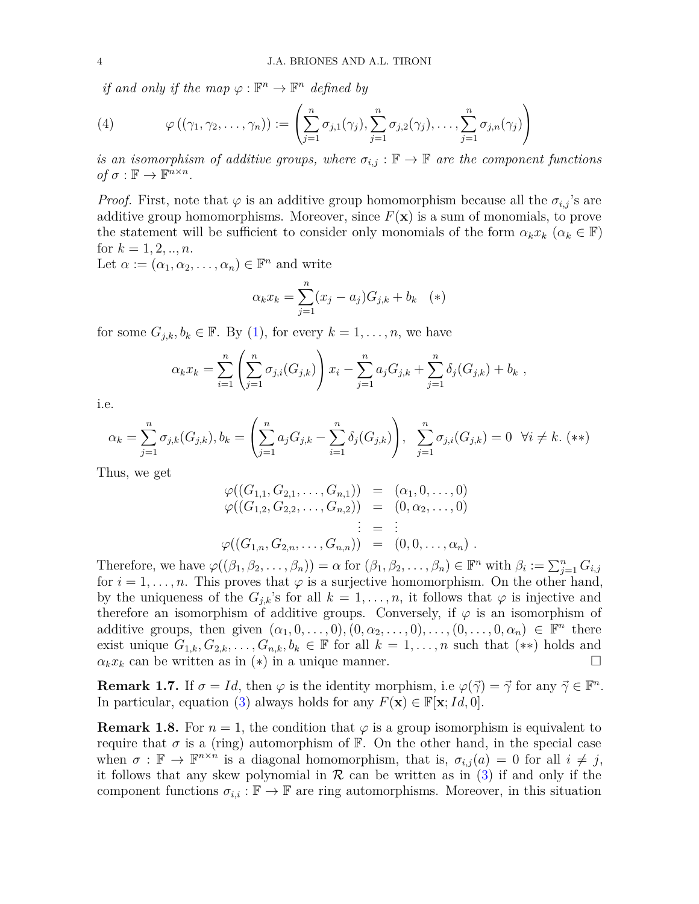*if and only if the map*  $\varphi : \mathbb{F}^n \to \mathbb{F}^n$  *defined by* 

<span id="page-3-0"></span>(4) 
$$
\varphi((\gamma_1, \gamma_2, \ldots, \gamma_n)) := \left( \sum_{j=1}^n \sigma_{j,1}(\gamma_j), \sum_{j=1}^n \sigma_{j,2}(\gamma_j), \ldots, \sum_{j=1}^n \sigma_{j,n}(\gamma_j) \right)
$$

*is an isomorphism of additive groups, where*  $\sigma_{i,j}$ :  $\mathbb{F} \to \mathbb{F}$  *are the component functions*  $of \sigma : \mathbb{F} \to \mathbb{F}^{n \times n}$ .

*Proof.* First, note that  $\varphi$  is an additive group homomorphism because all the  $\sigma_{i,j}$ 's are additive group homomorphisms. Moreover, since  $F(\mathbf{x})$  is a sum of monomials, to prove the statement will be sufficient to consider only monomials of the form  $\alpha_k x_k$  ( $\alpha_k \in \mathbb{F}$ ) for  $k = 1, 2, ..., n$ .

Let  $\alpha := (\alpha_1, \alpha_2, \dots, \alpha_n) \in \mathbb{F}^n$  and write

$$
\alpha_k x_k = \sum_{j=1}^n (x_j - a_j) G_{j,k} + b_k \quad (*)
$$

for some  $G_{j,k}, b_k \in \mathbb{F}$ . By [\(1\)](#page-2-1), for every  $k = 1, \ldots, n$ , we have

$$
\alpha_k x_k = \sum_{i=1}^n \left( \sum_{j=1}^n \sigma_{j,i}(G_{j,k}) \right) x_i - \sum_{j=1}^n a_j G_{j,k} + \sum_{j=1}^n \delta_j(G_{j,k}) + b_k,
$$

i.e.

$$
\alpha_k = \sum_{j=1}^n \sigma_{j,k}(G_{j,k}), b_k = \left(\sum_{j=1}^n a_j G_{j,k} - \sum_{i=1}^n \delta_j(G_{j,k})\right), \quad \sum_{j=1}^n \sigma_{j,i}(G_{j,k}) = 0 \quad \forall i \neq k. \tag{**}
$$

Thus, we get

$$
\varphi((G_{1,1}, G_{2,1}, \ldots, G_{n,1})) = (\alpha_1, 0, \ldots, 0)
$$
  
\n
$$
\varphi((G_{1,2}, G_{2,2}, \ldots, G_{n,2})) = (0, \alpha_2, \ldots, 0)
$$
  
\n
$$
\vdots = \vdots
$$
  
\n
$$
\varphi((G_{1,n}, G_{2,n}, \ldots, G_{n,n})) = (0, 0, \ldots, \alpha_n).
$$

Therefore, we have  $\varphi((\beta_1, \beta_2, \ldots, \beta_n)) = \alpha$  for  $(\beta_1, \beta_2, \ldots, \beta_n) \in \mathbb{F}^n$  with  $\beta_i := \sum_{j=1}^n G_{i,j}$ for  $i = 1, \ldots, n$ . This proves that  $\varphi$  is a surjective homomorphism. On the other hand, by the uniqueness of the  $G_{j,k}$ 's for all  $k = 1, \ldots, n$ , it follows that  $\varphi$  is injective and therefore an isomorphism of additive groups. Conversely, if  $\varphi$  is an isomorphism of additive groups, then given  $(\alpha_1, 0, \ldots, 0), (0, \alpha_2, \ldots, 0), \ldots, (0, \ldots, 0, \alpha_n) \in \mathbb{F}^n$  there exist unique  $G_{1,k}, G_{2,k}, \ldots, G_{n,k}, b_k \in \mathbb{F}$  for all  $k = 1, \ldots, n$  such that  $(**)$  holds and  $\alpha_k x_k$  can be written as in (\*) in a unique manner.

**Remark 1.7.** If  $\sigma = Id$ , then  $\varphi$  is the identity morphism, i.e  $\varphi(\vec{\gamma}) = \vec{\gamma}$  for any  $\vec{\gamma} \in \mathbb{F}^n$ . In particular, equation [\(3\)](#page-2-2) always holds for any  $F(\mathbf{x}) \in \mathbb{F}[\mathbf{x}; Id, 0].$ 

**Remark 1.8.** For  $n = 1$ , the condition that  $\varphi$  is a group isomorphism is equivalent to require that  $\sigma$  is a (ring) automorphism of  $\mathbb{F}$ . On the other hand, in the special case when  $\sigma : \mathbb{F} \to \mathbb{F}^{n \times n}$  is a diagonal homomorphism, that is,  $\sigma_{i,j}(a) = 0$  for all  $i \neq j$ , it follows that any skew polynomial in  $\mathcal R$  can be written as in [\(3\)](#page-2-2) if and only if the component functions  $\sigma_{i,i} : \mathbb{F} \to \mathbb{F}$  are ring automorphisms. Moreover, in this situation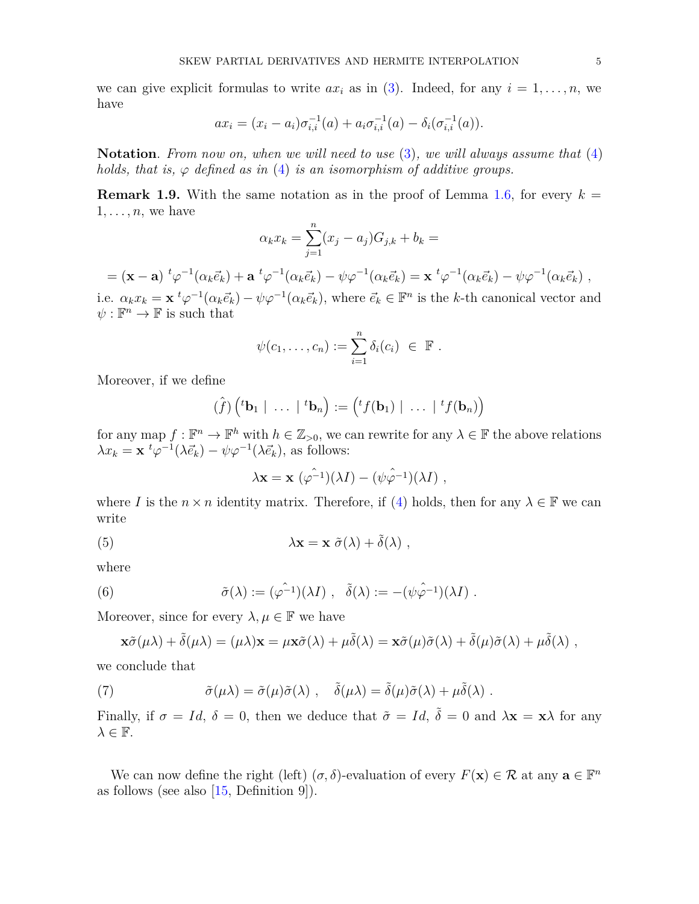we can give explicit formulas to write  $ax_i$  as in [\(3\)](#page-2-2). Indeed, for any  $i = 1, \ldots, n$ , we have

$$
ax_i = (x_i - a_i)\sigma_{i,i}^{-1}(a) + a_i \sigma_{i,i}^{-1}(a) - \delta_i(\sigma_{i,i}^{-1}(a)).
$$

**Notation**. *From now on, when we will need to use* [\(3\)](#page-2-2)*, we will always assume that* [\(4\)](#page-3-0) *holds, that is,*  $\varphi$  *defined as in* [\(4\)](#page-3-0) *is an isomorphism of additive groups.* 

<span id="page-4-0"></span>**Remark 1.9.** With the same notation as in the proof of Lemma [1.6,](#page-2-3) for every  $k =$  $1, \ldots, n$ , we have

$$
\alpha_k x_k = \sum_{j=1}^n (x_j - a_j) G_{j,k} + b_k =
$$

 $= (\mathbf{x} - \mathbf{a}) \ {}^t\varphi^{-1}(\alpha_k \vec{e}_k) + \mathbf{a} \ {}^t\varphi^{-1}(\alpha_k \vec{e}_k) - \psi\varphi^{-1}(\alpha_k \vec{e}_k) = \mathbf{x} \ {}^t\varphi^{-1}(\alpha_k \vec{e}_k) - \psi\varphi^{-1}(\alpha_k \vec{e}_k) \;,$ i.e.  $\alpha_k x_k = \mathbf{x}^t \varphi^{-1}(\alpha_k \vec{e}_k) - \psi \varphi^{-1}(\alpha_k \vec{e}_k)$ , where  $\vec{e}_k \in \mathbb{F}^n$  is the k-th canonical vector and

 $\psi: \mathbb{F}^n \to \mathbb{F}$  is such that

$$
\psi(c_1,\ldots,c_n):=\sum_{i=1}^n\delta_i(c_i)\ \in\ \mathbb{F}.
$$

Moreover, if we define

$$
(\hat{f})\left(^t\mathbf{b}_1 \mid \ldots \mid ^t\mathbf{b}_n\right) := \left(^tf(\mathbf{b}_1) \mid \ldots \mid ^tf(\mathbf{b}_n)\right)
$$

for any map  $f: \mathbb{F}^n \to \mathbb{F}^h$  with  $h \in \mathbb{Z}_{>0}$ , we can rewrite for any  $\lambda \in \mathbb{F}$  the above relations  $\lambda x_k = \mathbf{x} \, ^t \varphi^{-1} (\lambda \vec{e}_k) - \psi \varphi^{-1} (\lambda \vec{e}_k)$ , as follows:

<span id="page-4-1"></span>
$$
\lambda \mathbf{x} = \mathbf{x} \ (\hat{\varphi^{-1}})(\lambda I) - (\hat{\psi}\hat{\varphi^{-1}})(\lambda I) \ ,
$$

where *I* is the  $n \times n$  identity matrix. Therefore, if [\(4\)](#page-3-0) holds, then for any  $\lambda \in \mathbb{F}$  we can write

(5) 
$$
\lambda \mathbf{x} = \mathbf{x} \; \tilde{\sigma}(\lambda) + \tilde{\delta}(\lambda) \; ,
$$

where

(6) 
$$
\tilde{\sigma}(\lambda) := (\varphi^{-1})(\lambda I) , \quad \tilde{\delta}(\lambda) := -(\psi \hat{\varphi}^{-1})(\lambda I) .
$$

Moreover, since for every  $\lambda, \mu \in \mathbb{F}$  we have

$$
\mathbf{x}\tilde{\sigma}(\mu\lambda) + \tilde{\delta}(\mu\lambda) = (\mu\lambda)\mathbf{x} = \mu\mathbf{x}\tilde{\sigma}(\lambda) + \mu\tilde{\delta}(\lambda) = \mathbf{x}\tilde{\sigma}(\mu)\tilde{\sigma}(\lambda) + \tilde{\delta}(\mu)\tilde{\sigma}(\lambda) + \mu\tilde{\delta}(\lambda) ,
$$

we conclude that

(7) 
$$
\tilde{\sigma}(\mu\lambda) = \tilde{\sigma}(\mu)\tilde{\sigma}(\lambda) , \quad \tilde{\delta}(\mu\lambda) = \tilde{\delta}(\mu)\tilde{\sigma}(\lambda) + \mu\tilde{\delta}(\lambda) .
$$

Finally, if  $\sigma = Id$ ,  $\delta = 0$ , then we deduce that  $\tilde{\sigma} = Id$ ,  $\tilde{\delta} = 0$  and  $\lambda \mathbf{x} = \mathbf{x} \lambda$  for any  $\lambda \in \mathbb{F}$ .

We can now define the right (left)  $(\sigma, \delta)$ -evaluation of every  $F(\mathbf{x}) \in \mathcal{R}$  at any  $\mathbf{a} \in \mathbb{F}^n$ as follows (see also  $[15,$  Definition 9]).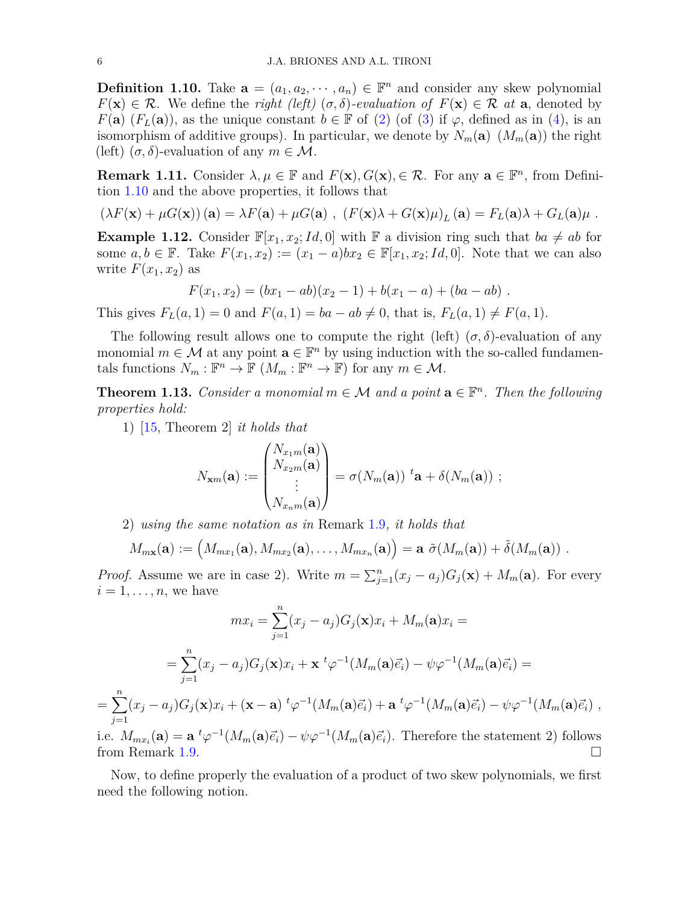<span id="page-5-0"></span>**Definition 1.10.** Take  $\mathbf{a} = (a_1, a_2, \dots, a_n) \in \mathbb{F}^n$  and consider any skew polynomial  $F(\mathbf{x}) \in \mathcal{R}$ . We define the *right (left)* ( $\sigma$ , $\delta$ )*-evaluation of*  $F(\mathbf{x}) \in \mathcal{R}$  *at* **a**, denoted by *F*(**a**) (*F*<sub>*L*</sub>(**a**)), as the unique constant  $b \in \mathbb{F}$  of [\(2\)](#page-2-4) (of [\(3\)](#page-2-2) if  $\varphi$ , defined as in [\(4\)](#page-3-0), is an isomorphism of additive groups). In particular, we denote by  $N_m(\mathbf{a})$   $(M_m(\mathbf{a}))$  the right (left)  $(\sigma, \delta)$ -evaluation of any  $m \in \mathcal{M}$ .

**Remark 1.11.** Consider  $\lambda, \mu \in \mathbb{F}$  and  $F(\mathbf{x}), G(\mathbf{x}), \in \mathcal{R}$ . For any  $\mathbf{a} \in \mathbb{F}^n$ , from Definition [1.10](#page-5-0) and the above properties, it follows that

$$
(\lambda F(\mathbf{x}) + \mu G(\mathbf{x})) (\mathbf{a}) = \lambda F(\mathbf{a}) + \mu G(\mathbf{a}), \ (F(\mathbf{x})\lambda + G(\mathbf{x})\mu)_L (\mathbf{a}) = F_L(\mathbf{a})\lambda + G_L(\mathbf{a})\mu.
$$

**Example 1.12.** Consider  $\mathbb{F}[x_1, x_2; Id, 0]$  with  $\mathbb{F}$  a division ring such that  $ba \neq ab$  for some  $a, b \in \mathbb{F}$ . Take  $F(x_1, x_2) := (x_1 - a)bx_2 \in \mathbb{F}[x_1, x_2; Id, 0]$ . Note that we can also write  $F(x_1, x_2)$  as

$$
F(x_1, x_2) = (bx_1 - ab)(x_2 - 1) + b(x_1 - a) + (ba - ab).
$$

This gives  $F_L(a, 1) = 0$  and  $F(a, 1) = ba - ab \neq 0$ , that is,  $F_L(a, 1) \neq F(a, 1)$ .

The following result allows one to compute the right (left)  $(\sigma, \delta)$ -evaluation of any monomial  $m \in \mathcal{M}$  at any point  $\mathbf{a} \in \mathbb{F}^n$  by using induction with the so-called fundamentals functions  $N_m : \mathbb{F}^n \to \mathbb{F}$   $(M_m : \mathbb{F}^n \to \mathbb{F})$  for any  $m \in \mathcal{M}$ .

**Theorem 1.13.** *Consider a monomial*  $m \in \mathcal{M}$  *and a point*  $\mathbf{a} \in \mathbb{F}^n$ *. Then the following properties hold:*

1) [\[15,](#page-30-10) Theorem 2] *it holds that*

$$
N_{\mathbf{x}m}(\mathbf{a}) := \begin{pmatrix} N_{x_1m}(\mathbf{a}) \\ N_{x_2m}(\mathbf{a}) \\ \vdots \\ N_{x_nm}(\mathbf{a}) \end{pmatrix} = \sigma(N_m(\mathbf{a})) \, \,^t \mathbf{a} + \delta(N_m(\mathbf{a})) \, \, ;
$$

2) *using the same notation as in* Remark [1.9](#page-4-0)*, it holds that*

$$
M_{m\mathbf{x}}(\mathbf{a}) := (M_{mx_1}(\mathbf{a}), M_{mx_2}(\mathbf{a}), \ldots, M_{mx_n}(\mathbf{a})) = \mathbf{a} \ \tilde{\sigma}(M_m(\mathbf{a})) + \tilde{\delta}(M_m(\mathbf{a})) \ .
$$

*Proof.* Assume we are in case 2). Write  $m = \sum_{j=1}^{n} (x_j - a_j)G_j(\mathbf{x}) + M_m(\mathbf{a})$ . For every  $i = 1, \ldots, n$ , we have

$$
mx_i = \sum_{j=1}^n (x_j - a_j)G_j(\mathbf{x})x_i + M_m(\mathbf{a})x_i =
$$
  
\n
$$
= \sum_{j=1}^n (x_j - a_j)G_j(\mathbf{x})x_i + \mathbf{x}^t \varphi^{-1}(M_m(\mathbf{a})\vec{e}_i) - \psi \varphi^{-1}(M_m(\mathbf{a})\vec{e}_i) =
$$
  
\n
$$
= \sum_{j=1}^n (x_j - a_j)G_j(\mathbf{x})x_i + (\mathbf{x} - \mathbf{a})^t \varphi^{-1}(M_m(\mathbf{a})\vec{e}_i) + \mathbf{a}^t \varphi^{-1}(M_m(\mathbf{a})\vec{e}_i) - \psi \varphi^{-1}(M_m(\mathbf{a})\vec{e}_i) ,
$$
  
\ni.e.  $M_{mx_i}(\mathbf{a}) = \mathbf{a}^t \varphi^{-1}(M_m(\mathbf{a})\vec{e}_i) - \psi \varphi^{-1}(M_m(\mathbf{a})\vec{e}_i).$  Therefore the statement 2) follows

from Remark [1.9.](#page-4-0)

Now, to define properly the evaluation of a product of two skew polynomials, we first need the following notion.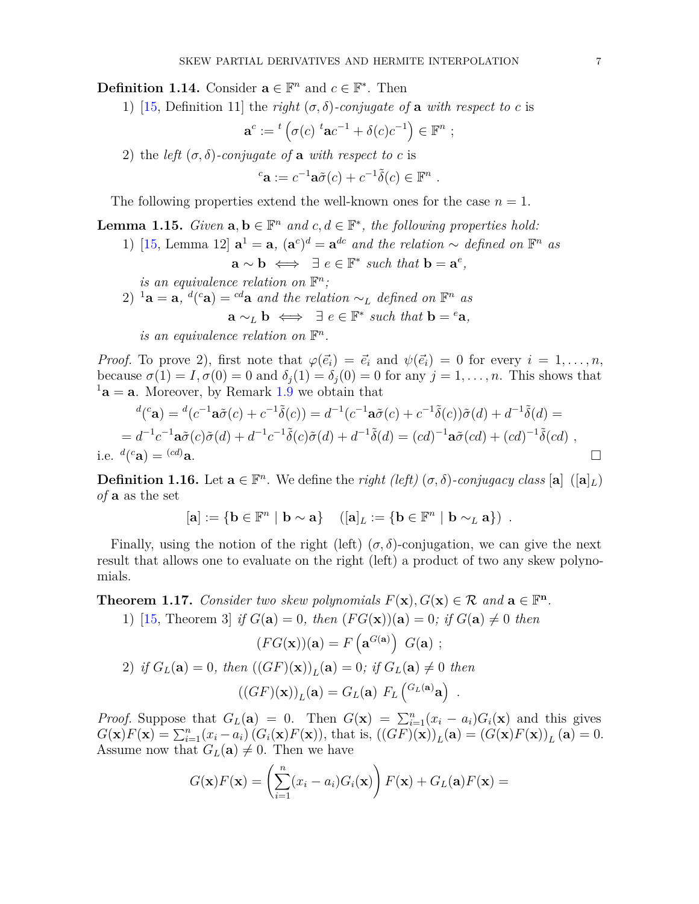**Definition 1.14.** Consider  $\mathbf{a} \in \mathbb{F}^n$  and  $c \in \mathbb{F}^*$ . Then

1) [\[15,](#page-30-10) Definition 11] the *right*  $(\sigma, \delta)$ -*conjugate* of **a** *with respect to c* is

$$
\mathbf{a}^c := {}^t \left( \sigma(c) \ {}^t \mathbf{a} c^{-1} + \delta(c) c^{-1} \right) \in \mathbb{F}^n ;
$$

2) the *left*  $(\sigma, \delta)$ -conjugate of **a** with respect to c is

$$
{}^{c}\mathbf{a} := c^{-1}\mathbf{a}\tilde{\sigma}(c) + c^{-1}\tilde{\delta}(c) \in \mathbb{F}^{n} .
$$

The following properties extend the well-known ones for the case  $n = 1$ .

**Lemma 1.15.** *Given*  $\mathbf{a}, \mathbf{b} \in \mathbb{F}^n$  *and*  $c, d \in \mathbb{F}^*$ *, the following properties hold:* 

1) [\[15,](#page-30-10) Lemma 12]  $\mathbf{a}^1 = \mathbf{a}$ ,  $(\mathbf{a}^c)^d = \mathbf{a}^{dc}$  and the relation  $\sim$  defined on  $\mathbb{F}^n$  as

 $\mathbf{a} \sim \mathbf{b} \iff \exists e \in \mathbb{F}^* \text{ such that } \mathbf{b} = \mathbf{a}^e,$ 

*is an equivalence relation on*  $\mathbb{F}^n$ ;

2) <sup>1</sup>**a** = **a**, <sup>*d*</sup>(<sup>c</sup>**a**) = <sup>*cd*</sup>**a** *and the relation* ∼*L defined on*  $\mathbb{F}^n$  *as* 

$$
\mathbf{a} \sim_L \mathbf{b} \iff \exists e \in \mathbb{F}^* \text{ such that } \mathbf{b} = {}^e \mathbf{a},
$$

*is an equivalence relation on*  $\mathbb{F}^n$ .

*Proof.* To prove 2), first note that  $\varphi(\vec{e}_i) = \vec{e}_i$  and  $\psi(\vec{e}_i) = 0$  for every  $i = 1, \ldots, n$ , because  $\sigma(1) = I$ ,  $\sigma(0) = 0$  and  $\delta_j(1) = \delta_j(0) = 0$  for any  $j = 1, \ldots, n$ . This shows that  $1a = a$ . Moreover, by Remark [1.9](#page-4-0) we obtain that

$$
{}^{d}(c\mathbf{a}) = {}^{d}(c^{-1}\mathbf{a}\tilde{\sigma}(c) + c^{-1}\tilde{\delta}(c)) = d^{-1}(c^{-1}\mathbf{a}\tilde{\sigma}(c) + c^{-1}\tilde{\delta}(c))\tilde{\sigma}(d) + d^{-1}\tilde{\delta}(d) =
$$
  
=  $d^{-1}c^{-1}\mathbf{a}\tilde{\sigma}(c)\tilde{\sigma}(d) + d^{-1}c^{-1}\tilde{\delta}(c)\tilde{\sigma}(d) + d^{-1}\tilde{\delta}(d) = (cd)^{-1}\mathbf{a}\tilde{\sigma}(cd) + (cd)^{-1}\tilde{\delta}(cd)$ ,  
i.e.  ${}^{d}(c\mathbf{a}) = {}^{(cd)}\mathbf{a}$ .

**Definition 1.16.** Let  $\mathbf{a} \in \mathbb{F}^n$ . We define the *right (left)*  $(\sigma, \delta)$ *-conjugacy class*  $[\mathbf{a}]$   $([\mathbf{a}]_L)$ *of* **a** as the set

$$
[\mathbf{a}] := \{ \mathbf{b} \in \mathbb{F}^n \mid \mathbf{b} \sim \mathbf{a} \} \quad ([\mathbf{a}]_L := \{ \mathbf{b} \in \mathbb{F}^n \mid \mathbf{b} \sim_L \mathbf{a} \} ) \ .
$$

Finally, using the notion of the right (left)  $(\sigma, \delta)$ -conjugation, we can give the next result that allows one to evaluate on the right (left) a product of two any skew polynomials.

<span id="page-6-0"></span>**Theorem 1.17.** *Consider two skew polynomials*  $F(\mathbf{x}), G(\mathbf{x}) \in \mathcal{R}$  and  $\mathbf{a} \in \mathbb{F}^n$ *.* 1) [\[15,](#page-30-10) Theorem 3] *if*  $G(\mathbf{a}) = 0$ *, then*  $(FG(\mathbf{x}))(\mathbf{a}) = 0$ *; if*  $G(\mathbf{a}) \neq 0$  *then* 

$$
(FG(\mathbf{x}))(\mathbf{a}) = F\left(\mathbf{a}^{G(\mathbf{a})}\right) G(\mathbf{a}) ;
$$
  
\n2) if  $G_L(\mathbf{a}) = 0$ , then  $((GF)(\mathbf{x}))_L(\mathbf{a}) = 0$ ; if  $G_L(\mathbf{a}) \neq 0$  then 
$$
((GF)(\mathbf{x}))_L(\mathbf{a}) = G_L(\mathbf{a}) F_L \left(\begin{matrix} G_L(\mathbf{a}) \\ G_L(\mathbf{a}) \end{matrix}\right) .
$$

*Proof.* Suppose that  $G_L(\mathbf{a}) = 0$ . Then  $G(\mathbf{x}) = \sum_{i=1}^n (x_i - a_i) G_i(\mathbf{x})$  and this gives  $G(\mathbf{x})F(\mathbf{x}) = \sum_{i=1}^n (x_i - a_i) (G_i(\mathbf{x})F(\mathbf{x}))$ , that is,  $((GF)(\mathbf{x}))_L(\mathbf{a}) = (G(\mathbf{x})F(\mathbf{x}))_L(\mathbf{a}) = 0$ . Assume now that  $G_L(\mathbf{a}) \neq 0$ . Then we have

$$
G(\mathbf{x})F(\mathbf{x}) = \left(\sum_{i=1}^{n} (x_i - a_i)G_i(\mathbf{x})\right)F(\mathbf{x}) + G_L(\mathbf{a})F(\mathbf{x}) =
$$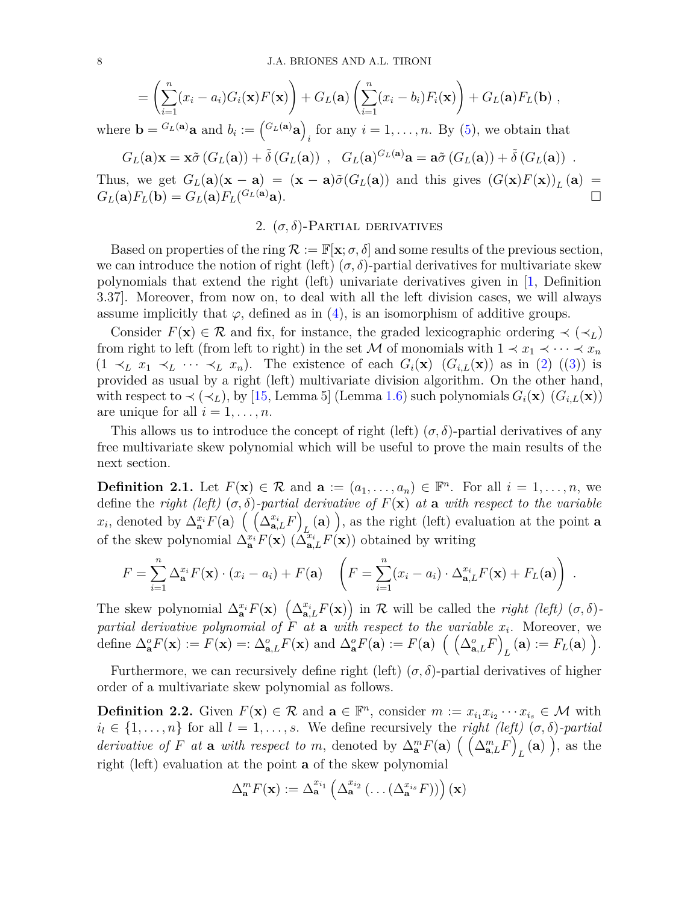$$
= \left(\sum_{i=1}^n (x_i - a_i)G_i(\mathbf{x})F(\mathbf{x})\right) + G_L(\mathbf{a})\left(\sum_{i=1}^n (x_i - b_i)F_i(\mathbf{x})\right) + G_L(\mathbf{a})F_L(\mathbf{b}),
$$

where  $\mathbf{b} = {}^{G_L(\mathbf{a})}\mathbf{a}$  and  $b_i := ({}^{G_L(\mathbf{a})}\mathbf{a})$  $i_i$  for any  $i = 1, \ldots, n$ . By [\(5\)](#page-4-1), we obtain that

$$
G_L(\mathbf{a})\mathbf{x} = \mathbf{x}\tilde{\sigma}(G_L(\mathbf{a})) + \tilde{\delta}(G_L(\mathbf{a})) , \quad G_L(\mathbf{a})^{G_L(\mathbf{a})}\mathbf{a} = \mathbf{a}\tilde{\sigma}(G_L(\mathbf{a})) + \tilde{\delta}(G_L(\mathbf{a})) .
$$

<span id="page-7-2"></span>Thus, we get  $G_L(\mathbf{a})(\mathbf{x} - \mathbf{a}) = (\mathbf{x} - \mathbf{a})\tilde{\sigma}(G_L(\mathbf{a}))$  and this gives  $(G(\mathbf{x})F(\mathbf{x}))_L(\mathbf{a}) =$  $G_L(\mathbf{a})F_L(\mathbf{b}) = G_L(\mathbf{a})F_L(\frac{G_L(\mathbf{a})}{\mathbf{a}}).$ 

## 2.  $(\sigma, \delta)$ -Partial derivatives

Based on properties of the ring  $\mathcal{R} := \mathbb{F}[\mathbf{x}; \sigma, \delta]$  and some results of the previous section, we can introduce the notion of right (left)  $(\sigma, \delta)$ -partial derivatives for multivariate skew polynomials that extend the right (left) univariate derivatives given in [\[1,](#page-30-17) Definition 3.37]. Moreover, from now on, to deal with all the left division cases, we will always assume implicitly that  $\varphi$ , defined as in [\(4\)](#page-3-0), is an isomorphism of additive groups.

Consider  $F(\mathbf{x}) \in \mathcal{R}$  and fix, for instance, the graded lexicographic ordering  $\prec (\prec_L)$ from right to left (from left to right) in the set M of monomials with  $1 \prec x_1 \prec \cdots \prec x_n$  $(1 \prec_L x_1 \prec_L \cdots \prec_L x_n)$ . The existence of each  $G_i(\mathbf{x})$   $(G_{i,L}(\mathbf{x}))$  as in [\(2\)](#page-2-4) ([\(3\)](#page-2-2)) is provided as usual by a right (left) multivariate division algorithm. On the other hand, with respect to  $\prec (\prec_L)$ , by [\[15,](#page-30-10) Lemma 5] (Lemma [1.6\)](#page-2-3) such polynomials  $G_i(\mathbf{x})$  ( $G_{i,L}(\mathbf{x})$ ) are unique for all  $i = 1, \ldots, n$ .

This allows us to introduce the concept of right (left)  $(\sigma, \delta)$ -partial derivatives of any free multivariate skew polynomial which will be useful to prove the main results of the next section.

<span id="page-7-0"></span>**Definition 2.1.** Let  $F(\mathbf{x}) \in \mathcal{R}$  and  $\mathbf{a} := (a_1, \ldots, a_n) \in \mathbb{F}^n$ . For all  $i = 1, \ldots, n$ , we define the *right (left)*  $(\sigma, \delta)$ -partial derivative of  $F(\mathbf{x})$  at a with respect to the variable  $x_i$ , denoted by  $\Delta^{x_i}_{\mathbf{a}} F(\mathbf{a}) \ \left( \ \left( \Delta^{x_i}_{\mathbf{a},L} F \right)$  $L_{\text{L}}(\mathbf{a})$ , as the right (left) evaluation at the point **a** of the skew polynomial  $\Delta_{\mathbf{a}}^{x_i} F(\mathbf{x})$  ( $\Delta_{\mathbf{a},L}^{x_i} F(\mathbf{x})$ ) obtained by writing

$$
F = \sum_{i=1}^{n} \Delta_{\mathbf{a}}^{x_i} F(\mathbf{x}) \cdot (x_i - a_i) + F(\mathbf{a}) \quad \left( F = \sum_{i=1}^{n} (x_i - a_i) \cdot \Delta_{\mathbf{a},L}^{x_i} F(\mathbf{x}) + F_L(\mathbf{a}) \right) .
$$

The skew polynomial  $\Delta_{\mathbf{a}}^{x_i} F(\mathbf{x}) \left( \Delta_{\mathbf{a},L}^{x_i} F(\mathbf{x}) \right)$  in R will be called the *right (left)*  $(\sigma, \delta)$ *partial derivative polynomial of*  $F$  *at* **a** *with respect to the variable*  $x_i$ . Moreover, we define  $\Delta_{\mathbf{a}}^o F(\mathbf{x}) := F(\mathbf{x}) =: \Delta_{\mathbf{a},L}^o F(\mathbf{x})$  and  $\Delta_{\mathbf{a}}^o F(\mathbf{a}) := F(\mathbf{a}) \left( \begin{pmatrix} \Delta_{\mathbf{a},L}^o F \end{pmatrix} \right)$  $L$  (**a**) :=  $F_L$  (**a**) ).

Furthermore, we can recursively define right (left)  $(\sigma, \delta)$ -partial derivatives of higher order of a multivariate skew polynomial as follows.

<span id="page-7-1"></span>**Definition 2.2.** Given  $F(\mathbf{x}) \in \mathcal{R}$  and  $\mathbf{a} \in \mathbb{F}^n$ , consider  $m := x_{i_1} x_{i_2} \cdots x_{i_s} \in \mathcal{M}$  with  $i_l \in \{1, \ldots, n\}$  for all  $l = 1, \ldots, s$ . We define recursively the *right (left)*  $(\sigma, \delta)$ -partial *derivative of F at* **a** *with respect to m*, denoted by  $\Delta_{\bf{a}}^{m} F({\bf{a}}) \left( \Delta_{\bf{a},L}^{m} F \right)$  $_L$  (a)  $\Big)$ , as the right (left) evaluation at the point **a** of the skew polynomial

$$
\Delta_{\mathbf{a}}^m F(\mathbf{x}) := \Delta_{\mathbf{a}}^{x_{i_1}} \left( \Delta_{\mathbf{a}}^{x_{i_2}} \left( \ldots \left( \Delta_{\mathbf{a}}^{x_{i_s}} F \right) \right) \right) (\mathbf{x})
$$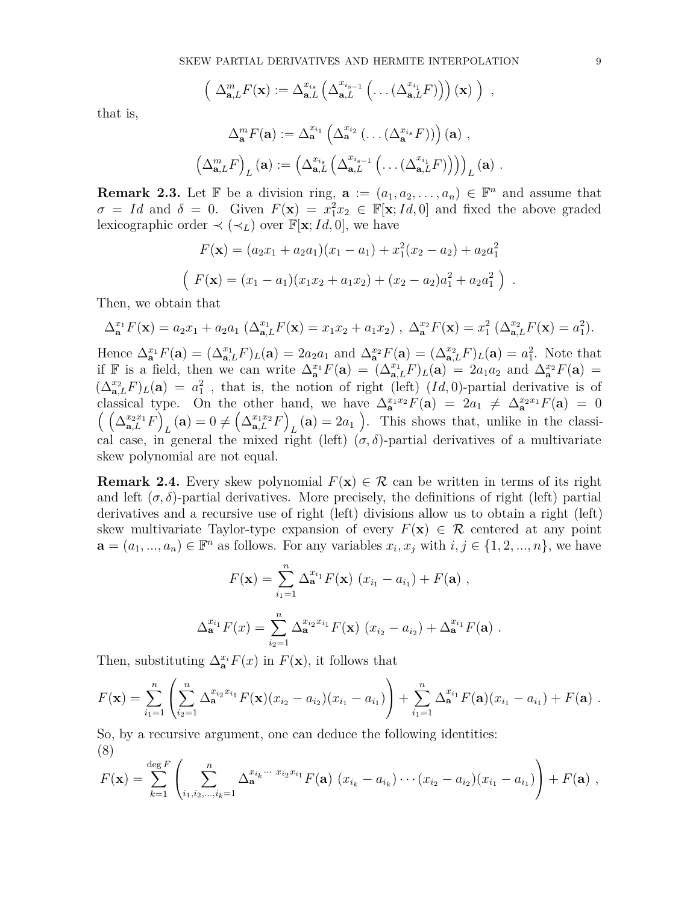$$
\left(\Delta_{\mathbf{a},L}^m F(\mathbf{x}) := \Delta_{\mathbf{a},L}^{x_{i_s}} \left(\Delta_{\mathbf{a},L}^{x_{i_{s-1}}} \left(\ldots \left(\Delta_{\mathbf{a},L}^{x_{i_1}} F\right)\right)\right)(\mathbf{x})\right),
$$

that is,

$$
\Delta_{\mathbf{a}}^m F(\mathbf{a}) := \Delta_{\mathbf{a}}^{x_{i_1}} \left( \Delta_{\mathbf{a}}^{x_{i_2}} \left( \dots \left( \Delta_{\mathbf{a}}^{x_{i_s}} F \right) \right) \right) (\mathbf{a}) ,
$$

$$
\left( \Delta_{\mathbf{a},L}^m F \right)_L (\mathbf{a}) := \left( \Delta_{\mathbf{a},L}^{x_{i_s}} \left( \Delta_{\mathbf{a},L}^{x_{i_{s-1}}} \left( \dots \left( \Delta_{\mathbf{a},L}^{x_{i_1}} F \right) \right) \right) \right)_L (\mathbf{a}) .
$$

**Remark 2.3.** Let  $\mathbb{F}$  be a division ring,  $\mathbf{a} := (a_1, a_2, \ldots, a_n) \in \mathbb{F}^n$  and assume that  $\sigma = Id$  and  $\delta = 0$ . Given  $F(\mathbf{x}) = x_1^2 x_2 \in \mathbb{F}[\mathbf{x}; Id, 0]$  and fixed the above graded lexicographic order  $\prec (\prec_L)$  over  $\mathbb{F}[\mathbf{x}; Id, 0]$ , we have

$$
F(\mathbf{x}) = (a_2x_1 + a_2a_1)(x_1 - a_1) + x_1^2(x_2 - a_2) + a_2a_1^2
$$

$$
(F(\mathbf{x}) = (x_1 - a_1)(x_1x_2 + a_1x_2) + (x_2 - a_2)a_1^2 + a_2a_1^2)
$$

Then, we obtain that

$$
\Delta_{\mathbf{a}}^{x_1} F(\mathbf{x}) = a_2 x_1 + a_2 a_1 \left( \Delta_{\mathbf{a},L}^{x_1} F(\mathbf{x}) = x_1 x_2 + a_1 x_2 \right), \ \Delta_{\mathbf{a}}^{x_2} F(\mathbf{x}) = x_1^2 \left( \Delta_{\mathbf{a},L}^{x_2} F(\mathbf{x}) = a_1^2 \right).
$$

Hence  $\Delta_{\mathbf{a}}^{x_1} F(\mathbf{a}) = (\Delta_{\mathbf{a},L}^{x_1} F)_L(\mathbf{a}) = 2a_2a_1$  and  $\Delta_{\mathbf{a}}^{x_2} F(\mathbf{a}) = (\Delta_{\mathbf{a},L}^{x_2} F)_L(\mathbf{a}) = a_1^2$ . Note that if F is a field, then we can write  $\Delta_{\mathbf{a}}^{x_1}F(\mathbf{a}) = (\Delta_{\mathbf{a},L}^{x_1}F)_L(\mathbf{a}) = 2a_1a_2$  and  $\Delta_{\mathbf{a}}^{x_2}F(\mathbf{a}) =$  $(\Delta_{\mathbf{a},L}^{x_2}F)_L(\mathbf{a}) = a_1^2$ , that is, the notion of right (left)  $(Id, 0)$ -partial derivative is of classical type. On the other hand, we have  $\Delta_{\mathbf{a}}^{x_1x_2}F(\mathbf{a}) = 2a_1 \neq \Delta_{\mathbf{a}}^{x_2x_1}F(\mathbf{a}) = 0$  $\left(\left(\Delta_{\mathbf{a},L}^{x_2x_1}F\right)$  $L$ **(a**) =  $0 \neq (\Delta_{\mathbf{a},L}^{x_1x_2}F)$  $L(\mathbf{a}) = 2a_1$ ). This shows that, unlike in the classical case, in general the mixed right (left)  $(\sigma, \delta)$ -partial derivatives of a multivariate skew polynomial are not equal.

**Remark 2.4.** Every skew polynomial  $F(\mathbf{x}) \in \mathcal{R}$  can be written in terms of its right and left  $(\sigma, \delta)$ -partial derivatives. More precisely, the definitions of right (left) partial derivatives and a recursive use of right (left) divisions allow us to obtain a right (left) skew multivariate Taylor-type expansion of every  $F(\mathbf{x}) \in \mathcal{R}$  centered at any point  $\mathbf{a} = (a_1, ..., a_n) \in \mathbb{F}^n$  as follows. For any variables  $x_i, x_j$  with  $i, j \in \{1, 2, ..., n\}$ , we have

$$
F(\mathbf{x}) = \sum_{i_1=1}^n \Delta_{\mathbf{a}}^{x_{i_1}} F(\mathbf{x}) (x_{i_1} - a_{i_1}) + F(\mathbf{a}),
$$
  

$$
\Delta_{\mathbf{a}}^{x_{i_1}} F(x) = \sum_{i_2=1}^n \Delta_{\mathbf{a}}^{x_{i_2}x_{i_1}} F(\mathbf{x}) (x_{i_2} - a_{i_2}) + \Delta_{\mathbf{a}}^{x_{i_1}} F(\mathbf{a}).
$$

Then, substituting  $\Delta_{\mathbf{a}}^{x_i} F(x)$  in  $F(\mathbf{x})$ , it follows that

$$
F(\mathbf{x}) = \sum_{i_1=1}^n \left( \sum_{i_2=1}^n \Delta_{\mathbf{a}}^{x_{i_2}x_{i_1}} F(\mathbf{x}) (x_{i_2} - a_{i_2}) (x_{i_1} - a_{i_1}) \right) + \sum_{i_1=1}^n \Delta_{\mathbf{a}}^{x_{i_1}} F(\mathbf{a}) (x_{i_1} - a_{i_1}) + F(\mathbf{a}) .
$$

So, by a recursive argument, one can deduce the following identities: (8)

$$
F(\mathbf{x}) = \sum_{k=1}^{\deg F} \left( \sum_{i_1,i_2,\dots,i_k=1}^n \Delta_{\mathbf{a}}^{x_{i_k}\cdots x_{i_2}x_{i_1}} F(\mathbf{a}) \ (x_{i_k} - a_{i_k}) \cdots (x_{i_2} - a_{i_2}) (x_{i_1} - a_{i_1}) \right) + F(\mathbf{a}) \ ,
$$

*.*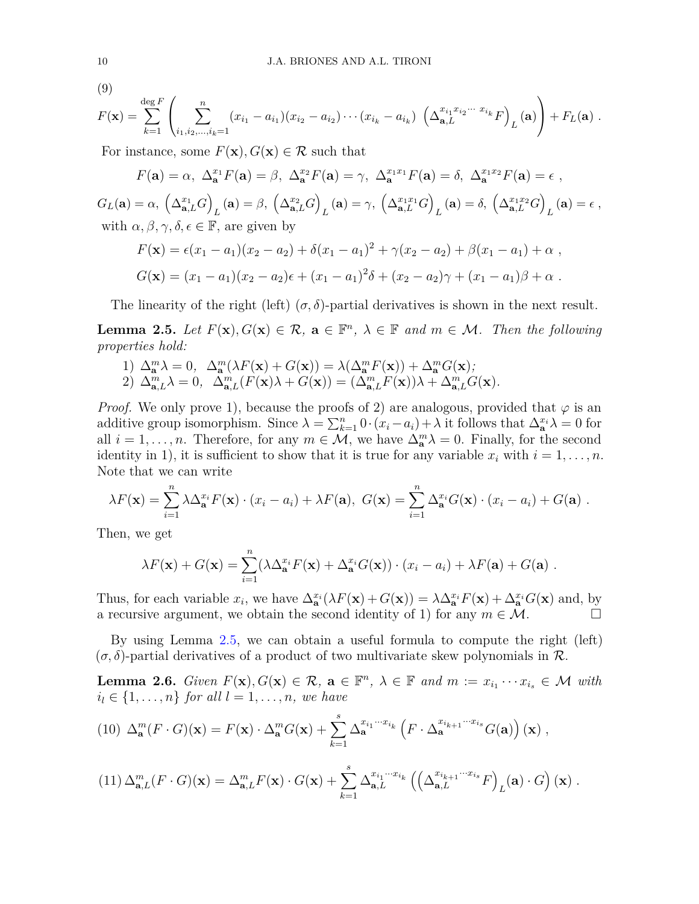(9)

$$
F(\mathbf{x}) = \sum_{k=1}^{\deg F} \left( \sum_{i_1,i_2,\dots,i_k=1}^n (x_{i_1} - a_{i_1})(x_{i_2} - a_{i_2}) \cdots (x_{i_k} - a_{i_k}) \left( \Delta_{\mathbf{a},L}^{x_{i_1}x_{i_2}\cdots x_{i_k}} F \right)_L(\mathbf{a}) \right) + F_L(\mathbf{a}).
$$

For instance, some  $F(\mathbf{x})$ ,  $G(\mathbf{x}) \in \mathcal{R}$  such that

$$
F(\mathbf{a}) = \alpha, \ \Delta_{\mathbf{a}}^{x_1} F(\mathbf{a}) = \beta, \ \Delta_{\mathbf{a}}^{x_2} F(\mathbf{a}) = \gamma, \ \Delta_{\mathbf{a}}^{x_1 x_1} F(\mathbf{a}) = \delta, \ \Delta_{\mathbf{a}}^{x_1 x_2} F(\mathbf{a}) = \epsilon,
$$

 $G_L(\mathbf{a}) = \alpha, \ \left(\Delta_{\mathbf{a},L}^{x_1}G\right)$  $L(\mathbf{a}) = \beta, \; \left(\Delta_{\mathbf{a},L}^{x_2} G\right)$  $L(\mathbf{a}) = \gamma, \; \left(\Delta_{\mathbf{a},L}^{x_1x_1}G\right)$  $L$ (**a**) =  $\delta$ ,  $\left(\Delta_{\mathbf{a},L}^{x_1x_2}G\right)$  $L(\mathbf{a}) = \epsilon$ , with  $\alpha, \beta, \gamma, \delta, \epsilon \in \mathbb{F}$ , are given by

$$
F(\mathbf{x}) = \epsilon(x_1 - a_1)(x_2 - a_2) + \delta(x_1 - a_1)^2 + \gamma(x_2 - a_2) + \beta(x_1 - a_1) + \alpha ,
$$
  
\n
$$
G(\mathbf{x}) = (x_1 - a_1)(x_2 - a_2)\epsilon + (x_1 - a_1)^2\delta + (x_2 - a_2)\gamma + (x_1 - a_1)\beta + \alpha .
$$

The linearity of the right (left)  $(\sigma, \delta)$ -partial derivatives is shown in the next result.

<span id="page-9-0"></span>**Lemma 2.5.** *Let*  $F(\mathbf{x}), G(\mathbf{x}) \in \mathcal{R}$ ,  $\mathbf{a} \in \mathbb{F}^n$ ,  $\lambda \in \mathbb{F}$  and  $m \in \mathcal{M}$ . Then the following *properties hold:*

1)  $\Delta_{\mathbf{a}}^{m} \lambda = 0$ ,  $\Delta_{\mathbf{a}}^{m} (\lambda F(\mathbf{x}) + G(\mathbf{x})) = \lambda (\Delta_{\mathbf{a}}^{m} F(\mathbf{x})) + \Delta_{\mathbf{a}}^{m} G(\mathbf{x});$ 2)  $\Delta_{\mathbf{a},L}^m \lambda = 0$ ,  $\Delta_{\mathbf{a},L}^m (F(\mathbf{x})\lambda + G(\mathbf{x})) = (\Delta_{\mathbf{a},L}^m F(\mathbf{x}))\lambda + \Delta_{\mathbf{a},L}^m G(\mathbf{x}).$ 

*Proof.* We only prove 1), because the proofs of 2) are analogous, provided that  $\varphi$  is an additive group isomorphism. Since  $\lambda = \sum_{k=1}^{n} 0 \cdot (x_i - a_i) + \lambda$  it follows that  $\Delta_{\mathbf{a}}^{x_i} \lambda = 0$  for all  $i = 1, \ldots, n$ . Therefore, for any  $m \in \mathcal{M}$ , we have  $\Delta_{\mathbf{a}}^{m} \lambda = 0$ . Finally, for the second identity in 1), it is sufficient to show that it is true for any variable  $x_i$  with  $i = 1, \ldots, n$ . Note that we can write

$$
\lambda F(\mathbf{x}) = \sum_{i=1}^n \lambda \Delta_{\mathbf{a}}^{x_i} F(\mathbf{x}) \cdot (x_i - a_i) + \lambda F(\mathbf{a}), \ G(\mathbf{x}) = \sum_{i=1}^n \Delta_{\mathbf{a}}^{x_i} G(\mathbf{x}) \cdot (x_i - a_i) + G(\mathbf{a}).
$$

Then, we get

$$
\lambda F(\mathbf{x}) + G(\mathbf{x}) = \sum_{i=1}^{n} (\lambda \Delta_{\mathbf{a}}^{x_i} F(\mathbf{x}) + \Delta_{\mathbf{a}}^{x_i} G(\mathbf{x})) \cdot (x_i - a_i) + \lambda F(\mathbf{a}) + G(\mathbf{a}) .
$$

Thus, for each variable  $x_i$ , we have  $\Delta_{\mathbf{a}}^{x_i}(\lambda F(\mathbf{x}) + G(\mathbf{x})) = \lambda \Delta_{\mathbf{a}}^{x_i} F(\mathbf{x}) + \Delta_{\mathbf{a}}^{x_i} G(\mathbf{x})$  and, by a recursive argument, we obtain the second identity of 1) for any  $m \in \mathcal{M}$ .

By using Lemma [2.5,](#page-9-0) we can obtain a useful formula to compute the right (left)  $(\sigma, \delta)$ -partial derivatives of a product of two multivariate skew polynomials in R.

<span id="page-9-1"></span>**Lemma 2.6.** *Given*  $F(\mathbf{x}), G(\mathbf{x}) \in \mathcal{R}$ ,  $\mathbf{a} \in \mathbb{F}^n$ ,  $\lambda \in \mathbb{F}$  and  $m := x_{i_1} \cdots x_{i_s} \in \mathcal{M}$  with  $i_l \in \{1, \ldots, n\}$  *for all*  $l = 1, \ldots, n$ *, we have* 

<span id="page-9-2"></span>(10) 
$$
\Delta_{\mathbf{a}}^{m}(F \cdot G)(\mathbf{x}) = F(\mathbf{x}) \cdot \Delta_{\mathbf{a}}^{m} G(\mathbf{x}) + \sum_{k=1}^{s} \Delta_{\mathbf{a}}^{x_{i_1} \cdots x_{i_k}} \left( F \cdot \Delta_{\mathbf{a}}^{x_{i_{k+1}} \cdots x_{i_s}} G(\mathbf{a}) \right)(\mathbf{x}),
$$

<span id="page-9-3"></span>
$$
(11)\ \Delta_{\mathbf{a},L}^m(F \cdot G)(\mathbf{x}) = \Delta_{\mathbf{a},L}^m F(\mathbf{x}) \cdot G(\mathbf{x}) + \sum_{k=1}^s \Delta_{\mathbf{a},L}^{x_{i_1} \cdots x_{i_k}} \left( \left( \Delta_{\mathbf{a},L}^{x_{i_{k+1}} \cdots x_{i_s}} F \right)_L(\mathbf{a}) \cdot G \right)(\mathbf{x}) \ .
$$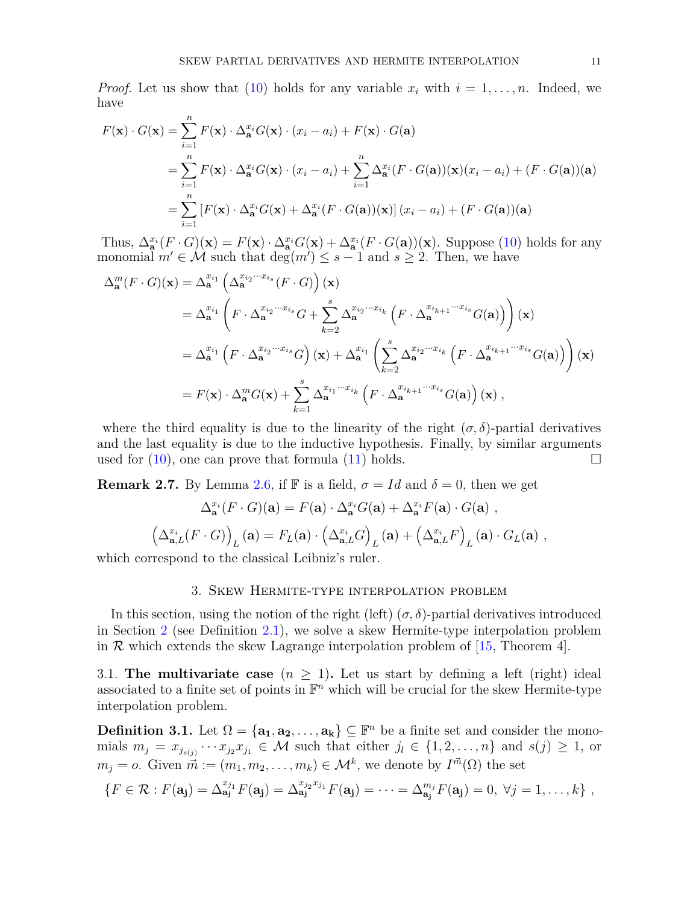*Proof.* Let us show that [\(10\)](#page-9-2) holds for any variable  $x_i$  with  $i = 1, \ldots, n$ . Indeed, we have

$$
F(\mathbf{x}) \cdot G(\mathbf{x}) = \sum_{i=1}^{n} F(\mathbf{x}) \cdot \Delta_{\mathbf{a}}^{x_i} G(\mathbf{x}) \cdot (x_i - a_i) + F(\mathbf{x}) \cdot G(\mathbf{a})
$$
  
= 
$$
\sum_{i=1}^{n} F(\mathbf{x}) \cdot \Delta_{\mathbf{a}}^{x_i} G(\mathbf{x}) \cdot (x_i - a_i) + \sum_{i=1}^{n} \Delta_{\mathbf{a}}^{x_i} (F \cdot G(\mathbf{a}))(\mathbf{x}) (x_i - a_i) + (F \cdot G(\mathbf{a}))(\mathbf{a})
$$
  
= 
$$
\sum_{i=1}^{n} [F(\mathbf{x}) \cdot \Delta_{\mathbf{a}}^{x_i} G(\mathbf{x}) + \Delta_{\mathbf{a}}^{x_i} (F \cdot G(\mathbf{a}))(\mathbf{x})] (x_i - a_i) + (F \cdot G(\mathbf{a}))(\mathbf{a})
$$

Thus,  $\Delta_{\mathbf{a}}^{x_i}(F \cdot G)(\mathbf{x}) = F(\mathbf{x}) \cdot \Delta_{\mathbf{a}}^{x_i}G(\mathbf{x}) + \Delta_{\mathbf{a}}^{x_i}(F \cdot G(\mathbf{a}))(\mathbf{x})$ . Suppose [\(10\)](#page-9-2) holds for any monomial  $m' \in \mathcal{M}$  such that  $\deg(m') \leq s-1$  and  $s \geq 2$ . Then, we have

$$
\Delta_{\mathbf{a}}^{m}(F \cdot G)(\mathbf{x}) = \Delta_{\mathbf{a}}^{x_{i_1}} \left( \Delta_{\mathbf{a}}^{x_{i_2} \cdots x_{i_s}} (F \cdot G) \right)(\mathbf{x})
$$
  
\n
$$
= \Delta_{\mathbf{a}}^{x_{i_1}} \left( F \cdot \Delta_{\mathbf{a}}^{x_{i_2} \cdots x_{i_s}} G + \sum_{k=2}^{s} \Delta_{\mathbf{a}}^{x_{i_2} \cdots x_{i_k}} \left( F \cdot \Delta_{\mathbf{a}}^{x_{i_{k+1}} \cdots x_{i_s}} G(\mathbf{a}) \right) \right)(\mathbf{x})
$$
  
\n
$$
= \Delta_{\mathbf{a}}^{x_{i_1}} \left( F \cdot \Delta_{\mathbf{a}}^{x_{i_2} \cdots x_{i_s}} G \right)(\mathbf{x}) + \Delta_{\mathbf{a}}^{x_{i_1}} \left( \sum_{k=2}^{s} \Delta_{\mathbf{a}}^{x_{i_2} \cdots x_{i_k}} \left( F \cdot \Delta_{\mathbf{a}}^{x_{i_{k+1}} \cdots x_{i_s}} G(\mathbf{a}) \right) \right)(\mathbf{x})
$$
  
\n
$$
= F(\mathbf{x}) \cdot \Delta_{\mathbf{a}}^{m} G(\mathbf{x}) + \sum_{k=1}^{s} \Delta_{\mathbf{a}}^{x_{i_1} \cdots x_{i_k}} \left( F \cdot \Delta_{\mathbf{a}}^{x_{i_{k+1}} \cdots x_{i_s}} G(\mathbf{a}) \right)(\mathbf{x}),
$$

where the third equality is due to the linearity of the right  $(\sigma, \delta)$ -partial derivatives and the last equality is due to the inductive hypothesis. Finally, by similar arguments used for  $(10)$ , one can prove that formula  $(11)$  holds.

**Remark 2.7.** By Lemma [2.6,](#page-9-1) if F is a field,  $\sigma = Id$  and  $\delta = 0$ , then we get

$$
\Delta_{\mathbf{a}}^{x_i}(F \cdot G)(\mathbf{a}) = F(\mathbf{a}) \cdot \Delta_{\mathbf{a}}^{x_i} G(\mathbf{a}) + \Delta_{\mathbf{a}}^{x_i} F(\mathbf{a}) \cdot G(\mathbf{a}),
$$

$$
\left(\Delta_{\mathbf{a},L}^{x_i}(F \cdot G)\right)_L(\mathbf{a}) = F_L(\mathbf{a}) \cdot \left(\Delta_{\mathbf{a},L}^{x_i} G\right)_L(\mathbf{a}) + \left(\Delta_{\mathbf{a},L}^{x_i} F\right)_L(\mathbf{a}) \cdot G_L(\mathbf{a}),
$$

which correspond to the classical Leibniz's ruler.

## 3. Skew Hermite-type interpolation problem

In this section, using the notion of the right (left)  $(\sigma, \delta)$ -partial derivatives introduced in Section [2](#page-7-2) (see Definition [2.1\)](#page-7-0), we solve a skew Hermite-type interpolation problem in  $\mathcal R$  which extends the skew Lagrange interpolation problem of [\[15,](#page-30-10) Theorem 4].

3.1. **The multivariate case**  $(n \geq 1)$ . Let us start by defining a left (right) ideal associated to a finite set of points in  $\mathbb{F}^n$  which will be crucial for the skew Hermite-type interpolation problem.

<span id="page-10-0"></span>**Definition 3.1.** Let  $\Omega = {\mathbf{a_1}, \mathbf{a_2}, \dots, \mathbf{a_k}} \subseteq \mathbb{F}^n$  be a finite set and consider the monomials  $m_j = x_{j_{s(j)}} \cdots x_{j_2} x_{j_1} \in \mathcal{M}$  such that either  $j_l \in \{1, 2, \ldots, n\}$  and  $s(j) \geq 1$ , or  $m_j = o$ . Given  $\vec{m} := (m_1, m_2, \dots, m_k) \in \mathcal{M}^k$ , we denote by  $I^{\vec{m}}(\Omega)$  the set

$$
\{F \in \mathcal{R} : F(\mathbf{a_j}) = \Delta_{\mathbf{a_j}}^{x_{j_1}} F(\mathbf{a_j}) = \Delta_{\mathbf{a_j}}^{x_{j_2} x_{j_1}} F(\mathbf{a_j}) = \cdots = \Delta_{\mathbf{a_j}}^{m_j} F(\mathbf{a_j}) = 0, \ \forall j = 1, \ldots, k\},
$$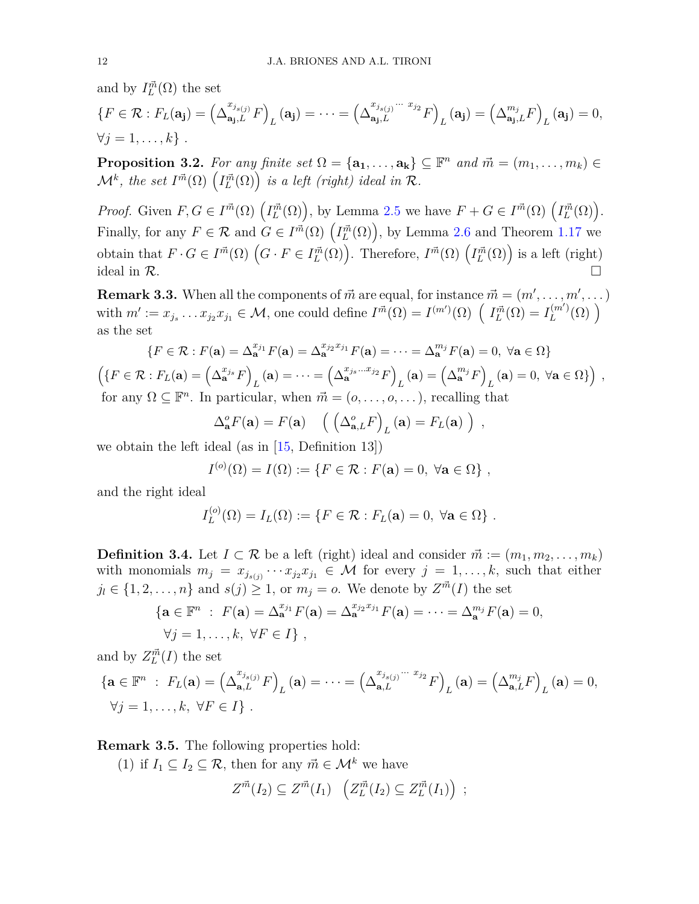and by  $I^{\vec{m}}_L(\Omega)$  the set

$$
\{F \in \mathcal{R} : F_L(\mathbf{a_j}) = \left(\Delta_{\mathbf{a_j},L}^{x_{j_{s(j)}}} F\right)_L(\mathbf{a_j}) = \dots = \left(\Delta_{\mathbf{a_j},L}^{x_{j_{s(j)}}\cdots x_{j_2}} F\right)_L(\mathbf{a_j}) = \left(\Delta_{\mathbf{a_j},L}^{m_j} F\right)_L(\mathbf{a_j}) = 0,
$$
  
\n
$$
\forall j = 1,\dots,k\} .
$$

**Proposition 3.2.** For any finite set  $\Omega = {\mathbf{a_1}, \dots, \mathbf{a_k}} \subseteq \mathbb{F}^n$  and  $\vec{m} = (m_1, \dots, m_k) \in$  $\mathcal{M}^k$ , the set  $I^{\vec{m}}(\Omega)$   $\left(I^{\vec{m}}_L(\Omega)\right)$  is a left (right) ideal in  $\mathcal{R}$ .

*Proof.* Given  $F, G \in I^{\vec{m}}(\Omega)$   $\left( I^{\vec{m}}_L(\Omega) \right)$ , by Lemma [2.5](#page-9-0) we have  $F + G \in I^{\vec{m}}(\Omega)$   $\left( I^{\vec{m}}_L(\Omega) \right)$ . Finally, for any  $F \in \mathcal{R}$  and  $G \in I^{\vec{m}}(\Omega)$   $\left( I_L^{\vec{m}}(\Omega) \right)$ , by Lemma [2.6](#page-9-1) and Theorem [1.17](#page-6-0) we obtain that  $F \cdot G \in I^{\vec{m}}(\Omega)$   $(G \cdot F \in I^{\vec{m}}_L(\Omega))$ . Therefore,  $I^{\vec{m}}(\Omega)$   $(I^{\vec{m}}_L(\Omega))$  is a left (right) ideal in  $\mathcal{R}$ .

**Remark 3.3.** When all the components of  $\vec{m}$  are equal, for instance  $\vec{m} = (m', \ldots, m', \ldots)$ with  $m' := x_{j_s} \dots x_{j_2} x_{j_1} \in \mathcal{M}$ , one could define  $I^{\vec{m}}(\Omega) = I^{(m')}(\Omega) \left( I_L^{\vec{m}}(\Omega) = I_L^{(m')}(\Omega) \right)$ as the set

$$
\{F \in \mathcal{R} : F(\mathbf{a}) = \Delta_{\mathbf{a}}^{x_{j_1}} F(\mathbf{a}) = \Delta_{\mathbf{a}}^{x_{j_2} x_{j_1}} F(\mathbf{a}) = \dots = \Delta_{\mathbf{a}}^{m_j} F(\mathbf{a}) = 0, \ \forall \mathbf{a} \in \Omega\}
$$

$$
\left(\{F \in \mathcal{R} : F_L(\mathbf{a}) = \left(\Delta_{\mathbf{a}}^{x_{j_s}} F\right)_L (\mathbf{a}) = \dots = \left(\Delta_{\mathbf{a}}^{x_{j_s} \dots x_{j_2}} F\right)_L (\mathbf{a}) = \left(\Delta_{\mathbf{a}}^{m_j} F\right)_L (\mathbf{a}) = 0, \ \forall \mathbf{a} \in \Omega\}\right),
$$
for any  $\Omega \subseteq \mathbb{F}^n$ . In particular, when  $\vec{m} = (o, \dots, o, \dots)$ , recalling that

$$
\Delta_{\mathbf{a}}^o F(\mathbf{a}) = F(\mathbf{a}) \left( \left( \Delta_{\mathbf{a},L}^o F \right)_L (\mathbf{a}) = F_L(\mathbf{a}) \right) ,
$$

we obtain the left ideal (as in  $[15,$  Definition 13])

$$
I^{(o)}(\Omega) = I(\Omega) := \{ F \in \mathcal{R} : F(\mathbf{a}) = 0, \ \forall \mathbf{a} \in \Omega \},
$$

and the right ideal

$$
I_L^{(o)}(\Omega) = I_L(\Omega) := \{ F \in \mathcal{R} : F_L(\mathbf{a}) = 0, \ \forall \mathbf{a} \in \Omega \} .
$$

<span id="page-11-0"></span>**Definition 3.4.** Let *I* ⊂ R be a left (right) ideal and consider  $\vec{m} := (m_1, m_2, \ldots, m_k)$ with monomials  $m_j = x_{j_{s(j)}} \cdots x_{j_2} x_{j_1} \in \mathcal{M}$  for every  $j = 1, \ldots, k$ , such that either  $j_l \in \{1, 2, \ldots, n\}$  and  $s(j) \geq 1$ , or  $m_j = o$ . We denote by  $Z^{\vec{m}}(I)$  the set

$$
\begin{aligned} \{ \mathbf{a} \in \mathbb{F}^n : F(\mathbf{a}) = \Delta_{\mathbf{a}}^{x_{j_1}} F(\mathbf{a}) = \Delta_{\mathbf{a}}^{x_{j_2}x_{j_1}} F(\mathbf{a}) = \cdots = \Delta_{\mathbf{a}}^{m_j} F(\mathbf{a}) = 0, \\ \forall j = 1, \ldots, k, \ \forall F \in I \}, \end{aligned}
$$

and by  $Z_L^{\vec{m}}(I)$  the set

$$
\begin{aligned} \left\{ \mathbf{a} \in \mathbb{F}^n \; : \; F_L(\mathbf{a}) = \left( \Delta_{\mathbf{a},L}^{x_{j_{s(j)}}} F \right)_L(\mathbf{a}) = \dots = \left( \Delta_{\mathbf{a},L}^{x_{j_{s(j)}} \cdots x_{j_2}} F \right)_L(\mathbf{a}) = \left( \Delta_{\mathbf{a},L}^{m_j} F \right)_L(\mathbf{a}) = 0, \\ \forall j = 1, \dots, k, \; \forall F \in I \} \; .\end{aligned}
$$

**Remark 3.5.** The following properties hold:

(1) if  $I_1 \subseteq I_2 \subseteq \mathcal{R}$ , then for any  $\vec{m} \in \mathcal{M}^k$  we have

$$
Z^{\vec{m}}(I_2) \subseteq Z^{\vec{m}}(I_1) \quad \left(Z_L^{\vec{m}}(I_2) \subseteq Z_L^{\vec{m}}(I_1)\right) ;
$$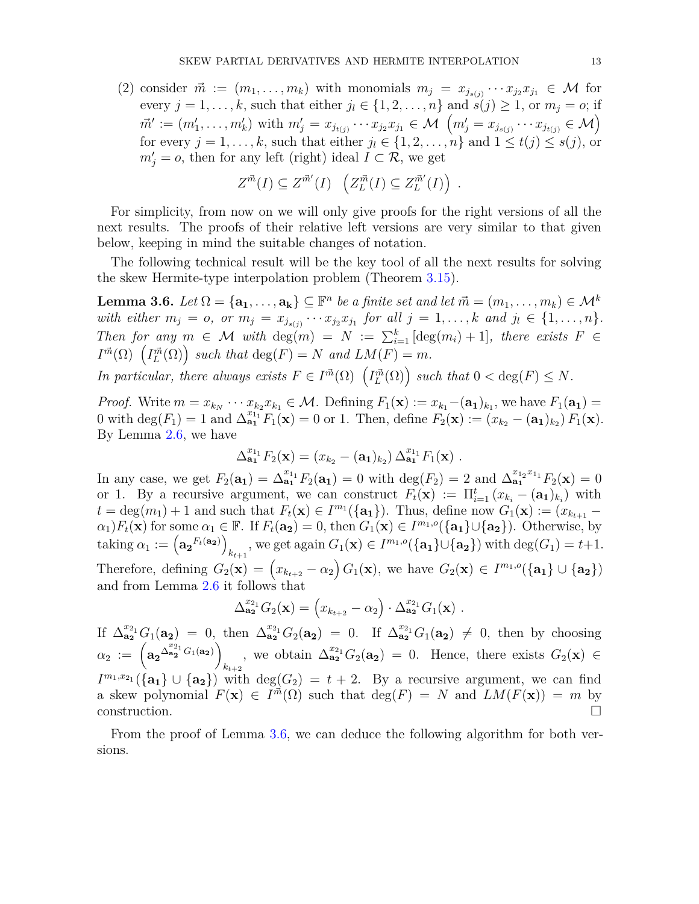(2) consider  $\vec{m} := (m_1, \ldots, m_k)$  with monomials  $m_j = x_{j_{s(j)}} \cdots x_{j_2} x_{j_1} \in \mathcal{M}$  for every  $j = 1, \ldots, k$ , such that either  $j_l \in \{1, 2, \ldots, n\}$  and  $\hat{s}(j) \geq 1$ , or  $m_j = o$ ; if  $\vec{m}' := (m'_1, \ldots, m'_k)$  with  $m'_j = x_{j_{t(j)}} \cdots x_{j_2} x_{j_1} \in \mathcal{M}$   $\left(m'_j = x_{j_{s(j)}} \cdots x_{j_{t(j)}} \in \mathcal{M}\right)$ for every  $j = 1, \ldots, k$ , such that either  $j_l \in \{1, 2, \ldots, n\}$  and  $1 \leq t(j) \leq s(j)$ , or  $m'_{j} = o$ , then for any left (right) ideal  $I \subset \mathcal{R}$ , we get

$$
Z^{\vec{m}}(I) \subseteq Z^{\vec{m}'}(I) \quad \left(Z_L^{\vec{m}}(I) \subseteq Z_L^{\vec{m}'}(I)\right) .
$$

For simplicity, from now on we will only give proofs for the right versions of all the next results. The proofs of their relative left versions are very similar to that given below, keeping in mind the suitable changes of notation.

The following technical result will be the key tool of all the next results for solving the skew Hermite-type interpolation problem (Theorem [3.15\)](#page-20-0).

<span id="page-12-0"></span>**Lemma 3.6.** *Let*  $\Omega = {\mathbf{a_1}, \dots, \mathbf{a_k}} \subseteq \mathbb{F}^n$  *be a finite set and let*  $\vec{m} = (m_1, \dots, m_k) \in \mathcal{M}^k$ with either  $m_j = o$ , or  $m_j = x_{j_{s(j)}} \cdots x_{j_2} x_{j_1}$  for all  $j = 1, \ldots, k$  and  $j_l \in \{1, \ldots, n\}$ . *Then for any*  $m \in \mathcal{M}$  *with* deg( $m$ ) =  $N := \sum_{i=1}^{k} [\deg(m_i) + 1]$ *, there exists*  $F \in$  $I^{\vec{m}}(\Omega)$   $(I^{\vec{m}}_L(\Omega))$  such that  $\deg(F) = N$  and  $LM(F) = m$ .

*In particular, there always exists*  $F \in I^{\vec{m}}(\Omega)$   $(I^{\vec{m}}_L(\Omega))$  such that  $0 < deg(F) \leq N$ .

*Proof.* Write  $m = x_{k_1} \cdots x_{k_2} x_{k_1} \in \mathcal{M}$ . Defining  $F_1(\mathbf{x}) := x_{k_1} - (\mathbf{a_1})_{k_1}$ , we have  $F_1(\mathbf{a_1}) =$ 0 with  $\deg(F_1) = 1$  and  $\Delta_{\mathbf{a}_1}^{x_{11}} F_1(\mathbf{x}) = 0$  or 1. Then, define  $F_2(\mathbf{x}) := (x_{k_2} - (\mathbf{a}_1)_{k_2}) F_1(\mathbf{x})$ . By Lemma [2.6,](#page-9-1) we have

$$
\Delta_{\mathbf{a_1}}^{x_{1_1}} F_2(\mathbf{x}) = (x_{k_2} - (\mathbf{a_1})_{k_2}) \, \Delta_{\mathbf{a_1}}^{x_{1_1}} F_1(\mathbf{x}) \; .
$$

In any case, we get  $F_2(\mathbf{a_1}) = \Delta_{\mathbf{a_1}}^{x_{1_1}} F_2(\mathbf{a_1}) = 0$  with  $\deg(F_2) = 2$  and  $\Delta_{\mathbf{a_1}}^{x_{1_2}x_{1_1}} F_2(\mathbf{x}) = 0$ or 1. By a recursive argument, we can construct  $F_t(\mathbf{x}) := \prod_{i=1}^t (x_{k_i} - (\mathbf{a_1})_{k_i})$  with  $t = \deg(m_1) + 1$  and such that  $F_t(\mathbf{x}) \in I^{m_1}(\{\mathbf{a}_1\})$ . Thus, define now  $G_1(\mathbf{x}) := (x_{k_{t+1}} \alpha_1$ )*F*<sub>t</sub>(**x**) for some  $\alpha_1 \in \mathbb{F}$ . If  $F_t(\mathbf{a_2}) = 0$ , then  $G_1(\mathbf{x}) \in I^{m_1,o}(\{\mathbf{a_1}\}\cup\{\mathbf{a_2}\})$ . Otherwise, by  $\text{taking } \alpha_1 := \left(\mathbf{a_2}^{F_t(\mathbf{a_2})}\right)$ *k*<sub>*t*+1</sub></sub>, we get again  $G_1(\mathbf{x}) \in I^{m_1,o}(\{\mathbf{a_1}\} \cup \{\mathbf{a_2}\})$  with  $\deg(G_1) = t+1$ . Therefore, defining  $G_2(\mathbf{x}) = (x_{k_{t+2}} - \alpha_2) G_1(\mathbf{x})$ , we have  $G_2(\mathbf{x}) \in I^{m_1, o}(\{\mathbf{a}_1\} \cup \{\mathbf{a}_2\})$ and from Lemma [2.6](#page-9-1) it follows that

$$
\Delta_{\mathbf{a_2}}^{x_{2_1}} G_2(\mathbf{x}) = \left( x_{k_{t+2}} - \alpha_2 \right) \cdot \Delta_{\mathbf{a_2}}^{x_{2_1}} G_1(\mathbf{x}) \ .
$$

If  $\Delta_{\mathbf{a_2}}^{x_{2_1}} G_1(\mathbf{a_2}) = 0$ , then  $\Delta_{\mathbf{a_2}}^{x_{2_1}} G_2(\mathbf{a_2}) = 0$ . If  $\Delta_{\mathbf{a_2}}^{x_{2_1}} G_1(\mathbf{a_2}) \neq 0$ , then by choosing  $\alpha_2 \; := \; \left( {\bf a_2}^{\Delta_{{\bf a_2}}^{x_{2_1}}} G_1({\bf a_2}) \right)$  $k_{t+2}$ , we obtain  $\Delta_{\mathbf{a}_2}^{x_{2_1}} G_2(\mathbf{a}_2) = 0$ . Hence, there exists  $G_2(\mathbf{x}) \in$  $I^{m_1,x_{21}}(\{\mathbf{a_1}\}\cup\{\mathbf{a_2}\})$  with  $\deg(G_2) = t + 2$ . By a recursive argument, we can find a skew polynomial  $F(\mathbf{x}) \in I^{\vec{m}}(\Omega)$  such that  $\deg(F) = N$  and  $LM(F(\mathbf{x})) = m$  by  $\Box$ construction.

From the proof of Lemma [3.6,](#page-12-0) we can deduce the following algorithm for both versions.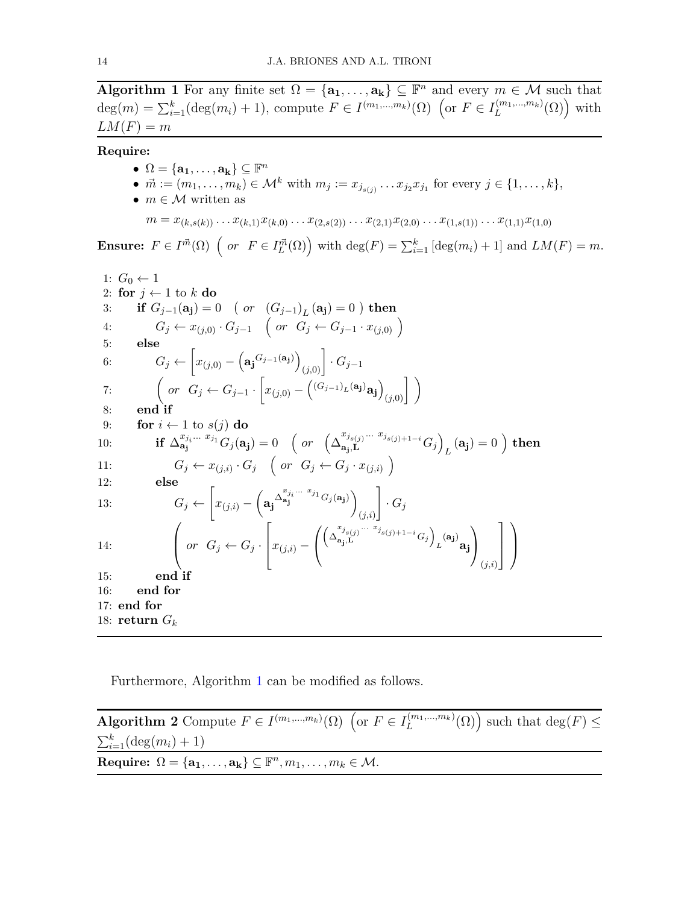<span id="page-13-0"></span>**Algorithm 1** For any finite set  $\Omega = {\mathbf{a_1}, \dots, \mathbf{a_k}} \subseteq \mathbb{F}^n$  and every  $m \in \mathcal{M}$  such that  $deg(m) = \sum_{i=1}^{k} (deg(m_i) + 1)$ , compute  $F \in I^{(m_1, ..., m_k)}(\Omega)$  (or  $F \in I_L^{(m_1, ..., m_k)}$ )  $L^{(m_1,...,m_k)}(\Omega)$  with  $LM(F) = m$ 

**Require:**

 $\bullet$   $\Omega = {\mathbf{a_1}, \dots, \mathbf{a_k}} \subseteq \mathbb{F}^n$ ●  $\vec{m} := (m_1, \ldots, m_k) \in \mathcal{M}^k$  with  $m_j := x_{j_{s(j)}} \ldots x_{j_2} x_{j_1}$  for every  $j \in \{1, \ldots, k\},$ •  $m \in \mathcal{M}$  written as

$$
m = x_{(k,s(k))} \dots x_{(k,1)} x_{(k,0)} \dots x_{(2,s(2))} \dots x_{(2,1)} x_{(2,0)} \dots x_{(1,s(1))} \dots x_{(1,1)} x_{(1,0)}
$$

**Ensure:**  $F \in I^{\vec{m}}(\Omega)$   $\left(\text{ or } F \in I^{\vec{m}}_L(\Omega)\right)$  with  $\text{deg}(F) = \sum_{i=1}^k \left[\text{deg}(m_i) + 1\right]$  and  $LM(F) = m$ .

1: 
$$
G_0 \leftarrow 1
$$
  
\n2: for  $j \leftarrow 1$  to  $k$  do  
\n3: if  $G_{j-1}(\mathbf{a_j}) = 0$  (or  $(G_{j-1})_L(\mathbf{a_j}) = 0$ ) then  
\n4:  $G_j \leftarrow x_{(j,0)} \cdot G_{j-1}$  (or  $G_j \leftarrow G_{j-1} \cdot x_{(j,0)}$ )  
\n5: else  
\n6:  $G_j \leftarrow \left[x_{(j,0)} - \left(\mathbf{a_j}^{G_{j-1}(\mathbf{a_j})}\right)_{(j,0)}\right] \cdot G_{j-1}$   
\n7: (or  $G_j \leftarrow G_{j-1} \cdot \left[x_{(j,0)} - \left(\frac{(G_{j-1})_L(\mathbf{a_j})_R}{R}\mathbf{a_j}\right)_{(j,0)}\right]\right)$   
\n8: end if  
\n9: for  $i \leftarrow 1$  to  $s(j)$  do  
\n10: if  $\Delta_{\mathbf{a_j}^{x_{j}} \cdots x_{j_1}^{x_j} G_j(\mathbf{a_j}) = 0$  (or  $\left(\Delta_{\mathbf{a_j},\mathbf{L}}^{x_{j_3} \cdots x_{j_{s(j)+1-i}}} G_j\right)_L(\mathbf{a_j}) = 0$ ) then  
\n11:  $G_j \leftarrow x_{(j,i)} \cdot G_j$  (or  $G_j \leftarrow G_j \cdot x_{(j,i)}$ )  
\n12: else  
\n13:  $G_j \leftarrow \left[x_{(j,i)} - \left(\mathbf{a_j}^{\Delta_{\mathbf{a_j}^{x_{j}} \cdots x_{j_1}} G_j(\mathbf{a_j})}\right)_{(j,i)}\right] \cdot G_j$   
\n14:  $\left(\text{or } G_j \leftarrow G_j \cdot \left[x_{(j,i)} - \left(\left(\Delta_{\mathbf{a_j},\mathbf{L}}^{x_{j_3} \cdots x_{j_3} \cdots x_{j_{s(j)+1-i}}} G_j\right)_{L}(\mathbf{a_j})\mathbf{a_j}\right)\right)_{(j,i)}\right]$   
\n15: end if  
\n16: end for  
\n17: end for  
\n18: return  $G_k$ 

Furthermore, Algorithm [1](#page-13-0) can be modified as follows.

**Algorithm 2** Compute  $F \in I^{(m_1, ..., m_k)}(\Omega)$  (or  $F \in I_L^{(m_1, ..., m_k)}(\Omega)$ ) such that deg(*F*)  $\leq$  $\sum_{i=1}^{k} (\text{deg}(m_i) + 1)$  $\mathbf{Required} \Omega = {\mathbf{a_1}, \dots, \mathbf{a_k}} \subseteq \mathbb{F}^n, m_1, \dots, m_k \in \mathcal{M}.$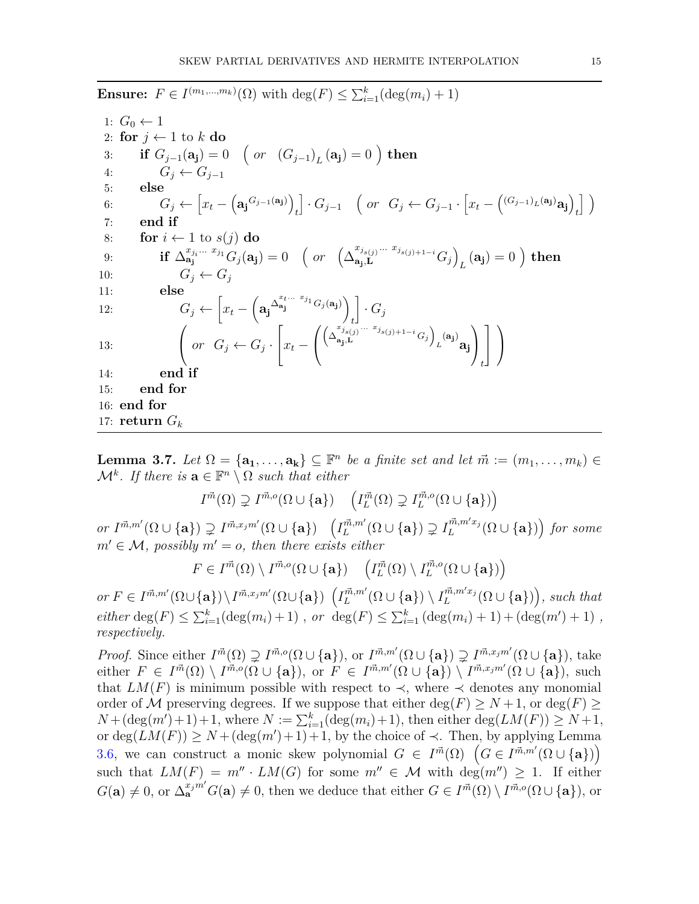**Ensure:**  $F \in I^{(m_1, ..., m_k)}(\Omega)$  with  $\deg(F) \le \sum_{i=1}^k (\deg(m_i) + 1)$ 1:  $G_0 \leftarrow 1$ 2: **for**  $j \leftarrow 1$  to  $k$  **do** 3: **if**  $G_{j-1}(\mathbf{a_j}) = 0$   $\left(\text{ or } (G_{j-1})_L(\mathbf{a_j}) = 0\right)$  then 4:  $G_i \leftarrow G_{i-1}$ 5: **else** 6:  $G_j \leftarrow \left[ x_t - \left( \mathbf{a}_j^{G_{j-1}(\mathbf{a}_j)} \right) \right]$ *t*  $\bigg[ \cdot G_{j-1} \quad \bigg( \text{ or } G_j \leftarrow G_{j-1} \cdot \bigg[ x_t - \bigg( (G_{j-1})_L(\mathbf{a_j}) \mathbf{a_j} \bigg) \bigg]$ *t* i 7: **end if** 8: **for**  $i \leftarrow 1$  to  $s(j)$  do 9: **if**  $\Delta_{{\bf a_j}}^{x_{j_i...}x_{j_1}} G_j({\bf a_j}) = 0$  *(or*  $(\Delta_{{\bf a_i},{\bf L}}^{x_{j_{s(j)}}...x_{j_{s(j)+1-i}}})$  $\begin{bmatrix} x_{j_{s(j)}} ... & x_{j_{s(j)+1-i}} \ \mathbf{a_j} , \mathbf{L} \end{bmatrix}$  $L(\mathbf{a_j}) = 0$  ) then 10:  $G_i \leftarrow G_i$ 11: **else** 12:  $G_j \leftarrow \left[x_t - \left(\mathbf{a}_j\right)^{\Delta_{\mathbf{a}_j}^{x_t \dots x_{j_1}} G_j(\mathbf{a}_j)}\right) \right] \cdot G_j$  $\begin{array}{ccc} \begin{array}{ccc} & & & & \end{array}$ 13:  $\left\{ \begin{array}{ll} or & G_j \leftarrow G_j \end{array} \right\}$  $\sqrt{ }$  $\Big|x_t \sqrt{ }$  $\mathcal{L}$  $\left(\Delta_{\mathbf{a} \dots \mathbf{I}}^{x_j} \right) \dots \left(\Delta_{\mathbf{a} \dots \mathbf{I}}^{x_j} \right)$  $\begin{pmatrix} x_j & x_j \ \mathbf{a_j}, \mathbf{L} \end{pmatrix}$   $\begin{pmatrix} x_j & x_j \ \mathbf{a_j}, \mathbf{L} \end{pmatrix}$  $\mu^{(\mathbf{a_j})}$ aj  $\setminus$  $\perp$ *t* 1  $\overline{1}$  $\setminus$  $\overline{1}$ 14: **end if** 15: **end for** 16: **end for** 17: **return**  $G_k$ 

<span id="page-14-0"></span>**Lemma 3.7.** *Let*  $\Omega = {\mathbf{a_1}, \dots, \mathbf{a_k}} \subseteq \mathbb{F}^n$  *be a finite set and let*  $\vec{m} := (m_1, \dots, m_k) \in$  $\mathcal{M}^k$ . If there is  $\mathbf{a} \in \mathbb{F}^n \setminus \Omega$  such that either

$$
I^{\vec{m}}(\Omega) \supsetneq I^{\vec{m},o}(\Omega \cup \{\mathbf{a}\}) \quad \left(I^{\vec{m}}_L(\Omega) \supsetneq I^{\vec{m},o}_L(\Omega \cup \{\mathbf{a}\})\right)
$$

or  $I^{\vec{m},m'}(\Omega\cup\{\mathbf{a}\}) \supsetneq I^{\vec{m},x_jm'}(\Omega\cup\{\mathbf{a}\})$   $\left(I^{\vec{m},m'}_L(\Omega\cup\{\mathbf{a}\}) \supsetneq I^{\vec{m},m'x_j}_L(\Omega\cup\{\mathbf{a}\})\right)$  for some  $m' \in \mathcal{M}$ , possibly  $m' = o$ , then there exists either

$$
F \in I^{\vec{m}}(\Omega) \setminus I^{\vec{m},o}(\Omega \cup \{\mathbf{a}\}) \quad \left(I^{\vec{m}}_L(\Omega) \setminus I^{\vec{m},o}_L(\Omega \cup \{\mathbf{a}\})\right)
$$

or  $F \in I^{\vec{m},m'}(\Omega \cup \{a\}) \setminus I^{\vec{m},x_jm'}(\Omega \cup \{a\})$   $\left(I_L^{\vec{m},m'}(\Omega \cup \{a\}) \setminus I_L^{\vec{m},m'x_j}(\Omega \cup \{a\})\right)$ , such that  $e$ *i*ther  $deg(F) \leq \sum_{i=1}^{k} (deg(m_i) + 1)$ , *or*  $deg(F) \leq \sum_{i=1}^{k} (deg(m_i) + 1) + (deg(m') + 1)$ , *respectively.*

*Proof.* Since either  $I^{\vec{m}}(\Omega) \supsetneq I^{\vec{m},o}(\Omega \cup {\bf{a}})$ , or  $I^{\vec{m},m'}(\Omega \cup {\bf{a}}) \supsetneq I^{\vec{m},x_jm'}(\Omega \cup {\bf{a}})$ , take either  $F \in I^{\vec{m}}(\Omega) \setminus I^{\dot{\vec{m}},o}(\overline{\Omega} \cup {\bf{a}}), \text{ or } F \in I^{\vec{m},m'}(\overline{\Omega} \cup {\bf{a}}) \setminus I^{\vec{m},x_jm'}(\overline{\Omega} \cup {\bf{a}}), \text{ such}$ that  $LM(F)$  is minimum possible with respect to  $\prec$ , where  $\prec$  denotes any monomial order of M preserving degrees. If we suppose that either  $\deg(F) \geq N+1$ , or  $\deg(F) \geq$  $N + (\deg(m') + 1) + 1$ , where  $N := \sum_{i=1}^{k} (\deg(m_i) + 1)$ , then either  $\deg(LM(F)) \geq N + 1$ , or  $deg(LM(F)) \geq N + (deg(m') + 1) + 1$ , by the choice of  $\prec$ . Then, by applying Lemma [3.6,](#page-12-0) we can construct a monic skew polynomial  $G \in I^{\vec{m}}(\Omega)$   $(G \in I^{\vec{m},m'}(\Omega \cup \{a\}))$ such that  $LM(F) = m'' \cdot LM(G)$  for some  $m'' \in \mathcal{M}$  with  $deg(m'') \geq 1$ . If either  $G(\mathbf{a}) \neq 0$ , or  $\Delta_{\mathbf{a}}^{x_j m'} G(\mathbf{a}) \neq 0$ , then we deduce that either  $G \in I^{\vec{m}}(\Omega) \setminus I^{\vec{m},o}(\Omega \cup {\mathbf{a}})$ , or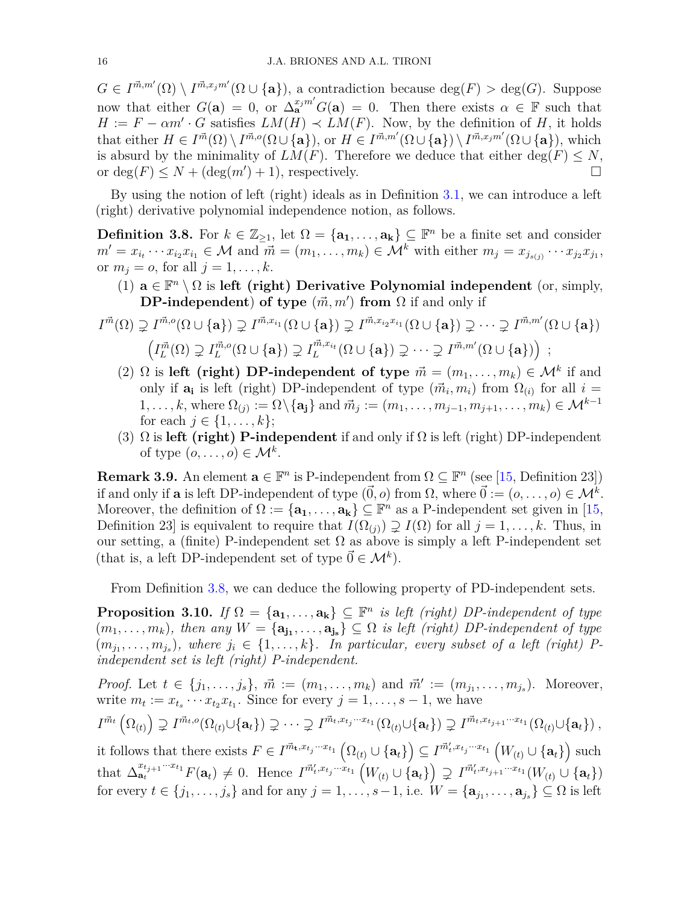$G \in I^{\vec{m},m'}(\Omega) \setminus I^{\vec{m},x_jm'}(\Omega \cup \{a\}),$  a contradiction because  $deg(F) > deg(G)$ . Suppose now that either  $G(\mathbf{a}) = 0$ , or  $\Delta_{\mathbf{a}}^{x_j m'} G(\mathbf{a}) = 0$ . Then there exists  $\alpha \in \mathbb{F}$  such that  $H := F - \alpha m' \cdot G$  satisfies  $LM(H) \prec LM(F)$ . Now, by the definition of *H*, it holds that either  $H \in I^{\vec{m}}(\Omega) \setminus I^{\vec{m},o}(\Omega \cup \{a\})$ , or  $H \in I^{\vec{m},m'}(\Omega \cup \{a\}) \setminus I^{\vec{m},x_jm'}(\Omega \cup \{a\})$ , which is absurd by the minimality of  $LM(F)$ . Therefore we deduce that either deg( $F$ )  $\leq N$ , or  $deg(F) \leq N + (deg(m') + 1)$ , respectively.

By using the notion of left (right) ideals as in Definition [3.1,](#page-10-0) we can introduce a left (right) derivative polynomial independence notion, as follows.

<span id="page-15-0"></span>**Definition 3.8.** For  $k \in \mathbb{Z}_{\geq 1}$ , let  $\Omega = {\mathbf{a_1}, \dots, \mathbf{a_k}} \subseteq \mathbb{F}^n$  be a finite set and consider  $m' = x_{i_1} \cdots x_{i_2} x_{i_1} \in \mathcal{M}$  and  $\vec{m} = (m_1, \ldots, m_k) \in \mathcal{M}^k$  with either  $m_j = x_{j_{s(j)}} \cdots x_{j_2} x_{j_1}$ , or  $m_j = o$ , for all  $j = 1, \ldots, k$ .

(1)  $\mathbf{a} \in \mathbb{F}^n \setminus \Omega$  is left (right) Derivative Polynomial independent (or, simply, **DP-independent**) **of type**  $(\vec{m}, m')$  **from**  $\Omega$  if and only if

$$
I^{\vec{m}}(\Omega) \supsetneq I^{\vec{m},o}(\Omega \cup \{a\}) \supsetneq I^{\vec{m},x_{i_1}}(\Omega \cup \{a\}) \supsetneq I^{\vec{m},x_{i_2}x_{i_1}}(\Omega \cup \{a\}) \supsetneq \cdots \supsetneq I^{\vec{m},m'}(\Omega \cup \{a\})
$$

$$
\left(I^{\vec{m}}_L(\Omega) \supsetneq I^{\vec{m},o}_L(\Omega \cup \{a\}) \supsetneq I^{\vec{m},x_{i_t}}_L(\Omega \cup \{a\}) \supsetneq \cdots \supsetneq I^{\vec{m},m'}(\Omega \cup \{a\})\right) ;
$$

- (2)  $\Omega$  is left (right) DP-independent of type  $\vec{m} = (m_1, \ldots, m_k) \in \mathcal{M}^k$  if and only if  $\mathbf{a}_i$  is left (right) DP-independent of type  $(\vec{m}_i, m_i)$  from  $\Omega_{(i)}$  for all  $i =$  $1, \ldots, k$ , where  $\Omega_{(j)} := \Omega \setminus \{a_j\}$  and  $\vec{m}_j := (m_1, \ldots, m_{j-1}, m_{j+1}, \ldots, m_k) \in \mathcal{M}^{k-1}$ for each  $j \in \{1, ..., k\};$
- (3) Ω is **left (right) P-independent** if and only if Ω is left (right) DP-independent of type  $(o, \ldots, o) \in \mathcal{M}^k$ .

**Remark 3.9.** An element  $\mathbf{a} \in \mathbb{F}^n$  is P-independent from  $\Omega \subseteq \mathbb{F}^n$  (see [\[15,](#page-30-10) Definition 23]) if and only if **a** is left DP-independent of type  $(\vec{0}, o)$  from  $\Omega$ , where  $\vec{0} := (o, \ldots, o) \in \mathcal{M}^k$ . Moreover, the definition of  $\Omega := {\mathbf{a_1}, \dots, \mathbf{a_k}} \subseteq \mathbb{F}^n$  as a P-independent set given in [\[15,](#page-30-10) Definition 23] is equivalent to require that  $I(\Omega_{(i)}) \supsetneq I(\Omega)$  for all  $j = 1, \ldots, k$ . Thus, in our setting, a (finite) P-independent set  $\Omega$  as above is simply a left P-independent set (that is, a left DP-independent set of type  $\vec{0} \in \mathcal{M}^k$ ).

From Definition [3.8,](#page-15-0) we can deduce the following property of PD-independent sets.

<span id="page-15-1"></span>**Proposition 3.10.** *If*  $\Omega = {\mathbf{a_1}, \dots, \mathbf{a_k}} \subseteq \mathbb{F}^n$  *is left (right) DP-independent of type*  $(m_1, \ldots, m_k)$ , then any  $W = {\mathbf{a_{j_1}, \ldots, a_{j_s}}} \subseteq \Omega$  is left (right) DP-independent of type  $(m_{j_1}, \ldots, m_{j_s})$ , where  $j_i \in \{1, \ldots, k\}$ . In particular, every subset of a left (right) P*independent set is left (right) P-independent.*

*Proof.* Let  $t \in \{j_1, ..., j_s\}$ ,  $\vec{m} := (m_1, ..., m_k)$  and  $\vec{m}' := (m_{j_1}, ..., m_{j_s})$ . Moreover, write  $m_t := x_{t_s} \cdots x_{t_2} x_{t_1}$ . Since for every  $j = 1, \ldots, s - 1$ , we have  $I^{\vec{m}_t}\left(\Omega_{(t)}\right) \supsetneq I^{\vec{m}_t,o}(\Omega_{(t)}\cup\{{\bf a}_t\}) \supsetneq \cdots \supsetneq I^{\vec{m}_t,x_{t_j}\cdots x_{t_1}}(\Omega_{(t)}\cup\{{\bf a}_t\}) \supsetneq I^{\vec{m}_t,x_{t_{j+1}}\cdots x_{t_1}}(\Omega_{(t)}\cup\{{\bf a}_t\})\ ,$ it follows that there exists  $F \in I^{\vec{m}_t, x_{t_j}\cdots x_{t_1}}(\Omega_{(t)} \cup \{a_t\}) \subseteq I^{\vec{m}'_t, x_{t_j}\cdots x_{t_1}}(W_{(t)} \cup \{a_t\})$  such that  $\Delta_{\mathbf{a}_t}^{x_{t_{j+1}}\cdots x_{t_1}} F(\mathbf{a}_t) \neq 0$ . Hence  $I^{\vec{m}'_t, x_{t_j}\cdots x_{t_1}}(W_{(t)} \cup {\mathbf{a}_t}) \supseteq I^{\vec{m}'_t, x_{t_{j+1}}\cdots x_{t_1}}(W_{(t)} \cup {\mathbf{a}_t})$ for every  $t \in \{j_1, \ldots, j_s\}$  and for any  $j = 1, \ldots, s - 1$ , i.e.  $W = \{\mathbf{a}_{j_1}, \ldots, \mathbf{a}_{j_s}\} \subseteq \Omega$  is left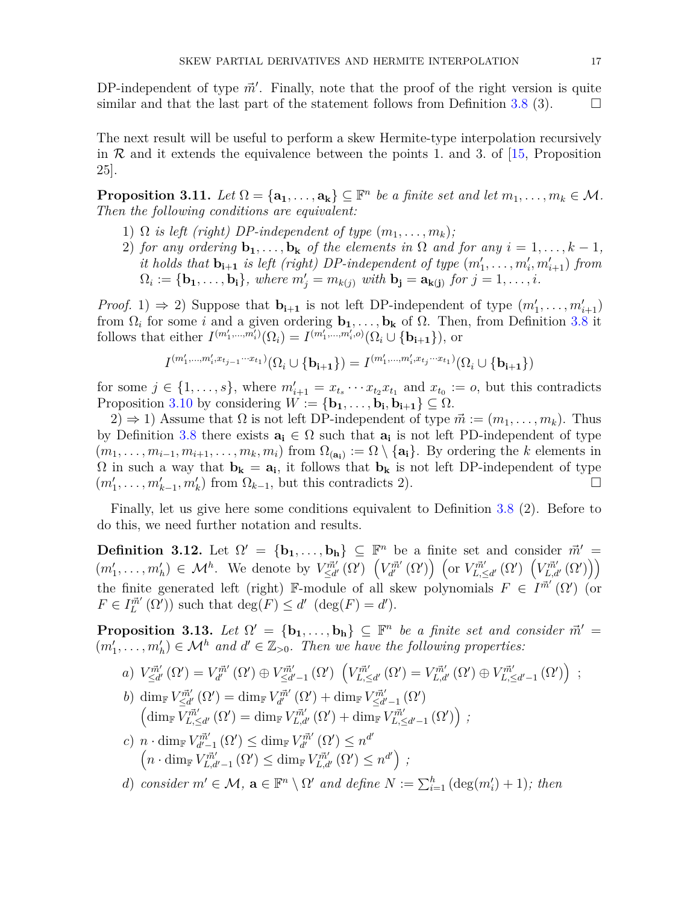DP-independent of type  $\vec{m}'$ . Finally, note that the proof of the right version is quite similar and that the last part of the statement follows from Definition [3.8](#page-15-0) (3).  $\Box$ 

The next result will be useful to perform a skew Hermite-type interpolation recursively in  $\mathcal R$  and it extends the equivalence between the points 1. and 3. of [\[15,](#page-30-10) Proposition 25].

<span id="page-16-1"></span>**Proposition 3.11.** *Let*  $\Omega = {\mathbf{a_1}, \dots, \mathbf{a_k}} \subseteq \mathbb{F}^n$  *be a finite set and let*  $m_1, \dots, m_k \in \mathcal{M}$ *. Then the following conditions are equivalent:*

- 1)  $\Omega$  *is left (right) DP-independent of type*  $(m_1, \ldots, m_k)$ ;
- 2) *for any ordering*  $\mathbf{b}_1, \ldots, \mathbf{b}_k$  *of the elements in*  $\Omega$  *and for any*  $i = 1, \ldots, k 1$ *, it holds that*  $\mathbf{b}_{i+1}$  *is left (right) DP-independent of type*  $(m'_1, \ldots, m'_i, m'_{i+1})$  *from*  $\Omega_i := {\mathbf{b_1}, \ldots, \mathbf{b_i}}$ , where  $m'_j = m_{k(j)}$  with  $\mathbf{b_j} = \mathbf{a_{k(j)}}$  for  $j = 1, \ldots, i$ .

*Proof.* 1)  $\Rightarrow$  2) Suppose that  $\mathbf{b}_{i+1}$  is not left DP-independent of type  $(m'_1, \ldots, m'_{i+1})$ from  $\Omega_i$  for some *i* and a given ordering  $\mathbf{b}_1, \ldots, \mathbf{b}_k$  of  $\Omega$ . Then, from Definition [3.8](#page-15-0) it follows that either  $I^{(m'_1,...,m'_i)}(\Omega_i) = I^{(m'_1,...,m'_i,o)}(\Omega_i \cup \{b_{i+1}\}),$  or

$$
I^{(m'_1, \ldots, m'_i, x_{t_{j-1}}\cdots x_{t_1})}(\Omega_i \cup \{b_{i+1}\}) = I^{(m'_1, \ldots, m'_i, x_{t_j}\cdots x_{t_1})}(\Omega_i \cup \{b_{i+1}\})
$$

for some  $j \in \{1, \ldots, s\}$ , where  $m'_{i+1} = x_{t_s} \cdots x_{t_2} x_{t_1}$  and  $x_{t_0} := o$ , but this contradicts Proposition [3.10](#page-15-1) by considering  $W := {\mathbf{b}_1, \ldots, \mathbf{b}_i, \mathbf{b}_{i+1}} \subseteq \Omega$ .

2) ⇒ 1) Assume that  $\Omega$  is not left DP-independent of type  $\vec{m} := (m_1, \ldots, m_k)$ . Thus by Definition [3.8](#page-15-0) there exists  $a_i \in \Omega$  such that  $a_i$  is not left PD-independent of type  $(m_1, \ldots, m_{i-1}, m_{i+1}, \ldots, m_k, m_i)$  from  $\Omega_{(a_i)} := \Omega \setminus \{a_i\}$ . By ordering the *k* elements in  $\Omega$  in such a way that  $\mathbf{b_k} = \mathbf{a_i}$ , it follows that  $\mathbf{b_k}$  is not left DP-independent of type  $(m'_1, \ldots, m'_{k-1}, m'_k)$  from  $\Omega_{k-1}$ , but this contradicts 2).

Finally, let us give here some conditions equivalent to Definition [3.8](#page-15-0) (2). Before to do this, we need further notation and results.

**Definition 3.12.** Let  $\Omega' = \{b_1, \ldots, b_h\} \subseteq \mathbb{F}^n$  be a finite set and consider  $\vec{m}' =$  $(m'_1,\ldots,m'_h) \in \mathcal{M}^h$ . We denote by  $V_{\leq d'}^{\vec{m}'}(\Omega') \left(V_{d'}^{\vec{m}'}(\Omega')\right)$  (or  $V_{L,\leq d'}^{\vec{m}'}(\Omega') \left(V_{L,d'}^{\vec{m}'}(\Omega')\right)$ ) the finite generated left (right) F-module of all skew polynomials  $F \in I^{\vec{m}'}(\Omega')$  (or  $F \in I_L^{\vec{m}'}(\Omega')$  such that  $\deg(F) \leq d'$  ( $\deg(F) = d'$ ).

<span id="page-16-0"></span>**Proposition 3.13.** Let  $\Omega' = \{b_1, \ldots, b_h\} \subseteq \mathbb{F}^n$  be a finite set and consider  $\vec{m}' =$  $(m'_1, \ldots, m'_h) \in \mathcal{M}^h$  and  $d' \in \mathbb{Z}_{>0}$ . Then we have the following properties:

a) 
$$
V_{\leq d'}^{\vec{m}'}(\Omega') = V_{d'}^{\vec{m}'}(\Omega') \oplus V_{\leq d'-1}^{\vec{m}'}(\Omega') \left(V_{L,\leq d'}^{\vec{m}'}(\Omega') = V_{L,d'}^{\vec{m}'}(\Omega') \oplus V_{L,\leq d'-1}^{\vec{m}'}(\Omega')\right);
$$

- b) dim<sub>F</sub>  $V_{\leq d'}^{\vec{m}'}(\Omega') = \dim_{\mathbb{F}} V_{d'}^{\vec{m}'}(\Omega') + \dim_{\mathbb{F}} V_{\leq d'-1}^{\vec{m}'}(\Omega')$  $\left(\dim_{\mathbb{F}} \overline{V}_{L,\leq d'}^{\vec{m}'}\left(\Omega'\right) = \dim_{\mathbb{F}} V_{L,d'}^{\vec{m}'}\left(\Omega'\right) + \dim_{\mathbb{F}} V_{L,\leq d'-1}^{\vec{m}'}\left(\Omega'\right)\right)$ ;
- *c*)  $n \cdot \dim_{\mathbb{F}} V_{d'-1}^{\vec{m}'}(\Omega') \leq \dim_{\mathbb{F}} V_{d'}^{\vec{m}'}(\Omega') \leq n^{d'}$  $\left(n \cdot \dim_{\mathbb{F}} V^{\vec{m}'}_{L,d'-1} (\Omega') \leq \dim_{\mathbb{F}} V^{\vec{m}'}_{L,d'} (\Omega') \leq n^{d'}\right)$ ;
- *d*) *consider*  $m' \in \mathcal{M}$ ,  $\mathbf{a} \in \mathbb{F}^n \setminus \Omega'$  *and define*  $N := \sum_{i=1}^h (\text{deg}(m'_i) + 1)$ ; *then*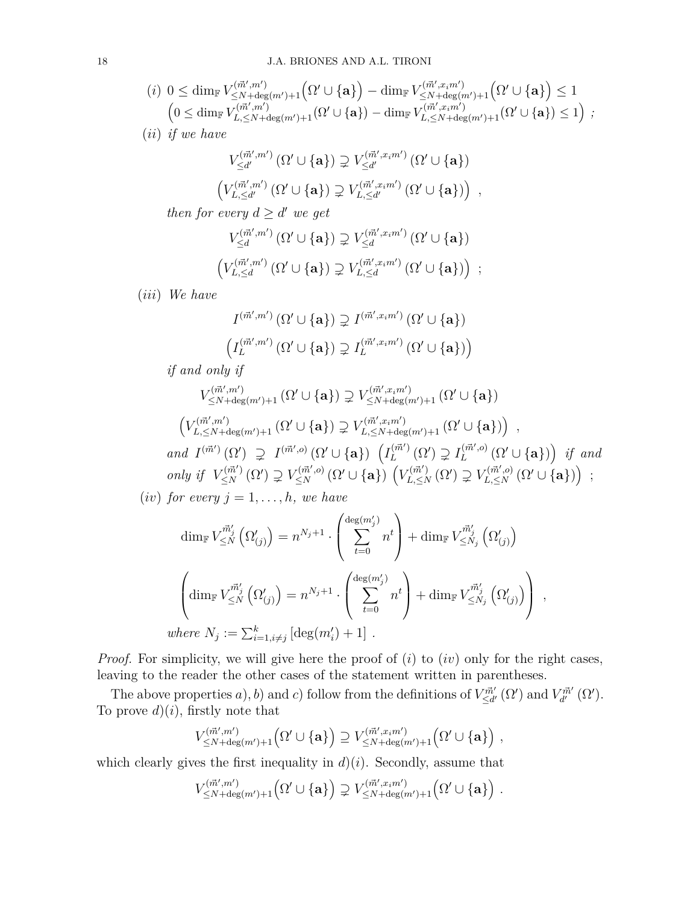$$
(i) \ 0 \leq \dim_{\mathbb{F}} V^{{(\vec{m}',m')}_{\leq N+\deg(m')+1}}_{\leq N+\deg(m')+1} \left( \Omega' \cup \{ \mathbf{a} \} \right) - \dim_{\mathbb{F}} V^{{(\vec{m}',x_im')}}_{\leq N+\deg(m')+1} \left( \Omega' \cup \{ \mathbf{a} \} \right) \leq 1
$$
  

$$
\left( 0 \leq \dim_{\mathbb{F}} V^{{(\vec{m}',m')}_{L,\leq N+\deg(m')+1}}_{L,\leq N+\deg(m')+1} \left( \Omega' \cup \{ \mathbf{a} \} \right) \leq 1 \right) ;
$$

(*ii*) *if we have*

$$
V_{\leq d'}^{(\vec{m}',m')}(\Omega' \cup \{\mathbf{a}\}) \supsetneq V_{\leq d'}^{(\vec{m}',x_im')}(\Omega' \cup \{\mathbf{a}\})
$$
  

$$
(V_{L,\leq d'}^{(\vec{m}',m')}(\Omega' \cup \{\mathbf{a}\}) \supsetneq V_{L,\leq d'}^{(\vec{m}',x_im')}(\Omega' \cup \{\mathbf{a}\}) ,
$$

*then for every*  $d \geq d'$  *we get* 

$$
V_{\leq d}^{(\vec{m}',m')}\left(\Omega'\cup\{\mathbf{a}\}\right) \supsetneq V_{\leq d}^{(\vec{m}',x_im')}\left(\Omega'\cup\{\mathbf{a}\}\right)
$$

$$
\left(V_{L,\leq d}^{(\vec{m}',m')}\left(\Omega'\cup\{\mathbf{a}\}\right) \supsetneq V_{L,\leq d}^{(\vec{m}',x_im')}\left(\Omega'\cup\{\mathbf{a}\}\right)\right) ;
$$

(*iii*) *We have*

$$
\begin{split} I^{(\vec{m}',m')}\left(\Omega'\cup\{{\bf a} \} \right) &\supsetneq I^{(\vec{m}',x_im')}\left(\Omega'\cup\{{\bf a} \} \right) \\ \left(I_L^{(\vec{m}',m')}\left(\Omega'\cup\{{\bf a} \} \right) &\supsetneq I_L^{(\vec{m}',x_im')}\left(\Omega'\cup\{{\bf a} \} \right) \right) \end{split}
$$

*if and only if*

$$
V_{\leq N+\deg(m')+1}^{(\vec{m}',m')}\left(\Omega'\cup\{\mathbf{a}\}\right) \supsetneq V_{\leq N+\deg(m')+1}^{(\vec{m}',x_im')}\left(\Omega'\cup\{\mathbf{a}\}\right)
$$

$$
\left(V_{L,\leq N+\deg(m')+1}^{(\vec{m}',m')}\left(\Omega'\cup\{\mathbf{a}\}\right)\right) \supsetneq V_{L,\leq N+\deg(m')+1}^{(\vec{m}',x_im')}\left(\Omega'\cup\{\mathbf{a}\}\right)\right) ,
$$
 and  $I^{(\vec{m}')}(\Omega') \supsetneq I^{(\vec{m}',o)}(\Omega'\cup\{\mathbf{a}\}\right)\left(I_L^{(\vec{m}')}(\Omega') \supsetneq I_L^{(\vec{m}',o)}(\Omega'\cup\{\mathbf{a}\}\right) \text{ if and}$  only if  $V_{\leq N}^{(\vec{m}')}(\Omega') \supsetneq V_{\leq N}^{(\vec{m}',o)}(\Omega'\cup\{\mathbf{a}\}\right)\left(V_{L,\leq N}^{(\vec{m}')}\left(\Omega'\right) \supsetneq V_{L,\leq N}^{(\vec{m}',o)}(\Omega'\cup\{\mathbf{a}\}\right) ;$ 

(*iv*) *for every*  $j = 1, \ldots, h$ *, we have* 

$$
\dim_{\mathbb{F}} V^{\vec{m}'_j}_{\leq N} \left( \Omega'_{(j)} \right) = n^{N_j+1} \cdot \left( \sum_{t=0}^{\deg(m'_j)} n^t \right) + \dim_{\mathbb{F}} V^{\vec{m}'_j}_{\leq N_j} \left( \Omega'_{(j)} \right)
$$

$$
\left( \dim_{\mathbb{F}} V^{\vec{m}'_j}_{\leq N} \left( \Omega'_{(j)} \right) = n^{N_j+1} \cdot \left( \sum_{t=0}^{\deg(m'_j)} n^t \right) + \dim_{\mathbb{F}} V^{\vec{m}'_j}_{\leq N_j} \left( \Omega'_{(j)} \right) \right),
$$
  
where  $N_j := \sum_{i=1, i \neq j}^k \left[ \deg(m'_i) + 1 \right].$ 

*Proof.* For simplicity, we will give here the proof of  $(i)$  to  $(iv)$  only for the right cases, leaving to the reader the other cases of the statement written in parentheses.

The above properties *a*), *b*) and *c*) follow from the definitions of  $V_{\leq d'}^{\vec{m}'}(\Omega')$  and  $V_{d'}^{\vec{m}'}(\Omega')$ . To prove  $d(i)$ , firstly note that

$$
V_{\leq N+\deg(m')+1}^{(\vec{m}',m')}\left(\Omega'\cup\{\mathbf{a}\}\right) \supseteq V_{\leq N+\deg(m')+1}^{(\vec{m}',x_im')}\left(\Omega'\cup\{\mathbf{a}\}\right) ,
$$

which clearly gives the first inequality in  $d$ )(*i*). Secondly, assume that

$$
V_{\leq N+\deg(m')+1}^{(\vec{m}',m')}\left(\Omega'\cup\{{\bf a} \} \right)\supsetneq V_{\leq N+\deg(m')+1}^{(\vec{m}',x_im')}\left(\Omega'\cup\{{\bf a} \} \right)\,.
$$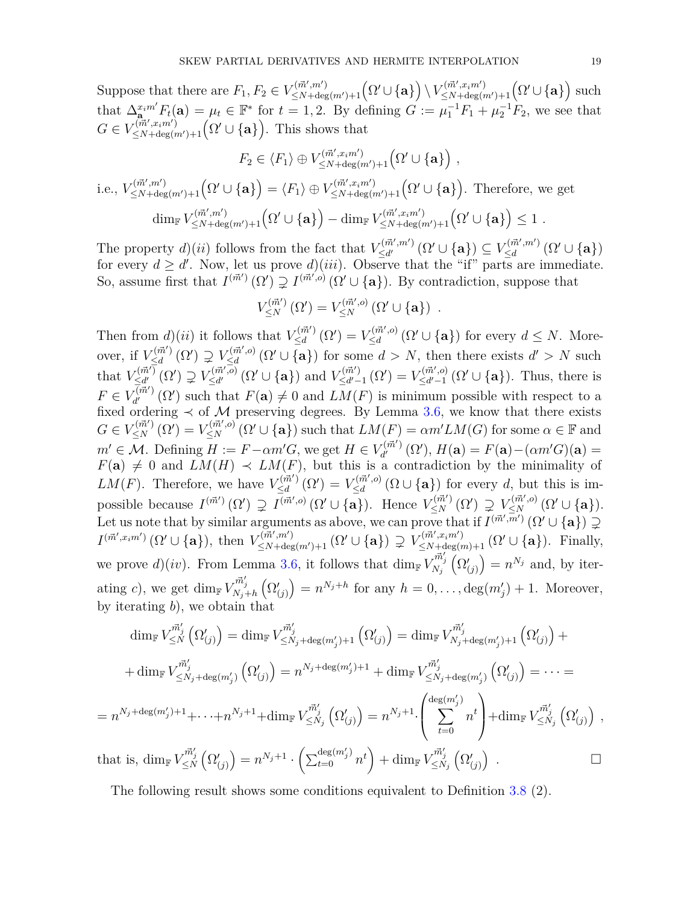Suppose that there are  $F_1, F_2 \in V^{\{ \vec{m}', m' \}}_{\leq N + \text{deg}(m') + 1} (\Omega' \cup \{ \mathbf{a} \}) \setminus V^{\{ \vec{m}', x_i m' \}}_{\leq N + \text{deg}(m') + 1} (\Omega' \cup \{ \mathbf{a} \})$  such that  $\Delta_{\mathbf{a}}^{x_i m'} F_t(\mathbf{a}) = \mu_t \in \mathbb{F}^*$  for  $t = 1, 2$ . By defining  $G := \mu_1^{-1} F_1 + \mu_2^{-1} F_2$ , we see that  $G \in V_{\leq N+\deg(m')+1}^{(\vec{m}',x_im')}\left(\Omega' \cup \{\mathbf{a}\}\right)$ . This shows that

$$
F_2 \in \langle F_1 \rangle \oplus V_{\leq N + \deg(m')+1}^{(\vec{m}',x_im')} \left(\Omega' \cup \{\mathbf{a}\}\right) ,
$$

i.e., 
$$
V_{\leq N+\deg(m')+1}^{(\vec{m}',m')}(\Omega' \cup {\mathbf{a}}) = \langle F_1 \rangle \oplus V_{\leq N+\deg(m')+1}^{(\vec{m}',x_im')}(\Omega' \cup {\mathbf{a}}).
$$
 Therefore, we get  

$$
\dim_{\mathbb{F}} V_{\leq N+\deg(m')+1}^{(\vec{m}',m')}(\Omega' \cup {\mathbf{a}}) - \dim_{\mathbb{F}} V_{\leq N+\deg(m')+1}^{(\vec{m}',x_im')}(\Omega' \cup {\mathbf{a}}) \leq 1.
$$

The property  $d$ )(*ii*) follows from the fact that  $V_{\leq d'}^{(\vec{m}',m')}$  ( $\Omega' \cup \{a\}$ )  $\subseteq V_{\leq d'}^{(\vec{m}',m')}$  $\leq_d^{(m',m')}\left(\Omega'\cup\{{\bf a} \} \right)$ for every  $d \geq d'$ . Now, let us prove  $d$ )(*iii*). Observe that the "if" parts are immediate. So, assume first that  $I^{(\vec{m}')}(\Omega') \supsetneq I^{(\vec{m}',o)}(\Omega' \cup \{a\})$ . By contradiction, suppose that

$$
V_{\leq N}^{(\vec{m}')}(\Omega') = V_{\leq N}^{(\vec{m}',o)}(\Omega' \cup \{\mathbf{a}\}) .
$$

Then from  $d$ )(*ii*) it follows that  $V_{\leq d}^{(\vec{m}')}$  $V^{(\vec{m}')}_{\leq d}(\Omega') = V^{(\vec{m}',o)}_{\leq d}$  $\sum_{\leq d}^{\ell(m',o)} (\Omega' \cup \{a\})$  for every  $d \leq N$ . Moreover, if  $V_{\leq d}^{(\vec{m}')}$  $V_{\leq d}^{(\vec{m}')}(\Omega') \supsetneq V_{\leq d}^{(\vec{m}',o)}$  $\chi^{(m',o)}_{\leq d}(\Omega' \cup \{a\})$  for some  $d > N$ , then there exists  $d' > N$  such that  $V_{\leq d'}^{(\vec{m}')}$  $V_{\leq d'}^{(\vec{m}')}(\Omega') \supsetneq V_{\leq d'}^{(\vec{m}',\vec{o})}$  $\sum_{\leq d'}^{(\vec{m}',\vec{o})} (\Omega' \cup \{a\})$  and  $V_{\leq d'-}^{(\vec{m}')}$  $V^{(\vec{m}')}_{\leq d'-1}(\Omega') = V^{(\vec{m}',o)}_{\leq d'-1}$  $\zeta_{\leq d'-1}^{(m',o)}(\Omega' \cup \{a\})$ . Thus, there is  $F \in V_{d'}^{(\vec{m}')}$  $J_{d'}^{(m')}(\Omega')$  such that  $F(\mathbf{a}) \neq 0$  and  $LM(F)$  is minimum possible with respect to a fixed ordering  $\prec$  of M preserving degrees. By Lemma [3.6,](#page-12-0) we know that there exists  $G \in V_{\leq N}^{(\vec{m}')}(\Omega') = V_{\leq N}^{(\vec{m}',o)}(\Omega' \cup \{a\})$  such that  $LM(F) = \alpha m'LM(G)$  for some  $\alpha \in \mathbb{F}$  and  $m' \in \mathcal{M}$ . Defining  $H := F - \alpha m'G$ , we get  $H \in V_{d'}^{(\vec{m}')}$  $J_{d'}^{(\vec{m}')}(\Omega'), H(\mathbf{a}) = F(\mathbf{a}) - (\alpha m'G)(\mathbf{a}) =$  $F(\mathbf{a}) \neq 0$  and  $LM(H) \prec LM(F)$ , but this is a contradiction by the minimality of  $LM(F)$ . Therefore, we have  $V_{\leq d}^{(\vec{m}')}$  $\frac{\chi(\vec{m}')}{\leq d}(\Omega') = V_{\leq d}^{(\vec{m}',o)}$  $\sum_{\leq d}^{(m,0)} (\Omega \cup {\bf{a}})$  for every *d*, but this is impossible because  $I^{(\vec{m}')}(\Omega') \supsetneq I^{(\vec{m}',o)}(\Omega' \cup \{a\})$ . Hence  $V^{(\vec{m}')}_{\leq N}(\Omega') \supsetneq V^{(\vec{m}',o)}_{\leq N}(\Omega' \cup \{a\})$ . Let us note that by similar arguments as above, we can prove that if  $I^{(\vec{m}',\vec{m}')}(\Omega \cup {\bf{a}}) \supsetneq$  $I^{(\vec{m}',x_im')}(\Omega'\cup\{{\bf a}\})$ , then  $V^{\langle\vec{m}',m'\rangle}_{\leq N+\deg(m')+1}(\Omega'\cup\{{\bf a}\}) \supsetneq V^{\langle\vec{m}',x_im'\rangle}_{\leq N+\deg(m)+1}(\Omega'\cup\{{\bf a}\})$ . Finally, we prove  $d$ )(*iv*). From Lemma [3.6,](#page-12-0) it follows that  $\dim_{\mathbb{F}} V_{N_j}^{\vec{m}'_j} (\Omega'_{(j)}) = n^{N_j}$  and, by iterating *c*), we get dim<sub>F</sub>  $V_{N_j+h}^{\vec{m}'_j}$   $(\Omega'_{(j)}) = n^{N_j+h}$  for any  $h = 0, \ldots, \deg(m'_j) + 1$ . Moreover, by iterating *b*), we obtain that

$$
\dim_{\mathbb{F}} V_{\leq N}^{\vec{m}'_j} (\Omega'_{(j)}) = \dim_{\mathbb{F}} V_{\leq N_j + \deg(m'_j)+1}^{\vec{m}'_j} (\Omega'_{(j)}) = \dim_{\mathbb{F}} V_{N_j + \deg(m'_j)+1}^{\vec{m}'_j} (\Omega'_{(j)}) +
$$
  
+ 
$$
\dim_{\mathbb{F}} V_{\leq N_j + \deg(m'_j)}^{\vec{m}'_j} (\Omega'_{(j)}) = n^{N_j + \deg(m'_j)+1} + \dim_{\mathbb{F}} V_{\leq N_j + \deg(m'_j)}^{\vec{m}'_j} (\Omega'_{(j)}) = \cdots =
$$
  
= 
$$
n^{N_j + \deg(m'_j)+1} + \cdots + n^{N_j+1} + \dim_{\mathbb{F}} V_{\leq N_j}^{\vec{m}'_j} (\Omega'_{(j)}) = n^{N_j+1} \cdot \left( \sum_{t=0}^{\deg(m'_j)} n^t \right) + \dim_{\mathbb{F}} V_{\leq N_j}^{\vec{m}'_j} (\Omega'_{(j)}) ,
$$
  
that is, 
$$
\dim_{\mathbb{F}} V_{\leq N}^{\vec{m}'_j} (\Omega'_{(j)}) = n^{N_j+1} \cdot \left( \sum_{t=0}^{\deg(m'_j)} n^t \right) + \dim_{\mathbb{F}} V_{\leq N_j}^{\vec{m}'_j} (\Omega'_{(j)}) . \square
$$

The following result shows some conditions equivalent to Definition [3.8](#page-15-0) (2).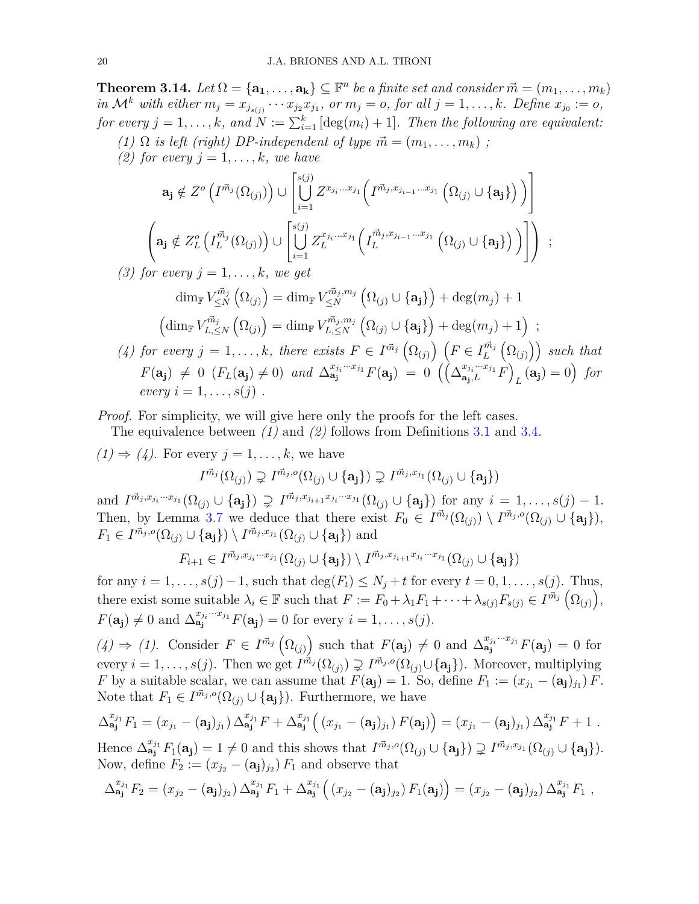**Theorem 3.14.** *Let*  $\Omega = {\mathbf{a_1}, \dots, \mathbf{a_k}} \subseteq \mathbb{F}^n$  *be a finite set and consider*  $\vec{m} = (m_1, \dots, m_k)$ in  $\mathcal{M}^k$  with either  $m_j = x_{j_{s(j)}} \cdots x_{j_2} x_{j_1}$ , or  $m_j = o$ , for all  $j = 1, \ldots, k$ . Define  $x_{j_0} := o$ , *for every*  $j = 1, \ldots, k$ *, and*  $N := \sum_{i=1}^{k} [\deg(m_i) + 1]$ *. Then the following are equivalent:* 

*(1)*  $\Omega$  *is left (right) DP-independent of type*  $\vec{m} = (m_1, \ldots, m_k)$ ;

*(2) for every*  $j = 1, \ldots, k$ *, we have* 

$$
\mathbf{a}_{\mathbf{j}} \notin Z^{o}\left(I^{\vec{m}_{j}}(\Omega_{(j)})\right) \cup \left[\bigcup_{i=1}^{s(j)} Z^{x_{j_{i}}...x_{j_{1}}}\left(I^{\vec{m}_{j},x_{j_{i-1}}...x_{j_{1}}}\left(\Omega_{(j)}\cup\{\mathbf{a}_{\mathbf{j}}\}\right)\right)\right]
$$

$$
\left(\mathbf{a}_{\mathbf{j}} \notin Z^{o}_{L}\left(I^{\vec{m}_{j}}_{L}(\Omega_{(j)})\right) \cup \left[\bigcup_{i=1}^{s(j)} Z^{x_{j_{i}}...x_{j_{1}}}_{L}\left(I^{\vec{m}_{j},x_{j_{i-1}}...x_{j_{1}}}_{L}\left(\Omega_{(j)}\cup\{\mathbf{a}_{\mathbf{j}}\}\right)\right)\right]\right) ;
$$

*(3) for every*  $j = 1, \ldots, k$ *, we get* 

$$
\dim_{\mathbb{F}} V^{\vec{m}_j}_{\leq N}(\Omega_{(j)}) = \dim_{\mathbb{F}} V^{\vec{m}_j, m_j}_{\leq N}(\Omega_{(j)} \cup {\mathbf{a_j}}) + \deg(m_j) + 1
$$

$$
\left(\dim_{\mathbb{F}} V^{\vec{m}_j}_{L, \leq N}(\Omega_{(j)}) = \dim_{\mathbb{F}} V^{\vec{m}_j, m_j}_{L, \leq N}(\Omega_{(j)} \cup {\mathbf{a_j}}) + \deg(m_j) + 1\right)
$$

(4) for every 
$$
j = 1, ..., k
$$
, there exists  $F \in I^{\vec{m}_j}(\Omega_{(j)})$   $(F \in I_L^{\vec{m}_j}(\Omega_{(j)}))$  such that  $F(\mathbf{a_j}) \neq 0$   $(F_L(\mathbf{a_j}) \neq 0)$  and  $\Delta_{\mathbf{a_j}}^{x_{j_i}...x_{j_1}}F(\mathbf{a_j}) = 0$   $((\Delta_{\mathbf{a_j},L}^{x_{j_i}...x_{j_1}}F)_{L}(\mathbf{a_j}) = 0)$  for every  $i = 1, ..., s(j)$ .

;

*Proof.* For simplicity, we will give here only the proofs for the left cases.

The equivalence between *(1)* and *(2)* follows from Definitions [3.1](#page-10-0) and [3.4.](#page-11-0)

 $(1) \Rightarrow (4)$ . For every  $j = 1, \ldots, k$ , we have

$$
I^{\vec{m}_j}(\Omega_{(j)}) \supsetneq I^{\vec{m}_j,o}(\Omega_{(j)} \cup \{a_j\}) \supsetneq I^{\vec{m}_j,x_{j_1}}(\Omega_{(j)} \cup \{a_j\})
$$

and  $I^{\vec{m}_j, x_{j_i}\cdots x_{j_1}}(\Omega_{(j)} \cup \{a_j\}) \supsetneq I^{\vec{m}_j, x_{j_{i+1}}x_{j_i}\cdots x_{j_1}}(\Omega_{(j)} \cup \{a_j\})$  for any  $i = 1, \ldots, s(j) - 1$ . Then, by Lemma [3.7](#page-14-0) we deduce that there exist  $F_0 \in I^{\vec{m}_j}(\Omega_{(j)}) \setminus I^{\vec{m}_j,o}(\Omega_{(j)} \cup \{a_j\}),$  $F_1 \in I^{\vec{m}_j, o}(\Omega_{(j)} \cup \{a_j\}) \setminus I^{\vec{m}_j, x_{j_1}}(\Omega_{(j)} \cup \{a_j\})$  and

$$
F_{i+1} \in I^{\vec{m}_j, x_{j_i}\cdots x_{j_1}}(\Omega_{(j)} \cup \{a_j\}) \setminus I^{\vec{m}_j, x_{j_{i+1}}x_{j_i}\cdots x_{j_1}}(\Omega_{(j)} \cup \{a_j\})
$$

for any  $i = 1, \ldots, s(j) - 1$ , such that  $\deg(F_t) \leq N_j + t$  for every  $t = 0, 1, \ldots, s(j)$ . Thus, there exist some suitable  $\lambda_i \in \mathbb{F}$  such that  $F := F_0 + \lambda_1 F_1 + \cdots + \lambda_{s(j)} F_{s(j)} \in I^{\vec{m}_j}(\Omega_{(j)}),$  $F(\mathbf{a_j}) \neq 0$  and  $\Delta_{\mathbf{a_j}}^{x_{j_i}...x_{j_1}} F(\mathbf{a_j}) = 0$  for every  $i = 1, ..., s(j)$ .

 $(4) \Rightarrow (1)$ . Consider  $F \in I^{\vec{m}_j}(\Omega_{(j)})$  such that  $F(\mathbf{a_j}) \neq 0$  and  $\Delta_{\mathbf{a_j}}^{x_{j_i}...x_{j_1}}F(\mathbf{a_j}) = 0$  for every  $i = 1, ..., s(j)$ . Then we get  $I^{\vec{m}_j}(\Omega_{(j)}) \supsetneq I^{\vec{m}_j,o}(\Omega_{(j)} \cup \{a_j\})$ . Moreover, multiplying *F* by a suitable scalar, we can assume that  $F(\mathbf{a_j}) = 1$ . So, define  $F_1 := (x_{j_1} - (\mathbf{a_j})_{j_1}) F$ . Note that  $F_1 \in I^{\vec{m}_j,o}(\Omega_{(j)} \cup {\bf{a_j}})$ . Furthermore, we have

$$
\Delta_{\mathbf{a_j}}^{x_{j_1}} F_1 = (x_{j_1} - (\mathbf{a_j})_{j_1}) \Delta_{\mathbf{a_j}}^{x_{j_1}} F + \Delta_{\mathbf{a_j}}^{x_{j_1}} ((x_{j_1} - (\mathbf{a_j})_{j_1}) F(\mathbf{a_j})) = (x_{j_1} - (\mathbf{a_j})_{j_1}) \Delta_{\mathbf{a_j}}^{x_{j_1}} F + 1.
$$

Hence  $\Delta_{\mathbf{a_j}}^{x_{j_1}} F_1(\mathbf{a_j}) = 1 \neq 0$  and this shows that  $I^{\vec{m}_j,o}(\Omega_{(j)} \cup {\mathbf{a_j}}) \supsetneq I^{\vec{m}_j,x_{j_1}}(\Omega_{(j)} \cup {\mathbf{a_j}}).$ Now, define  $F_2 := (x_{j_2} - (\mathbf{a_j})_{j_2}) F_1$  and observe that

$$
\Delta_{\mathbf{a_j}}^{x_{j_1}} F_2 = (x_{j_2} - (\mathbf{a_j})_{j_2}) \, \Delta_{\mathbf{a_j}}^{x_{j_1}} F_1 + \Delta_{\mathbf{a_j}}^{x_{j_1}} ((x_{j_2} - (\mathbf{a_j})_{j_2}) \, F_1(\mathbf{a_j})) = (x_{j_2} - (\mathbf{a_j})_{j_2}) \, \Delta_{\mathbf{a_j}}^{x_{j_1}} F_1 ,
$$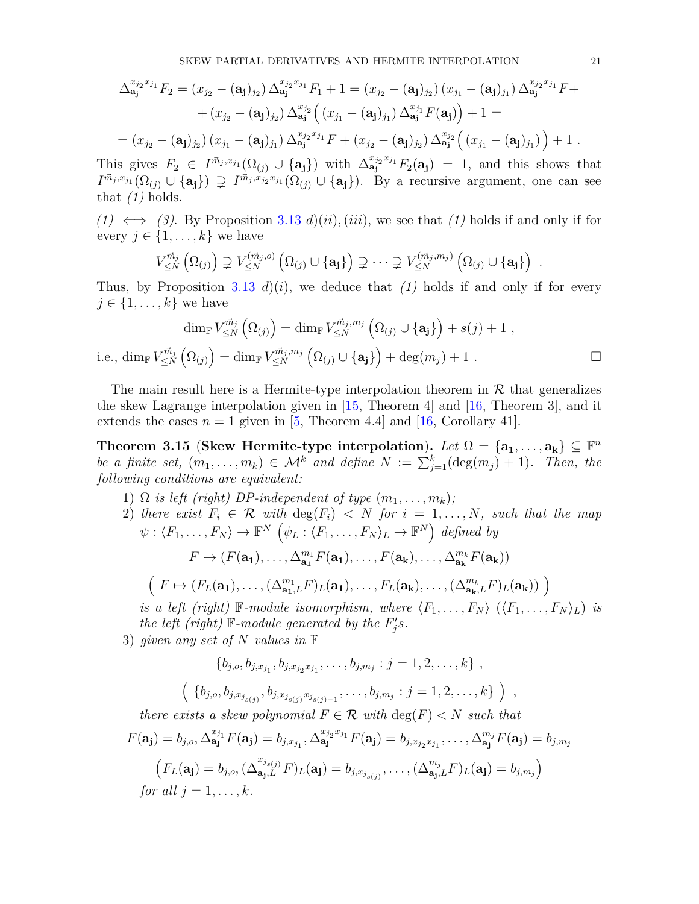$$
\Delta_{\mathbf{a_j}}^{x_{j_2}x_{j_1}}F_2 = (x_{j_2} - (\mathbf{a_j})_{j_2}) \Delta_{\mathbf{a_j}}^{x_{j_2}x_{j_1}}F_1 + 1 = (x_{j_2} - (\mathbf{a_j})_{j_2}) (x_{j_1} - (\mathbf{a_j})_{j_1}) \Delta_{\mathbf{a_j}}^{x_{j_2}x_{j_1}}F +
$$
  
+  $(x_{j_2} - (\mathbf{a_j})_{j_2}) \Delta_{\mathbf{a_j}}^{x_{j_2}} ((x_{j_1} - (\mathbf{a_j})_{j_1}) \Delta_{\mathbf{a_j}}^{x_{j_1}}F(\mathbf{a_j})) + 1 =$   
=  $(x_{j_2} - (\mathbf{a_j})_{j_2}) (x_{j_1} - (\mathbf{a_j})_{j_1}) \Delta_{\mathbf{a_j}}^{x_{j_2}x_{j_1}}F + (x_{j_2} - (\mathbf{a_j})_{j_2}) \Delta_{\mathbf{a_j}}^{x_{j_2}} ((x_{j_1} - (\mathbf{a_j})_{j_1})) + 1.$ 

This gives  $F_2 \in I^{\vec{m}_j, x_{j_1}}(\Omega_{(j)} \cup \{a_j\})$  with  $\Delta_{a_j}^{x_{j_2}x_{j_1}}F_2(a_j) = 1$ , and this shows that  $I^{\vec{m}_j,x_{j_1}}(\Omega_{(j)} \cup \{a_j\}) \supsetneq I^{\vec{m}_j,x_{j_2}x_{j_1}}(\Omega_{(j)} \cup \{a_j\})$ . By a recursive argument, one can see that  $(1)$  holds.

*(1)*  $\iff$  (3). By Proposition [3.13](#page-16-0) *d*)(*ii*), (*iii*), we see that (1) holds if and only if for every  $j \in \{1, \ldots, k\}$  we have

$$
V^{\vec{m}_j}_{\leq N}\left(\Omega_{(j)}\right) \supsetneq V^{\left(\vec{m}_j,o\right)}_{\leq N}\left(\Omega_{(j)}\cup\{\mathbf{a_j}\}\right) \supsetneq \cdots \supsetneq V^{\left(\vec{m}_j,m_j\right)}_{\leq N}\left(\Omega_{(j)}\cup\{\mathbf{a_j}\}\right).
$$

Thus, by Proposition [3.13](#page-16-0)  $d(i)$ , we deduce that (1) holds if and only if for every  $j \in \{1, \ldots, k\}$  we have

$$
\dim_{\mathbb{F}} V^{\vec{m}_j}_{\leq N} \left( \Omega_{(j)} \right) = \dim_{\mathbb{F}} V^{\vec{m}_j, m_j}_{\leq N} \left( \Omega_{(j)} \cup \{ \mathbf{a_j} \} \right) + s(j) + 1 ,
$$
  

$$
\dim_{\mathbb{F}} V^{\vec{m}_j}_{\leq N} \left( \Omega_{(j)} \right) = \dim_{\mathbb{F}} V^{\vec{m}_j, m_j}_{\leq N} \left( \Omega_{(j)} \cup \{ \mathbf{a_j} \} \right) + \deg(m_j) + 1 .
$$

The main result here is a Hermite-type interpolation theorem in  $R$  that generalizes the skew Lagrange interpolation given in  $|15$ , Theorem 4 and  $|16$ , Theorem 3, and it extends the cases  $n = 1$  given in [\[5,](#page-30-11) Theorem 4.4] and [\[16,](#page-30-16) Corollary 41].

<span id="page-20-0"></span>**Theorem 3.15** (Skew Hermite-type interpolation). Let  $\Omega = {\bf a_1, \ldots, a_k} \subseteq \mathbb{F}^n$ *be a finite set,*  $(m_1, \ldots, m_k) \in \mathcal{M}^k$  *and define*  $N := \sum_{j=1}^k (\deg(m_j) + 1)$ *. Then, the following conditions are equivalent:*

- 1)  $\Omega$  *is left (right) DP-independent of type*  $(m_1, \ldots, m_k)$ ;
- 2) *there exist*  $F_i \in \mathcal{R}$  *with*  $\deg(F_i) \leq N$  *for*  $i = 1, \ldots, N$ *, such that the map*  $\psi: \langle F_1, \ldots, F_N \rangle \to \mathbb{F}^N \left( \psi_L : \langle F_1, \ldots, F_N \rangle_L \to \mathbb{F}^N \right)$  defined by

$$
F \mapsto (F(\mathbf{a_1}), \dots, \Delta_{\mathbf{a_1}}^{m_1} F(\mathbf{a_1}), \dots, F(\mathbf{a_k}), \dots, \Delta_{\mathbf{a_k}}^{m_k} F(\mathbf{a_k}))
$$

$$
\left(F \mapsto (F_L(\mathbf{a_1}), \dots, (\Delta_{\mathbf{a_1},L}^{m_1} F)_L(\mathbf{a_1}), \dots, F_L(\mathbf{a_k}), \dots, (\Delta_{\mathbf{a_k},L}^{m_k} F)_L(\mathbf{a_k}))\right)
$$

*is a left (right)* F-module *isomorphism, where*  $\langle F_1, \ldots, F_N \rangle$   $(\langle F_1, \ldots, F_N \rangle_L)$  *is the left (right)*  $\mathbb{F}\text{-}module generated by the  $F'_j s$ *.*$ 

*,*

3) *given any set of N values in* F

 $\sqrt{ }$ 

*i.e.*,

$$
\{b_{j,o}, b_{j,x_{j_1}}, b_{j,x_{j_2}x_{j_1}}, \ldots, b_{j,m_j} : j = 1, 2, \ldots, k\},
$$
  

$$
\{b_{j,o}, b_{j,x_{j_{s(j)}}}, b_{j,x_{j_{s(j)}}x_{j_{s(j)-1}}}, \ldots, b_{j,m_j} : j = 1, 2, \ldots, k\} )
$$

*there exists a skew polynomial*  $F \in \mathcal{R}$  *with*  $\deg(F) < N$  *such that* 

$$
F(\mathbf{a_j}) = b_{j,o}, \Delta_{\mathbf{a_j}}^{x_{j_1}} F(\mathbf{a_j}) = b_{j,x_{j_1}}, \Delta_{\mathbf{a_j}}^{x_{j_2}x_{j_1}} F(\mathbf{a_j}) = b_{j,x_{j_2}x_{j_1}}, \dots, \Delta_{\mathbf{a_j}}^{m_j} F(\mathbf{a_j}) = b_{j,m_j}
$$

$$
\left( F_L(\mathbf{a_j}) = b_{j,o}, (\Delta_{\mathbf{a_j},L}^{x_{j_{s(j)}}} F)_L(\mathbf{a_j}) = b_{j,x_{j_{s(j)}}}, \dots, (\Delta_{\mathbf{a_j},L}^{m_j} F)_L(\mathbf{a_j}) = b_{j,m_j} \right)
$$
  
for all  $j = 1, \dots, k$ .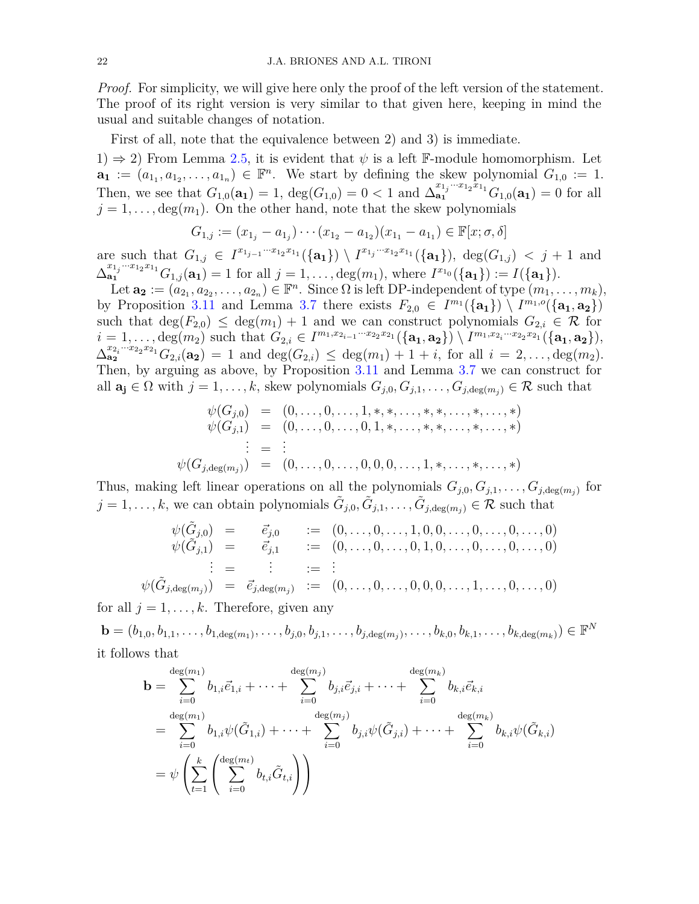*Proof.* For simplicity, we will give here only the proof of the left version of the statement. The proof of its right version is very similar to that given here, keeping in mind the usual and suitable changes of notation.

First of all, note that the equivalence between 2) and 3) is immediate.

1)  $\Rightarrow$  2) From Lemma [2.5,](#page-9-0) it is evident that  $\psi$  is a left F-module homomorphism. Let  $\mathbf{a}_1 := (a_{1_1}, a_{1_2}, \ldots, a_{1_n}) \in \mathbb{F}^n$ . We start by defining the skew polynomial  $G_{1,0} := 1$ . Then, we see that  $G_{1,0}(\mathbf{a_1}) = 1$ ,  $deg(G_{1,0}) = 0 < 1$  and  $\Delta_{\mathbf{a_1}}^{x_{1_j}...x_{1_2}x_{1_1}} G_{1,0}(\mathbf{a_1}) = 0$  for all  $j = 1, \ldots, \deg(m_1)$ . On the other hand, note that the skew polynomials

$$
G_{1,j} := (x_{1_j} - a_{1_j}) \cdots (x_{1_2} - a_{1_2})(x_{1_1} - a_{1_1}) \in \mathbb{F}[x; \sigma, \delta]
$$

are such that  $G_{1,j} \in I^{x_{1_{j-1}} \cdots x_{1_2} x_{1_1}}(\{\mathbf{a}_1\}) \setminus I^{x_{1_j} \cdots x_{1_2} x_{1_1}}(\{\mathbf{a}_1\}), \deg(G_{1,j}) < j+1$  and  $\Delta_{\mathbf{a_1}}^{x_{1_j}\cdots x_{1_2}x_{1_1}}G_{1,j}(\mathbf{a_1})=1$  for all  $j=1,\ldots,\deg(m_1)$ , where  $I^{x_{1_0}}(\{\mathbf{a_1}\}):=I(\{\mathbf{a_1}\}).$ 

Let  $\mathbf{a_2} := (a_{2_1}, a_{2_2}, \ldots, a_{2_n}) \in \mathbb{F}^n$ . Since  $\Omega$  is left DP-independent of type  $(m_1, \ldots, m_k)$ , by Proposition [3.11](#page-16-1) and Lemma [3.7](#page-14-0) there exists  $F_{2,0} \in I^{m_1}(\{\mathbf{a}_1\}) \setminus I^{m_1,o}(\{\mathbf{a}_1,\mathbf{a}_2\})$ such that  $deg(F_{2,0}) \leq deg(m_1) + 1$  and we can construct polynomials  $G_{2,i} \in \mathcal{R}$  for  $i=1,\ldots,\deg(m_2)$  such that  $G_{2,i} \in I^{m_1,x_{2_{i-1}}\cdots x_{2_2}x_{2_1}}(\{\mathbf{a_1},\mathbf{a_2}\}) \setminus I^{m_1,x_{2_i}\cdots x_{2_2}x_{2_1}}(\{\mathbf{a_1},\mathbf{a_2}\}),$  $\Delta_{\mathbf{a_2}}^{x_{2_i}...x_{2_2}x_{2_1}} G_{2,i}(\mathbf{a_2}) = 1$  and  $\deg(G_{2,i}) \leq \deg(m_1) + 1 + i$ , for all  $i = 2, \ldots, \deg(m_2)$ . Then, by arguing as above, by Proposition [3.11](#page-16-1) and Lemma [3.7](#page-14-0) we can construct for all  $\mathbf{a_j} \in \Omega$  with  $j = 1, \ldots, k$ , skew polynomials  $G_{j,0}, G_{j,1}, \ldots, G_{j, \deg(m_j)} \in \mathcal{R}$  such that

$$
\psi(G_{j,0}) = (0, \ldots, 0, \ldots, 1, \ast, \ast, \ldots, \ast, \ast, \ldots, \ast, \ldots, \ast) \n\psi(G_{j,1}) = (0, \ldots, 0, \ldots, 0, 1, \ast, \ldots, \ast, \ast, \ldots, \ast, \ldots, \ast) \n\vdots = \vdots \n\psi(G_{j,\deg(m_j)}) = (0, \ldots, 0, \ldots, 0, 0, 0, \ldots, 1, \ast, \ldots, \ast, \ldots, \ast)
$$

Thus, making left linear operations on all the polynomials  $G_{j,0}, G_{j,1}, \ldots, G_{j, \deg(m_j)}$  for  $j = 1, \ldots, k$ , we can obtain polynomials  $\tilde{G}_{j,0}, \tilde{G}_{j,1}, \ldots, \tilde{G}_{j, \deg(m_j)} \in \mathcal{R}$  such that

$$
\psi(\tilde{G}_{j,0}) = \vec{e}_{j,0} := (0, \ldots, 0, \ldots, 1, 0, 0, \ldots, 0, \ldots, 0, \ldots, 0, \ldots, 0, \ldots, 0, \ldots, 0, \ldots, 0, \ldots, 0, \ldots, 0, \ldots, 0, \ldots, 0, \ldots, 0, \ldots, 0, \ldots, 0, \ldots, 0, \ldots, 0, \ldots, 0, \ldots, 0, \ldots, 0, \ldots, 0, \ldots, 0, \ldots, 0, \ldots, 0, \ldots, 0, \ldots, 0, \ldots, 0, \ldots, 0, \ldots, 0, \ldots, 0, \ldots, 0, \ldots, 0, \ldots, 0, \ldots, 0, \ldots, 0, \ldots, 0, \ldots, 0, \ldots, 0, \ldots, 0, \ldots, 0, \ldots, 0, \ldots, 0, \ldots, 0, \ldots, 0, \ldots, 0, \ldots, 0, \ldots, 0, \ldots, 0, \ldots, 0, \ldots, 0, \ldots, 0, \ldots, 0, \ldots, 0, \ldots, 0, \ldots, 0, \ldots, 0, \ldots, 0, \ldots, 0, \ldots, 0, \ldots, 0, \ldots, 0, \ldots, 0, \ldots, 0, \ldots, 0, \ldots, 0, \ldots, 0, \ldots, 0, \ldots, 0, \ldots, 0, \ldots, 0, \ldots, 0, \ldots, 0, \ldots, 0, \ldots, 0, \ldots, 0, \ldots, 0, \ldots, 0, \ldots, 0, \ldots, 0, \ldots, 0, \ldots, 0, \ldots, 0, \ldots, 0, \ldots, 0, \ldots, 0, \ldots, 0, \ldots, 0, \ldots, 0, \ldots, 0, \ldots, 0, \ldots, 0, \ldots, 0, \ldots, 0, \ldots, 0, \ldots, 0, \ldots, 0, \ldots, 0, \ldots, 0, \ldots, 0, \ldots, 0, \ldots, 0, \ldots, 0, \ldots, 0,
$$

for all  $j = 1, \ldots, k$ . Therefore, given any

 $\mathbf{b} = (b_{1,0}, b_{1,1}, \ldots, b_{1,\deg(m_1)}, \ldots, b_{j,0}, b_{j,1}, \ldots, b_{j,\deg(m_j)}, \ldots, b_{k,0}, b_{k,1}, \ldots, b_{k,\deg(m_k)}) \in \mathbb{F}^N$ it follows that

$$
\mathbf{b} = \sum_{i=0}^{\deg(m_1)} b_{1,i} \vec{e}_{1,i} + \dots + \sum_{i=0}^{\deg(m_j)} b_{j,i} \vec{e}_{j,i} + \dots + \sum_{i=0}^{\deg(m_k)} b_{k,i} \vec{e}_{k,i}
$$
  
\n
$$
= \sum_{i=0}^{\deg(m_1)} b_{1,i} \psi(\tilde{G}_{1,i}) + \dots + \sum_{i=0}^{\deg(m_j)} b_{j,i} \psi(\tilde{G}_{j,i}) + \dots + \sum_{i=0}^{\deg(m_k)} b_{k,i} \psi(\tilde{G}_{k,i})
$$
  
\n
$$
= \psi \left( \sum_{t=1}^k \left( \sum_{i=0}^{\deg(m_t)} b_{t,i} \tilde{G}_{t,i} \right) \right)
$$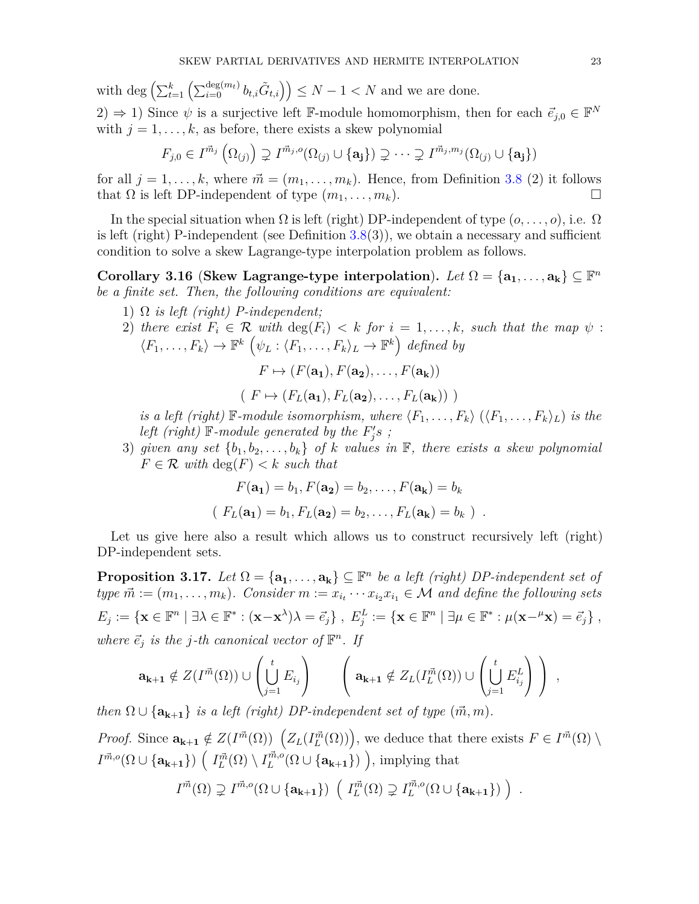with deg  $\left(\sum_{t=1}^k \left(\sum_{i=0}^{\deg(m_t)} b_{t,i} \tilde{G}_{t,i}\right)\right) \leq N-1 < N$  and we are done.  $(2) \Rightarrow 1$ ) Since  $\psi$  is a surjective left F-module homomorphism, then for each  $\vec{e}_{j,0} \in \mathbb{F}^N$ with  $j = 1, \ldots, k$ , as before, there exists a skew polynomial

$$
F_{j,0} \in I^{\vec{m}_j}(\Omega_{(j)}) \supsetneq I^{\vec{m}_j,o}(\Omega_{(j)} \cup \{a_j\}) \supsetneq \cdots \supsetneq I^{\vec{m}_j,m_j}(\Omega_{(j)} \cup \{a_j\})
$$

for all  $j = 1, \ldots, k$ , where  $\vec{m} = (m_1, \ldots, m_k)$ . Hence, from Definition [3.8](#page-15-0) (2) it follows that  $\Omega$  is left DP-independent of type  $(m_1, \ldots, m_k)$ .

In the special situation when  $\Omega$  is left (right) DP-independent of type  $(0, \ldots, 0)$ , i.e.  $\Omega$ is left (right) P-independent (see Definition  $3.8(3)$  $3.8(3)$ ), we obtain a necessary and sufficient condition to solve a skew Lagrange-type interpolation problem as follows.

<span id="page-22-0"></span>**Corollary 3.16** (**Skew Lagrange-type interpolation**). Let  $\Omega = {\bf a_1, \ldots, a_k} \subseteq \mathbb{F}^n$ *be a finite set. Then, the following conditions are equivalent:*

- 1) Ω *is left (right) P-independent;*
- 2) there exist  $F_i \in \mathcal{R}$  with  $\deg(F_i) < k$  for  $i = 1, \ldots, k$ , such that the map  $\psi$ :  $\langle F_1, \ldots, F_k \rangle \to \mathbb{F}^k \left( \psi_L : \langle F_1, \ldots, F_k \rangle_L \to \mathbb{F}^k \right)$  defined by

$$
F \mapsto (F(\mathbf{a_1}), F(\mathbf{a_2}), \dots, F(\mathbf{a_k}))
$$

 $(F \mapsto (F_L(\mathbf{a_1}), F_L(\mathbf{a_2}), \ldots, F_L(\mathbf{a_k}))$ 

*is a left (right)*  $\mathbb{F}\text{-}module isomorphism, where  $\langle F_1, \ldots, F_k \rangle$  ( $\langle F_1, \ldots, F_k \rangle_L$ ) *is the*$ *left (right)*  $\mathbb{F}\text{-}module generated by the  $F'_j s$  ;$ 

3) given any set  $\{b_1, b_2, \ldots, b_k\}$  of  $k$  values in  $\mathbb{F}$ , there exists a skew polynomial  $F \in \mathcal{R}$  *with*  $\deg(F) < k$  *such that* 

$$
F(\mathbf{a_1}) = b_1, F(\mathbf{a_2}) = b_2, \dots, F(\mathbf{a_k}) = b_k
$$
  
(  $F_L(\mathbf{a_1}) = b_1, F_L(\mathbf{a_2}) = b_2, \dots, F_L(\mathbf{a_k}) = b_k )$ .

Let us give here also a result which allows us to construct recursively left (right) DP-independent sets.

<span id="page-22-1"></span>**Proposition 3.17.** *Let*  $\Omega = {\mathbf{a_1}, \dots, \mathbf{a_k}} \subseteq \mathbb{F}^n$  *be a left (right) DP-independent set of*  $type \ \vec{m} := (m_1, \ldots, m_k)$ *. Consider*  $m := x_{i_t} \cdots x_{i_2} x_{i_1} \in \mathcal{M}$  and define the following sets  $E_j := \{ \mathbf{x} \in \mathbb{F}^n \mid \exists \lambda \in \mathbb{F}^* : (\mathbf{x} - \mathbf{x}^{\lambda})\lambda = \vec{e}_j \}, \ E_j^L := \{ \mathbf{x} \in \mathbb{F}^n \mid \exists \mu \in \mathbb{F}^* : \mu(\mathbf{x} - \mu \mathbf{x}) = \vec{e}_j \},$ *where*  $\vec{e}_j$  *is the j*-*th* canonical vector of  $\mathbb{F}^n$ . If

$$
\mathbf{a_{k+1}} \notin Z(I^{\vec{m}}(\Omega)) \cup \left(\bigcup_{j=1}^{t} E_{i_j}\right) \qquad \left(\mathbf{a_{k+1}} \notin Z_L(I^{\vec{m}}_L(\Omega)) \cup \left(\bigcup_{j=1}^{t} E_{i_j}^L\right)\right) ,
$$

*then*  $\Omega \cup \{a_{k+1}\}\$ is a left (right) DP-independent set of type  $(\vec{m}, m)$ .

*Proof.* Since  $\mathbf{a_{k+1}} \notin Z(I^{\vec{m}}(\Omega))$   $(Z_L(I^{\vec{m}}_L(\Omega)))$ , we deduce that there exists  $F \in I^{\vec{m}}(\Omega) \setminus \mathcal{E}$  $I^{\vec{m},o}(\Omega \cup {\bf{a_{k+1}}})$   $\left(I^{\vec{m}}_L(\Omega) \setminus I^{\vec{m},o}_L(\Omega \cup {\bf{a_{k+1}}})\right)$ , implying that

$$
I^{\vec{m}}(\Omega) \supsetneq I^{\vec{m},o}(\Omega \cup \{a_{k+1}\}) \left( I_L^{\vec{m}}(\Omega) \supsetneq I_L^{\vec{m},o}(\Omega \cup \{a_{k+1}\}) \right) .
$$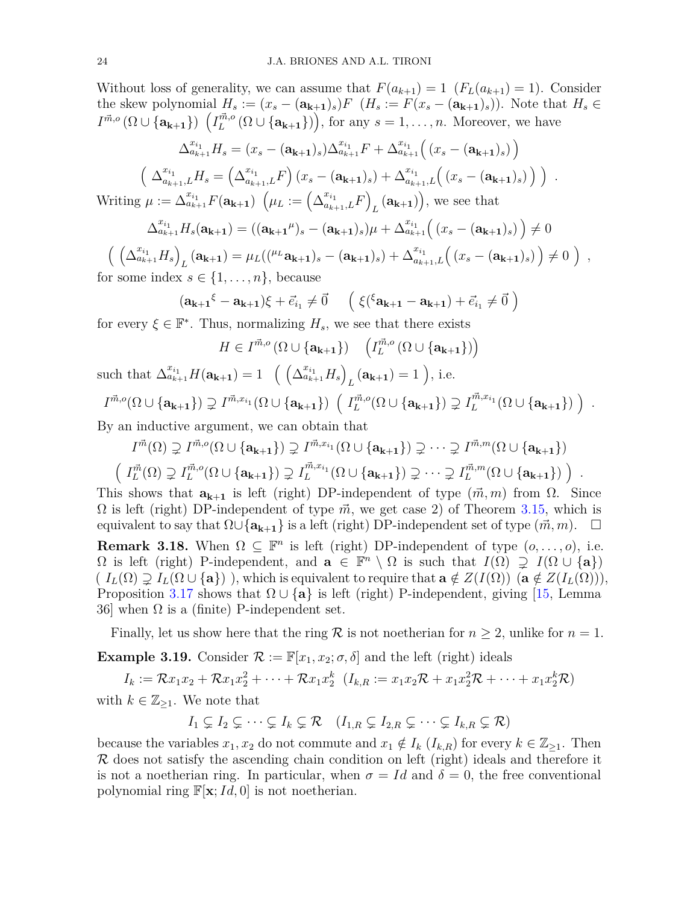Without loss of generality, we can assume that  $F(a_{k+1}) = 1$  ( $F<sub>L</sub>(a_{k+1}) = 1$ ). Consider the skew polynomial  $H_s := (x_s - (\mathbf{a_{k+1}})_s)F$  ( $H_s := F(x_s - (\mathbf{a_{k+1}})_s)$ ). Note that  $H_s$  ∈  $I^{\vec{m},o}(\Omega \cup {\bf{a_{k+1}}}) \left( I_L^{\vec{m},o}(\Omega \cup {\bf{a_{k+1}}}) \right)$ , for any  $s = 1, ..., n$ . Moreover, we have

$$
\Delta_{a_{k+1}}^{x_{i_1}} H_s = (x_s - (\mathbf{a_{k+1}})_s) \Delta_{a_{k+1}}^{x_{i_1}} F + \Delta_{a_{k+1}}^{x_{i_1}} ((x_s - (\mathbf{a_{k+1}})_s))
$$
  

$$
\left(\Delta_{a_{k+1},L}^{x_{i_1}} H_s = (\Delta_{a_{k+1},L}^{x_{i_1}} F) (x_s - (\mathbf{a_{k+1}})_s) + \Delta_{a_{k+1},L}^{x_{i_1}} ((x_s - (\mathbf{a_{k+1}})_s))\right).
$$

 $\text{Writing } \mu := \Delta_{a_{k+1}}^{x_{i_1}} F(\mathbf{a_{k+1}}) \ \left(\mu_L := \left(\Delta_{a_{k+1},L}^{x_{i_1}} F\right) \right)$  $L(\mathbf{a_{k+1}})$ , we see that

$$
\Delta_{a_{k+1}}^{x_{i_1}} H_s(\mathbf{a_{k+1}}) = ((\mathbf{a_{k+1}}^{\mu})_s - (\mathbf{a_{k+1}})_s)\mu + \Delta_{a_{k+1}}^{x_{i_1}} ((x_s - (\mathbf{a_{k+1}})_s)) \neq 0
$$

$$
\left(\left(\Delta_{a_{k+1}}^{x_{i_1}}H_s\right)_L(\mathbf{a_{k+1}})=\mu_L(({}^{\mu_L}\mathbf{a_{k+1}})_s-(\mathbf{a_{k+1}})_s)+\Delta_{a_{k+1},L}^{x_{i_1}}\left((x_s-(\mathbf{a_{k+1}})_s)\right)\neq 0\right),
$$
 for some index  $s \in \{1,\ldots,n\}$ , because

$$
(\mathbf{a_{k+1}}^{\xi} - \mathbf{a_{k+1}})\xi + \vec{e}_{i_1} \neq \vec{0} \quad \left( \xi({}^{\xi}\mathbf{a_{k+1}} - \mathbf{a_{k+1}}) + \vec{e}_{i_1} \neq \vec{0} \right)
$$

for every  $\xi \in \mathbb{F}^*$ . Thus, normalizing  $H_s$ , we see that there exists

$$
H \in I^{\vec{m},o}(\Omega \cup \{a_{k+1}\}) \quad \left(I_L^{\vec{m},o}(\Omega \cup \{a_{k+1}\})\right)
$$

such that 
$$
\Delta_{a_{k+1}}^{x_{i_1}} H(\mathbf{a_{k+1}}) = 1 \left( \left( \Delta_{a_{k+1}}^{x_{i_1}} H_s \right)_L (\mathbf{a_{k+1}}) = 1 \right)
$$
, i.e.  
\n $I^{\vec{m},o}(\Omega \cup \{\mathbf{a_{k+1}}\}) \supsetneq I^{\vec{m},x_{i_1}}(\Omega \cup \{\mathbf{a_{k+1}}\}) \left( I_L^{\vec{m},o}(\Omega \cup \{\mathbf{a_{k+1}}\}) \supsetneq I_L^{\vec{m},x_{i_1}}(\Omega \cup \{\mathbf{a_{k+1}}\}) \right)$ .

By an inductive argument, we can obtain that

$$
I^{\vec{m}}(\Omega) \supsetneq I^{\vec{m},o}(\Omega \cup \{a_{k+1}\}) \supsetneq I^{\vec{m},x_{i_1}}(\Omega \cup \{a_{k+1}\}) \supsetneq \cdots \supsetneq I^{\vec{m},m}(\Omega \cup \{a_{k+1}\})
$$

$$
\left(I^{\vec{m}}_L(\Omega) \supsetneq I^{\vec{m},o}_L(\Omega \cup \{a_{k+1}\}) \supsetneq I^{\vec{m},x_{i_1}}_L(\Omega \cup \{a_{k+1}\}) \supsetneq \cdots \supsetneq I^{\vec{m},m}_L(\Omega \cup \{a_{k+1}\})\right).
$$

This shows that  $\mathbf{a}_{k+1}$  is left (right) DP-independent of type  $(\vec{m}, m)$  from  $\Omega$ . Since  $\Omega$  is left (right) DP-independent of type  $\vec{m}$ , we get case 2) of Theorem [3.15,](#page-20-0) which is equivalent to say that  $\Omega \cup \{a_{k+1}\}\$ is a left (right) DP-independent set of type  $(\vec{m}, m)$ .  $\Box$ **Remark 3.18.** When  $\Omega \subseteq \mathbb{F}^n$  is left (right) DP-independent of type  $(o, \ldots, o)$ , i.e.  $\Omega$  is left (right) P-independent, and  $\mathbf{a} \in \mathbb{F}^n \setminus \Omega$  is such that  $I(\Omega) \supsetneq I(\Omega \cup \{\mathbf{a}\})$  $(I_L(\Omega) \supsetneq I_L(\Omega \cup \{a\})$ , which is equivalent to require that  $a \notin Z(I(\Omega))$   $(a \notin Z(I_L(\Omega)))$ , Proposition [3.17](#page-22-1) shows that  $\Omega \cup \{a\}$  is left (right) P-independent, giving [\[15,](#page-30-10) Lemma 36] when  $\Omega$  is a (finite) P-independent set.

Finally, let us show here that the ring  $R$  is not noetherian for  $n \geq 2$ , unlike for  $n = 1$ .

**Example 3.19.** Consider  $\mathcal{R} := \mathbb{F}[x_1, x_2; \sigma, \delta]$  and the left (right) ideals

 $I_k := \mathcal{R}x_1x_2 + \mathcal{R}x_1x_2^2 + \cdots + \mathcal{R}x_1x_2^k$  $Z_2^k$   $(I_{k,R} := x_1x_2\mathcal{R} + x_1x_2^2\mathcal{R} + \cdots + x_1x_2^k\mathcal{R}$ with  $k \in \mathbb{Z}_{\geq 1}$ . We note that

$$
I_1 \subsetneq I_2 \subsetneq \cdots \subsetneq I_k \subsetneq \mathcal{R} \quad (I_{1,R} \subsetneq I_{2,R} \subsetneq \cdots \subsetneq I_{k,R} \subsetneq \mathcal{R})
$$

because the variables  $x_1, x_2$  do not commute and  $x_1 \notin I_k$  ( $I_{k,R}$ ) for every  $k \in \mathbb{Z}_{\geq 1}$ . Then  $\mathcal R$  does not satisfy the ascending chain condition on left (right) ideals and therefore it is not a noetherian ring. In particular, when  $\sigma = Id$  and  $\delta = 0$ , the free conventional polynomial ring  $\mathbb{F}[\mathbf{x}; Id, 0]$  is not noetherian.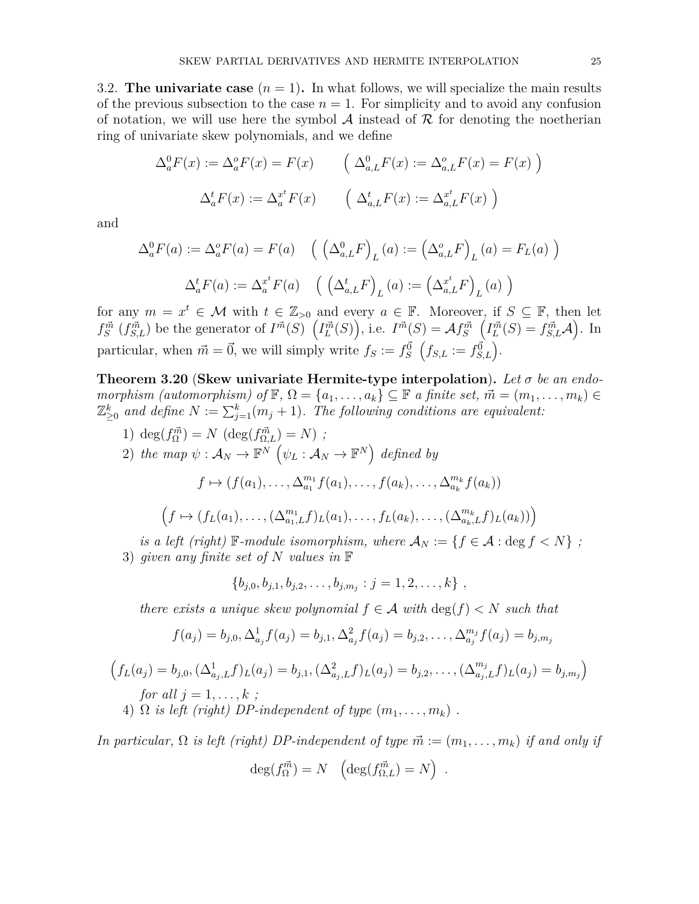3.2. **The univariate case**  $(n = 1)$ . In what follows, we will specialize the main results of the previous subsection to the case  $n = 1$ . For simplicity and to avoid any confusion of notation, we will use here the symbol  $\mathcal A$  instead of  $\mathcal R$  for denoting the noetherian ring of univariate skew polynomials, and we define

$$
\Delta_a^0 F(x) := \Delta_a^0 F(x) = F(x) \qquad \left( \Delta_{a,L}^0 F(x) := \Delta_{a,L}^0 F(x) = F(x) \right)
$$

$$
\Delta_a^t F(x) := \Delta_a^{x^t} F(x) \qquad \left( \Delta_{a,L}^t F(x) := \Delta_{a,L}^{x^t} F(x) \right)
$$

and

$$
\Delta_a^0 F(a) := \Delta_a^0 F(a) = F(a) \quad \left( \left( \Delta_{a,L}^0 F \right)_L(a) := \left( \Delta_{a,L}^0 F \right)_L(a) = F_L(a) \right)
$$

$$
\Delta_a^t F(a) := \Delta_a^{x^t} F(a) \quad \left( \left( \Delta_{a,L}^t F \right)_L(a) := \left( \Delta_{a,L}^{x^t} F \right)_L(a) \right)
$$

for any  $m = x^t \in \mathcal{M}$  with  $t \in \mathbb{Z}_{>0}$  and every  $a \in \mathbb{F}$ . Moreover, if  $S \subseteq \mathbb{F}$ , then let  $f_S^{\vec{m}}(f_{S,L}^{\vec{m}})$  be the generator of  $I^{\vec{m}}(S)$   $(I_L^{\vec{m}}(S))$ , i.e.  $I^{\vec{m}}(S) = \mathcal{A} f_S^{\vec{m}}(I_L^{\vec{m}}(S) = f_{S,L}^{\vec{m}}\mathcal{A})$ . In particular, when  $\vec{m} = \vec{0}$ , we will simply write  $f_S := f_S^{\vec{0}}(f_{S,L} := f_{S,L}^{\vec{0}})$ .

<span id="page-24-0"></span>**Theorem 3.20** (**Skew univariate Hermite-type interpolation**)**.** *Let σ be an endomorphism (automorphism) of*  $\mathbb{F}, \Omega = \{a_1, \ldots, a_k\} \subseteq \mathbb{F}$  *a finite set,*  $\vec{m} = (m_1, \ldots, m_k) \in$  $\mathbb{Z}_{\geq 0}^k$  and define  $N := \sum_{j=1}^k (m_j + 1)$ . The following conditions are equivalent:

1) 
$$
\deg(f_{\Omega}^{\vec{m}}) = N \left( \deg(f_{\Omega,L}^{\vec{m}}) = N \right) ;
$$

2) *the map*  $\psi : A_N \to \mathbb{F}^N$   $(\psi_L : A_N \to \mathbb{F}^N)$  *defined by* 

$$
f \mapsto (f(a_1), \dots, \Delta_{a_1}^{m_1} f(a_1), \dots, f(a_k), \dots, \Delta_{a_k}^{m_k} f(a_k))
$$

$$
(f \mapsto (f_L(a_1), \ldots, (\Delta_{a_1,L}^{m_1}f)_L(a_1), \ldots, f_L(a_k), \ldots, (\Delta_{a_k,L}^{m_k}f)_L(a_k))
$$

*is a left (right)* F-module *isomorphism, where*  $A_N := \{f \in \mathcal{A} : \text{deg } f < N\}$ ; 3) *given any finite set of N values in* F

$$
\{b_{j,0}, b_{j,1}, b_{j,2}, \ldots, b_{j,m_j} : j = 1, 2, \ldots, k\},\,
$$

*there exists a unique skew polynomial*  $f \in \mathcal{A}$  with  $\deg(f) < N$  *such that* 

$$
f(a_j) = b_{j,0}, \Delta^1_{a_j} f(a_j) = b_{j,1}, \Delta^2_{a_j} f(a_j) = b_{j,2}, \ldots, \Delta^{m_j}_{a_j} f(a_j) = b_{j,m_j}
$$

$$
\left(f_L(a_j) = b_{j,0}, (\Delta^1_{a_j,L}f)_L(a_j) = b_{j,1}, (\Delta^2_{a_j,L}f)_L(a_j) = b_{j,2}, \dots, (\Delta^{m_j}_{a_j,L}f)_L(a_j) = b_{j,m_j}\right)
$$
  
for all  $j = 1, \dots, k$ ;  
4)  $\Omega$  is left (right) DP-independent of type  $(m_1, \dots, m_k)$ .

*In particular,*  $\Omega$  *is left (right) DP-independent of type*  $\vec{m} := (m_1, \ldots, m_k)$  *if and only if* 

$$
\deg(f_{\Omega}^{\vec{m}}) = N \quad \left(\deg(f_{\Omega,L}^{\vec{m}}) = N\right) .
$$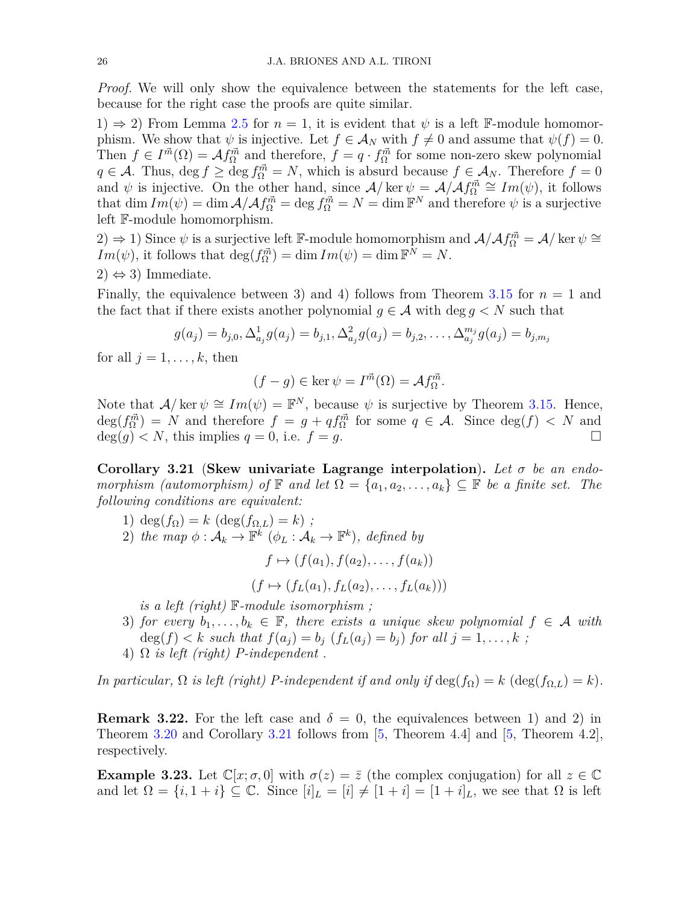*Proof.* We will only show the equivalence between the statements for the left case, because for the right case the proofs are quite similar.

1)  $\Rightarrow$  2) From Lemma [2.5](#page-9-0) for  $n = 1$ , it is evident that  $\psi$  is a left F-module homomorphism. We show that  $\psi$  is injective. Let  $f \in \mathcal{A}_N$  with  $f \neq 0$  and assume that  $\psi(f) = 0$ . Then  $f \in I^{\vec{m}}(\Omega) = \mathcal{A} f_{\Omega}^{\vec{m}}$  and therefore,  $f = q \cdot f_{\Omega}^{\vec{m}}$  for some non-zero skew polynomial  $q \in \mathcal{A}$ . Thus, deg  $f \ge \deg f_{\Omega}^{\vec{m}} = N$ , which is absurd because  $f \in \mathcal{A}_N$ . Therefore  $f = 0$ and  $\psi$  is injective. On the other hand, since  $\mathcal{A}/\ker \psi = \mathcal{A}/\mathcal{A}f_{\Omega}^{\vec{m}} \cong Im(\psi)$ , it follows that  $\dim Im(\psi) = \dim \mathcal{A}/\mathcal{A} f_{\Omega}^{\vec{m}} = \deg f_{\Omega}^{\vec{m}} = N = \dim \mathbb{F}^{N}$  and therefore  $\psi$  is a surjective left F-module homomorphism.

2)  $\Rightarrow$  1) Since  $\psi$  is a surjective left F-module homomorphism and  $A/Af_{\Omega}^{\vec{m}} = A/\ker \psi \cong$ *Im*( $\psi$ ), it follows that  $\deg(f_{\Omega}^{\vec{m}}) = \dim Im(\psi) = \dim \mathbb{F}^{N} = N$ .

 $2) \Leftrightarrow 3$  Immediate.

Finally, the equivalence between 3) and 4) follows from Theorem [3.15](#page-20-0) for  $n = 1$  and the fact that if there exists another polynomial  $g \in \mathcal{A}$  with deg  $g < N$  such that

$$
g(a_j) = b_{j,0}, \Delta^1_{a_j} g(a_j) = b_{j,1}, \Delta^2_{a_j} g(a_j) = b_{j,2}, \ldots, \Delta^{m_j}_{a_j} g(a_j) = b_{j,m_j}
$$

for all  $j = 1, \ldots, k$ , then

$$
(f - g) \in \ker \psi = I^{\vec{m}}(\Omega) = \mathcal{A}f_{\Omega}^{\vec{m}}.
$$

Note that  $A/\text{ker } \psi \cong Im(\psi) = \mathbb{F}^N$ , because  $\psi$  is surjective by Theorem [3.15.](#page-20-0) Hence,  $deg(f_{\Omega}^{\vec{m}}) = N$  and therefore  $f = g + qf_{\Omega}^{\vec{m}}$  for some  $q \in \mathcal{A}$ . Since  $deg(f) < N$  and  $deg(g) < N$ , this implies  $q = 0$ , i.e.  $f = g$ .

<span id="page-25-0"></span>**Corollary 3.21** (**Skew univariate Lagrange interpolation**)**.** *Let σ be an endomorphism (automorphism) of*  $\mathbb{F}$  *and let*  $\Omega = \{a_1, a_2, \ldots, a_k\} \subseteq \mathbb{F}$  *be a finite set. The following conditions are equivalent:*

1) deg( $f_{\Omega}$ ) =  $k$  (deg( $f_{\Omega,L}$ ) =  $k$ ); 2) *the map*  $\phi: \mathcal{A}_k \to \mathbb{F}^k$   $(\phi_L: \mathcal{A}_k \to \mathbb{F}^k)$ *, defined by* 

$$
f \mapsto (f(a_1), f(a_2), \ldots, f(a_k))
$$

 $(f \mapsto (f_L(a_1), f_L(a_2), \ldots, f_L(a_k)))$ 

*is a left (right)* F*-module isomorphism ;*

- 3) *for every*  $b_1, \ldots, b_k \in \mathbb{F}$ *, there exists a unique skew polynomial*  $f \in \mathcal{A}$  with  $deg(f) < k$  *such that*  $f(a_j) = b_j$   $(f_L(a_j) = b_j)$  *for all*  $j = 1, ..., k$ ;
- 4) Ω *is left (right) P-independent .*

*In particular,*  $\Omega$  *is left (right) P-independent if and only if*  $\deg(f_{\Omega}) = k$  ( $\deg(f_{\Omega,L}) = k$ ).

**Remark 3.22.** For the left case and  $\delta = 0$ , the equivalences between 1) and 2) in Theorem [3.20](#page-24-0) and Corollary [3.21](#page-25-0) follows from [\[5,](#page-30-11) Theorem 4.4] and [\[5,](#page-30-11) Theorem 4.2], respectively.

**Example 3.23.** Let  $\mathbb{C}[x; \sigma, 0]$  with  $\sigma(z) = \overline{z}$  (the complex conjugation) for all  $z \in \mathbb{C}$ and let  $\Omega = \{i, 1 + i\} \subseteq \mathbb{C}$ . Since  $[i]_L = [i] \neq [1 + i] = [1 + i]_L$ , we see that  $\Omega$  is left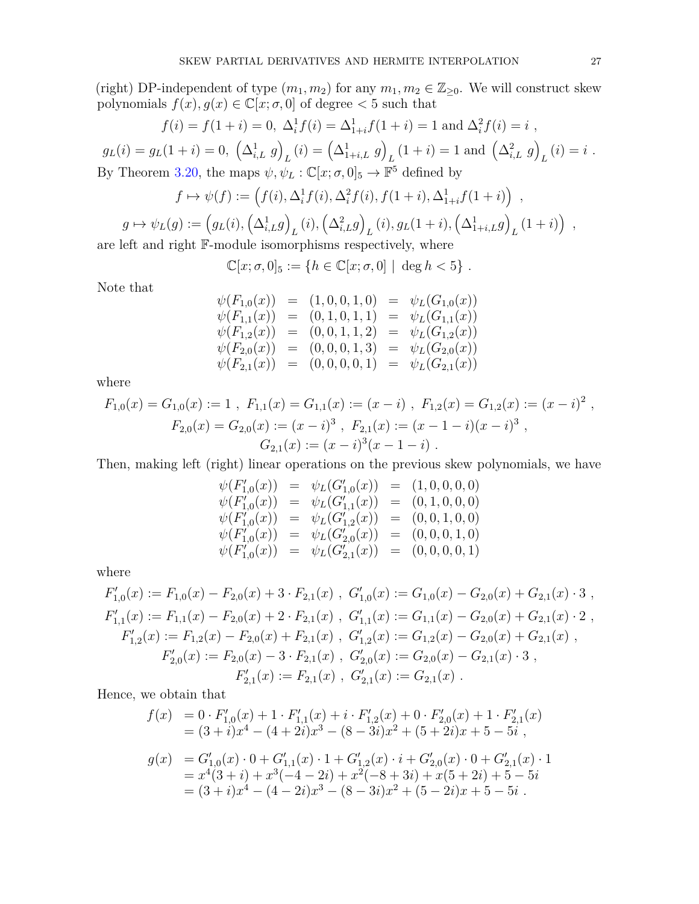(right) DP-independent of type  $(m_1, m_2)$  for any  $m_1, m_2 \in \mathbb{Z}_{\geq 0}$ . We will construct skew polynomials  $f(x), g(x) \in \mathbb{C}[x, \sigma, 0]$  of degree  $\lt 5$  such that

$$
f(i) = f(1+i) = 0, \ \Delta_i^1 f(i) = \Delta_{1+i}^1 f(1+i) = 1 \text{ and } \Delta_i^2 f(i) = i ,
$$
  

$$
g(x(1+i) = 0, \ (\Delta_{1,i}^1 g)(i) = (\Delta_{1,i}^1 g)(1+i) = 1 \text{ and } (\Delta_{i,i}^2 g)(i) = i ,
$$

$$
g_L(i) = g_L(1+i) = 0, \left(\Delta_{i,L}^1 g\right)_L(i) = \left(\Delta_{1+i,L}^1 g\right)_L(1+i) = 1 \text{ and } \left(\Delta_{i,L}^2 g\right)_L(i) = i.
$$
  
By Theorem 3.20, the maps  $\psi, \psi_L : \mathbb{C}[x; \sigma, 0]_5 \to \mathbb{F}^5$  defined by

$$
f \mapsto \psi(f) := (f(i), \Delta_i^1 f(i), \Delta_i^2 f(i), f(1+i), \Delta_{1+i}^1 f(1+i))
$$
,

$$
g \mapsto \psi_L(g) := \left(g_L(i), \left(\Delta_{i,L}^1 g\right)_L(i), \left(\Delta_{i,L}^2 g\right)_L(i), g_L(1+i), \left(\Delta_{1+i,L}^1 g\right)_L(1+i)\right)
$$

are left and right F-module isomorphisms respectively, where

$$
\mathbb{C}[x; \sigma, 0]_5 := \{ h \in \mathbb{C}[x; \sigma, 0] \mid \deg h < 5 \} .
$$

Note that

$$
\begin{array}{rcl}\n\psi(F_{1,0}(x)) & = & (1,0,0,1,0) = & \psi_L(G_{1,0}(x)) \\
\psi(F_{1,1}(x)) & = & (0,1,0,1,1) = & \psi_L(G_{1,1}(x)) \\
\psi(F_{1,2}(x)) & = & (0,0,1,1,2) = & \psi_L(G_{1,2}(x)) \\
\psi(F_{2,0}(x)) & = & (0,0,0,1,3) = & \psi_L(G_{2,0}(x)) \\
\psi(F_{2,1}(x)) & = & (0,0,0,0,1) = & \psi_L(G_{2,1}(x))\n\end{array}
$$

where

$$
F_{1,0}(x) = G_{1,0}(x) := 1 , F_{1,1}(x) = G_{1,1}(x) := (x - i) , F_{1,2}(x) = G_{1,2}(x) := (x - i)^2 ,
$$
  
\n
$$
F_{2,0}(x) = G_{2,0}(x) := (x - i)^3 , F_{2,1}(x) := (x - 1 - i)(x - i)^3 ,
$$
  
\n
$$
G_{2,1}(x) := (x - i)^3 (x - 1 - i) .
$$

Then, making left (right) linear operations on the previous skew polynomials, we have

$$
\begin{array}{rcl}\n\psi(F'_{1,0}(x)) & = & \psi_L(G'_{1,0}(x)) = & (1,0,0,0,0) \\
\psi(F'_{1,0}(x)) & = & \psi_L(G'_{1,1}(x)) = & (0,1,0,0,0) \\
\psi(F'_{1,0}(x)) & = & \psi_L(G'_{1,2}(x)) = & (0,0,1,0,0) \\
\psi(F'_{1,0}(x)) & = & \psi_L(G'_{2,0}(x)) = & (0,0,0,1,0) \\
\psi(F'_{1,0}(x)) & = & \psi_L(G'_{2,1}(x)) = & (0,0,0,0,1)\n\end{array}
$$

where

$$
F'_{1,0}(x) := F_{1,0}(x) - F_{2,0}(x) + 3 \cdot F_{2,1}(x) , G'_{1,0}(x) := G_{1,0}(x) - G_{2,0}(x) + G_{2,1}(x) \cdot 3 ,
$$
  
\n
$$
F'_{1,1}(x) := F_{1,1}(x) - F_{2,0}(x) + 2 \cdot F_{2,1}(x) , G'_{1,1}(x) := G_{1,1}(x) - G_{2,0}(x) + G_{2,1}(x) \cdot 2 ,
$$
  
\n
$$
F'_{1,2}(x) := F_{1,2}(x) - F_{2,0}(x) + F_{2,1}(x) , G'_{1,2}(x) := G_{1,2}(x) - G_{2,0}(x) + G_{2,1}(x) ,
$$
  
\n
$$
F'_{2,0}(x) := F_{2,0}(x) - 3 \cdot F_{2,1}(x) , G'_{2,0}(x) := G_{2,0}(x) - G_{2,1}(x) \cdot 3 ,
$$
  
\n
$$
F'_{2,1}(x) := F_{2,1}(x) , G'_{2,1}(x) := G_{2,1}(x) .
$$

Hence, we obtain that

$$
f(x) = 0 \cdot F'_{1,0}(x) + 1 \cdot F'_{1,1}(x) + i \cdot F'_{1,2}(x) + 0 \cdot F'_{2,0}(x) + 1 \cdot F'_{2,1}(x)
$$
  
\n
$$
= (3 + i)x4 - (4 + 2i)x3 - (8 - 3i)x2 + (5 + 2i)x + 5 - 5i,
$$
  
\n
$$
g(x) = G'_{1,0}(x) \cdot 0 + G'_{1,1}(x) \cdot 1 + G'_{1,2}(x) \cdot i + G'_{2,0}(x) \cdot 0 + G'_{2,1}(x) \cdot 1
$$
  
\n
$$
= x4(3 + i) + x3(-4 - 2i) + x2(-8 + 3i) + x(5 + 2i) + 5 - 5i
$$
  
\n
$$
= (3 + i)x4 - (4 - 2i)x3 - (8 - 3i)x2 + (5 - 2i)x + 5 - 5i.
$$

*,*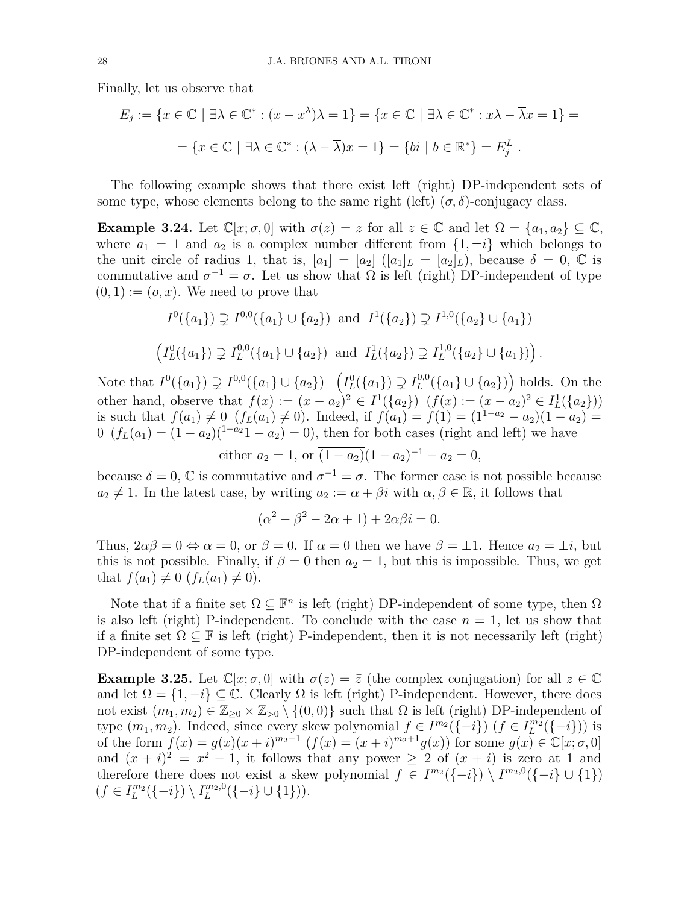Finally, let us observe that

$$
E_j := \{ x \in \mathbb{C} \mid \exists \lambda \in \mathbb{C}^* : (x - x^{\lambda})\lambda = 1 \} = \{ x \in \mathbb{C} \mid \exists \lambda \in \mathbb{C}^* : x\lambda - \overline{\lambda}x = 1 \} =
$$

$$
= \{ x \in \mathbb{C} \mid \exists \lambda \in \mathbb{C}^* : (\lambda - \overline{\lambda})x = 1 \} = \{ bi \mid b \in \mathbb{R}^* \} = E_j^L.
$$

The following example shows that there exist left (right) DP-independent sets of some type, whose elements belong to the same right (left)  $(\sigma, \delta)$ -conjugacy class.

**Example 3.24.** Let  $\mathbb{C}[x; \sigma, 0]$  with  $\sigma(z) = \overline{z}$  for all  $z \in \mathbb{C}$  and let  $\Omega = \{a_1, a_2\} \subseteq \mathbb{C}$ , where  $a_1 = 1$  and  $a_2$  is a complex number different from  $\{1, \pm i\}$  which belongs to the unit circle of radius 1, that is,  $[a_1] = [a_2] \ (a_1]_L = [a_2]_L$ , because  $\delta = 0$ ,  $\mathbb C$  is commutative and  $\sigma^{-1} = \sigma$ . Let us show that  $\Omega$  is left (right) DP-independent of type  $(0, 1) := (o, x)$ . We need to prove that

$$
I^0(\{a_1\}) \supsetneq I^{0,0}(\{a_1\} \cup \{a_2\}) \text{ and } I^1(\{a_2\}) \supsetneq I^{1,0}(\{a_2\} \cup \{a_1\})
$$
  

$$
\left(I^0_L(\{a_1\}) \supsetneq I^{0,0}_L(\{a_1\} \cup \{a_2\}) \text{ and } I^1_L(\{a_2\}) \supsetneq I^{1,0}_L(\{a_2\} \cup \{a_1\})\right).
$$

Note that  $I^0(\{a_1\}) \supsetneq I^{0,0}(\{a_1\} \cup \{a_2\})$   $\left(I_L^0(\{a_1\}) \supsetneq I_L^{0,0}(\{a_1\} \cup \{a_2\})\right)$  holds. On the other hand, observe that  $f(x) := (x - a_2)^2 \in I^1(\{a_2\})$   $(f(x) := (x - a_2)^2 \in I^1_L(\{a_2\})$ is such that  $f(a_1) \neq 0$  ( $f_L(a_1) \neq 0$ ). Indeed, if  $f(a_1) = f(1) = (1^{1-a_2} - a_2)(1 - a_2)$ 0  $(f_L(a_1) = (1 - a_2)(1 - a_2) = 0$ , then for both cases (right and left) we have

either  $a_2 = 1$ , or  $\overline{(1 - a_2)}(1 - a_2)^{-1} - a_2 = 0$ ,

because  $\delta = 0$ ,  $\mathbb C$  is commutative and  $\sigma^{-1} = \sigma$ . The former case is not possible because  $a_2 \neq 1$ . In the latest case, by writing  $a_2 := \alpha + \beta i$  with  $\alpha, \beta \in \mathbb{R}$ , it follows that

$$
(\alpha^2 - \beta^2 - 2\alpha + 1) + 2\alpha\beta i = 0.
$$

Thus,  $2\alpha\beta = 0 \Leftrightarrow \alpha = 0$ , or  $\beta = 0$ . If  $\alpha = 0$  then we have  $\beta = \pm 1$ . Hence  $a_2 = \pm i$ , but this is not possible. Finally, if  $\beta = 0$  then  $a_2 = 1$ , but this is impossible. Thus, we get that  $f(a_1) \neq 0$  ( $f_L(a_1) \neq 0$ ).

Note that if a finite set  $\Omega \subseteq \mathbb{F}^n$  is left (right) DP-independent of some type, then  $\Omega$ is also left (right) P-independent. To conclude with the case  $n = 1$ , let us show that if a finite set  $\Omega \subseteq \mathbb{F}$  is left (right) P-independent, then it is not necessarily left (right) DP-independent of some type.

**Example 3.25.** Let  $\mathbb{C}[x; \sigma, 0]$  with  $\sigma(z) = \overline{z}$  (the complex conjugation) for all  $z \in \mathbb{C}$ and let  $\Omega = \{1, -i\} \subseteq \mathbb{C}$ . Clearly  $\Omega$  is left (right) P-independent. However, there does not exist  $(m_1, m_2) \in \mathbb{Z}_{\geq 0} \times \mathbb{Z}_{>0} \setminus \{(0, 0)\}\$  such that  $\Omega$  is left (right) DP-independent of type  $(m_1, m_2)$ . Indeed, since every skew polynomial  $f \in I^{m_2}(\{-i\})$   $(f \in I^{m_2}(\{-i\})$  is of the form  $f(x) = g(x)(x + i)^{m_2+1}$   $(f(x) = (x + i)^{m_2+1}g(x))$  for some  $g(x) \in \mathbb{C}[x; \sigma, 0]$ and  $(x + i)^2 = x^2 - 1$ , it follows that any power  $\geq 2$  of  $(x + i)$  is zero at 1 and therefore there does not exist a skew polynomial  $f \in I^{m_2}(\{-i\}) \setminus I^{m_2,0}(\{-i\} \cup \{1\})$  $(f \in I_L^{m_2}(\{-i\}) \setminus I_L^{m_2,0}(\{-i\} \cup \{1\})).$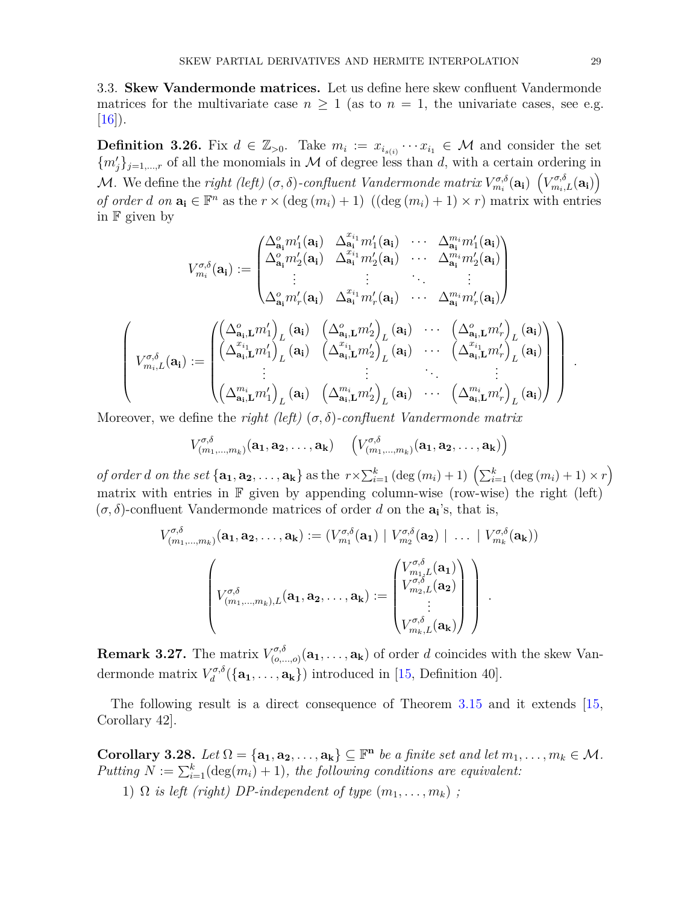3.3. **Skew Vandermonde matrices.** Let us define here skew confluent Vandermonde matrices for the multivariate case  $n \geq 1$  (as to  $n = 1$ , the univariate cases, see e.g.  $|16|$ ).

<span id="page-28-1"></span>**Definition 3.26.** Fix  $d \in \mathbb{Z}_{>0}$ . Take  $m_i := x_{i_{s(i)}} \cdots x_{i_1} \in \mathcal{M}$  and consider the set  ${m'_j}_{j=1,\dots,r}$  of all the monomials in M of degree less than d, with a certain ordering in *M*. We define the *right (left)* ( $\sigma$ , $\delta$ )-confluent Vandermonde matrix  $V_{m_i}^{\sigma,\delta}(\mathbf{a_i})\left(V_{m_i,L}^{\sigma,\delta}(\mathbf{a_i})\right)$ *of order d on*  $\mathbf{a_i} \in \mathbb{F}^n$  as the  $r \times (\text{deg}(m_i) + 1)$   $((\text{deg}(m_i) + 1) \times r)$  matrix with entries in  $\mathbb F$  given by

$$
V_{m_i}^{\sigma,\delta}(\mathbf{a_i}) := \begin{pmatrix} \Delta_{\mathbf{a_i}}^o m_1'(\mathbf{a_i}) & \Delta_{\mathbf{a_i}}^{x_{i_1}} m_1'(\mathbf{a_i}) & \cdots & \Delta_{\mathbf{a_i}}^{m_i} m_1'(\mathbf{a_i}) \\ \Delta_{\mathbf{a_i}}^o m_2'(\mathbf{a_i}) & \Delta_{\mathbf{a_i}}^{x_{i_1}} m_2'(\mathbf{a_i}) & \cdots & \Delta_{\mathbf{a_i}}^{m_i} m_2'(\mathbf{a_i}) \\ \vdots & \vdots & \ddots & \vdots \\ \Delta_{\mathbf{a_i}}^o m_r'(\mathbf{a_i}) & \Delta_{\mathbf{a_i}}^{x_{i_1}} m_r'(\mathbf{a_i}) & \cdots & \Delta_{\mathbf{a_i}}^{m_i} m_r'(\mathbf{a_i}) \end{pmatrix}
$$

$$
V_{m_i,L}^{\sigma,\delta}(\mathbf{a_i}) := \begin{pmatrix} \left(\Delta_{\mathbf{a_i},\mathbf{L}}^o m_1'\right)_L(\mathbf{a_i}) & \left(\Delta_{\mathbf{a_i},\mathbf{L}}^o m_2'\right)_L(\mathbf{a_i}) & \cdots & \left(\Delta_{\mathbf{a_i},\mathbf{L}}^o m_r'\right)_L(\mathbf{a_i}) \\ \left(\Delta_{\mathbf{a_i},\mathbf{L}}^{x_{i_1}} m_1'\right)_L(\mathbf{a_i}) & \left(\Delta_{\mathbf{a_i},\mathbf{L}}^{x_{i_1}} m_2'\right)_L(\mathbf{a_i}) & \cdots & \left(\Delta_{\mathbf{a_i},\mathbf{L}}^{x_{i_1}} m_r'\right)_L(\mathbf{a_i}) \\ \vdots & \vdots & \ddots & \vdots \\ \left(\Delta_{\mathbf{a_i},\mathbf{L}}^{m_i} m_1'\right)_L(\mathbf{a_i}) & \left(\Delta_{\mathbf{a_i},\mathbf{L}}^{m_i} m_2'\right)_L(\mathbf{a_i}) & \cdots & \left(\Delta_{\mathbf{a_i},\mathbf{L}}^{m_i} m_r'\right)_L(\mathbf{a_i}) \end{pmatrix}
$$

Moreover, we define the *right (left)* (*σ, δ*)*-confluent Vandermonde matrix*

$$
V^{\sigma,\delta}_{(m_1,...,m_k)}(\mathbf{a_1},\mathbf{a_2},\ldots,\mathbf{a_k}) \quad \left(V^{\sigma,\delta}_{(m_1,...,m_k)}(\mathbf{a_1},\mathbf{a_2},\ldots,\mathbf{a_k})\right)
$$

of order d on the set  $\{a_1, a_2, \ldots, a_k\}$  as the  $r \times \sum_{i=1}^k (\deg(m_i) + 1) \left(\sum_{i=1}^k (\deg(m_i) + 1) \times r\right)$ matrix with entries in  $\mathbb F$  given by appending column-wise (row-wise) the right (left)  $(\sigma, \delta)$ -confluent Vandermonde matrices of order *d* on the  $a_i$ 's, that is,

$$
V_{(m_1,...,m_k)}^{\sigma,\delta}(\mathbf{a_1},\mathbf{a_2},\ldots,\mathbf{a_k}) := (V_{m_1}^{\sigma,\delta}(\mathbf{a_1}) \mid V_{m_2}^{\sigma,\delta}(\mathbf{a_2}) \mid \ldots \mid V_{m_k}^{\sigma,\delta}(\mathbf{a_k}))
$$

$$
\begin{pmatrix} V_{m_1,...,m_k}^{\sigma,\delta} \\ V_{(m_1,...,m_k),L}^{\sigma,\delta}(\mathbf{a_1},\mathbf{a_2},\ldots,\mathbf{a_k}) := \begin{pmatrix} V_{m_1,L}^{\sigma,\delta}(\mathbf{a_1}) \\ V_{m_2,L}^{\sigma,\delta}(\mathbf{a_2}) \\ \vdots \\ V_{m_k,L}^{\sigma,\delta}(\mathbf{a_k}) \end{pmatrix} \end{pmatrix}.
$$

**Remark 3.27.** The matrix  $V_{(0)}^{\sigma, \delta}$  $(\sigma^{\sigma,\sigma}_{(o,\ldots,o)}(\mathbf{a_1},\ldots,\mathbf{a_k}))$  of order *d* coincides with the skew Vandermonde matrix *V σ,δ*  $d_d^{\sigma, \sigma}(\{\mathbf{a_1}, \ldots, \mathbf{a_k}\})$  introduced in [\[15,](#page-30-10) Definition 40].

The following result is a direct consequence of Theorem [3.15](#page-20-0) and it extends [\[15,](#page-30-10) Corollary 42].

<span id="page-28-0"></span>**Corollary 3.28.** *Let*  $\Omega = {\mathbf{a_1, a_2, \ldots, a_k}} \subseteq \mathbb{F}^n$  *be a finite set and let*  $m_1, \ldots, m_k \in \mathcal{M}$ *.*  $Putting N := \sum_{i=1}^{k} (deg(m_i) + 1), the following conditions are equivalent:$ 1)  $\Omega$  *is left (right) DP-independent of type*  $(m_1, \ldots, m_k)$ ;

*.*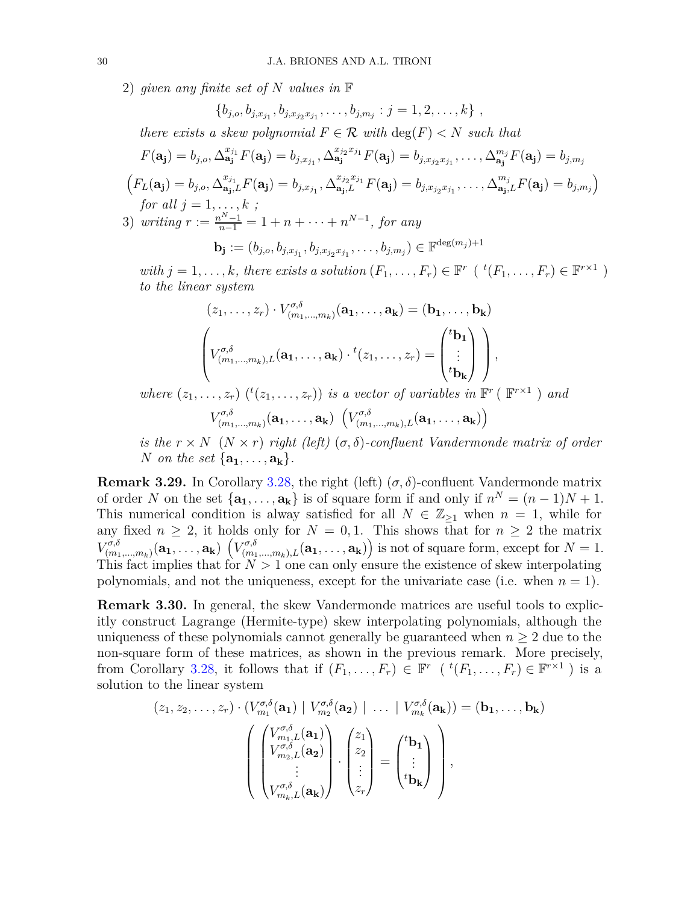2) *given any finite set of N values in* F

$$
\{b_{j,o}, b_{j,x_{j_1}}, b_{j,x_{j_2}x_{j_1}}, \ldots, b_{j,m_j} : j = 1, 2, \ldots, k\},\,
$$

*there exists a skew polynomial*  $F \in \mathcal{R}$  *with*  $\deg(F) < N$  *such that* 

$$
F(\mathbf{a_j}) = b_{j,o}, \Delta_{\mathbf{a_j}}^{x_{j_1}} F(\mathbf{a_j}) = b_{j,x_{j_1}}, \Delta_{\mathbf{a_j}}^{x_{j_2}x_{j_1}} F(\mathbf{a_j}) = b_{j,x_{j_2}x_{j_1}}, \ldots, \Delta_{\mathbf{a_j}}^{m_j} F(\mathbf{a_j}) = b_{j,m_j}
$$

$$
\left(F_L(\mathbf{a_j})=b_{j,o}, \Delta_{\mathbf{a_j},L}^{x_{j_1}}F(\mathbf{a_j})=b_{j,x_{j_1}}, \Delta_{\mathbf{a_j},L}^{x_{j_2}x_{j_1}}F(\mathbf{a_j})=b_{j,x_{j_2}x_{j_1}},\ldots,\Delta_{\mathbf{a_j},L}^{m_j}F(\mathbf{a_j})=b_{j,m_j}\right)
$$
  
for all  $j=1,\ldots,k$ ;

3) *writing*  $r := \frac{n^N - 1}{n - 1} = 1 + n + \cdots + n^{N-1}$ , for any

$$
\mathbf{b}_{\mathbf{j}} := (b_{j,o}, b_{j,x_{j_1}}, b_{j,x_{j_2}x_{j_1}}, \ldots, b_{j,m_j}) \in \mathbb{F}^{\deg(m_j)+1}
$$

*with*  $j = 1, \ldots, k$ *, there exists a solution*  $(F_1, \ldots, F_r) \in \mathbb{F}^r$  ( ${}^t(F_1, \ldots, F_r) \in \mathbb{F}^{r \times 1}$ ) *to the linear system*

$$
(z_1, \ldots, z_r) \cdot V_{(m_1, \ldots, m_k)}^{\sigma, \delta}(\mathbf{a}_1, \ldots, \mathbf{a}_k) = (\mathbf{b}_1, \ldots, \mathbf{b}_k)
$$

$$
\left(V_{(m_1, \ldots, m_k), L}^{\sigma, \delta}(\mathbf{a}_1, \ldots, \mathbf{a}_k) \cdot {}^t(z_1, \ldots, z_r) = \begin{pmatrix} {}^t\mathbf{b}_1 \\ \vdots \\ {}^t\mathbf{b}_k \end{pmatrix}\right),
$$

*where*  $(z_1, \ldots, z_r)$  ( $^t(z_1, \ldots, z_r)$ ) *is a vector of variables in*  $\mathbb{F}^r$  ( $\mathbb{F}^{r \times 1}$ ) *and*  $V^{\sigma,\delta}_{(m)}$  $\left(V_{(m_1,...,m_k)}^{\sigma,\delta}(\mathbf{a_1},\ldots,\mathbf{a_k})\right)\left(V_{(m_1,...,m_k),L}^{\sigma,\delta}(\mathbf{a_1},\ldots,\mathbf{a_k})\right)$ 

*is the*  $r \times N$  ( $N \times r$ ) *right* (left) ( $\sigma$ , $\delta$ )*-confluent Vandermonde matrix of order N on the set*  $\{a_1, \ldots, a_k\}$ *.* 

**Remark 3.29.** In Corollary [3.28,](#page-28-0) the right (left)  $(\sigma, \delta)$ -confluent Vandermonde matrix of order *N* on the set  $\{a_1, \ldots, a_k\}$  is of square form if and only if  $n^N = (n-1)N + 1$ . This numerical condition is alway satisfied for all  $N \in \mathbb{Z}_{\geq 1}$  when  $n = 1$ , while for any fixed  $n \geq 2$ , it holds only for  $N = 0, 1$ . This shows that for  $n \geq 2$  the matrix  $V^{\sigma,\delta}_{(m)}$  $\binom{\sigma,\delta}{(m_1,...,m_k)}(\mathbf{a_1},\ldots,\mathbf{a_k})\,\left(V^{\sigma,\delta}_{(m_1,...,m_k),L}(\mathbf{a_1},\ldots,\mathbf{a_k})\right)$  is not of square form, except for  $N=1$ . This fact implies that for  $N > 1$  one can only ensure the existence of skew interpolating polynomials, and not the uniqueness, except for the univariate case (i.e. when  $n = 1$ ).

**Remark 3.30.** In general, the skew Vandermonde matrices are useful tools to explicitly construct Lagrange (Hermite-type) skew interpolating polynomials, although the uniqueness of these polynomials cannot generally be guaranteed when  $n \geq 2$  due to the non-square form of these matrices, as shown in the previous remark. More precisely, from Corollary [3.28,](#page-28-0) it follows that if  $(F_1, \ldots, F_r) \in \mathbb{F}^r$   $({}^t(F_1, \ldots, F_r) \in \mathbb{F}^{r \times 1}$  ) is a solution to the linear system

$$
(z_1, z_2, \ldots, z_r) \cdot (V_{m_1}^{\sigma, \delta}(\mathbf{a}_1) \mid V_{m_2}^{\sigma, \delta}(\mathbf{a}_2) \mid \ldots \mid V_{m_k}^{\sigma, \delta}(\mathbf{a}_k)) = (\mathbf{b}_1, \ldots, \mathbf{b}_k)
$$

$$
\left( \begin{pmatrix} V_{m_1, L}^{\sigma, \delta}(\mathbf{a}_1) \\ V_{m_2, L}^{\sigma, \delta}(\mathbf{a}_2) \\ \vdots \\ V_{m_k, L}^{\sigma, \delta}(\mathbf{a}_k) \end{pmatrix} \cdot \begin{pmatrix} z_1 \\ z_2 \\ \vdots \\ z_r \end{pmatrix} = \begin{pmatrix} t_{\mathbf{b}_1} \\ \vdots \\ t_{\mathbf{b}_k} \end{pmatrix} \right),
$$